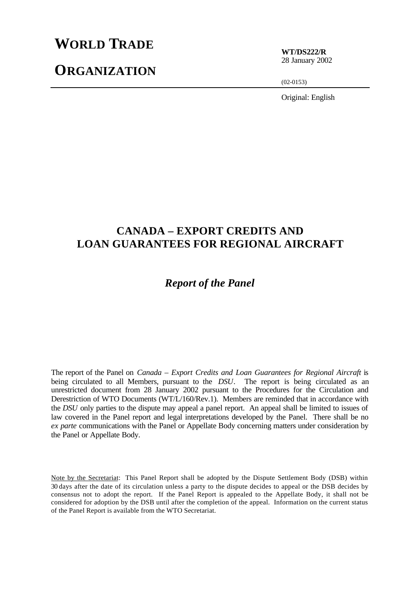# **WORLD TRADE**

# **ORGANIZATION**

**WT/DS222/R** 28 January 2002

(02-0153)

Original: English

# **CANADA – EXPORT CREDITS AND LOAN GUARANTEES FOR REGIONAL AIRCRAFT**

# *Report of the Panel*

The report of the Panel on *Canada – Export Credits and Loan Guarantees for Regional Aircraft* is being circulated to all Members, pursuant to the *DSU*. The report is being circulated as an unrestricted document from 28 January 2002 pursuant to the Procedures for the Circulation and Derestriction of WTO Documents (WT/L/160/Rev.1). Members are reminded that in accordance with the *DSU* only parties to the dispute may appeal a panel report. An appeal shall be limited to issues of law covered in the Panel report and legal interpretations developed by the Panel. There shall be no *ex parte* communications with the Panel or Appellate Body concerning matters under consideration by the Panel or Appellate Body.

Note by the Secretariat: This Panel Report shall be adopted by the Dispute Settlement Body (DSB) within 30 days after the date of its circulation unless a party to the dispute decides to appeal or the DSB decides by consensus not to adopt the report. If the Panel Report is appealed to the Appellate Body, it shall not be considered for adoption by the DSB until after the completion of the appeal. Information on the current status of the Panel Report is available from the WTO Secretariat.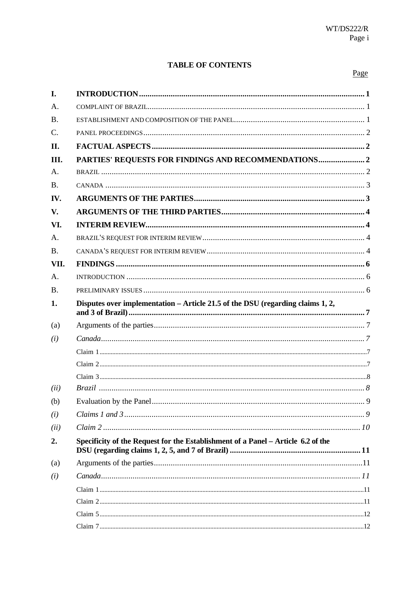# **TABLE OF CONTENTS**

### Page

| I.             |                                                                                  |  |  |
|----------------|----------------------------------------------------------------------------------|--|--|
| A.             |                                                                                  |  |  |
| <b>B.</b>      |                                                                                  |  |  |
| $C_{\cdot}$    |                                                                                  |  |  |
| II.            |                                                                                  |  |  |
| Ш.             | PARTIES' REQUESTS FOR FINDINGS AND RECOMMENDATIONS                               |  |  |
| A.             |                                                                                  |  |  |
| <b>B.</b>      |                                                                                  |  |  |
| IV.            |                                                                                  |  |  |
| V.             |                                                                                  |  |  |
| VI.            |                                                                                  |  |  |
| A.             |                                                                                  |  |  |
| $\mathbf{B}$ . |                                                                                  |  |  |
| VII.           |                                                                                  |  |  |
| A.             |                                                                                  |  |  |
| <b>B.</b>      |                                                                                  |  |  |
| 1.             | Disputes over implementation - Article 21.5 of the DSU (regarding claims 1, 2,   |  |  |
| (a)            |                                                                                  |  |  |
| (i)            |                                                                                  |  |  |
|                |                                                                                  |  |  |
|                |                                                                                  |  |  |
|                |                                                                                  |  |  |
| (ii)           |                                                                                  |  |  |
| (b)            | 9                                                                                |  |  |
| (i)            |                                                                                  |  |  |
| (ii)           |                                                                                  |  |  |
| 2.             | Specificity of the Request for the Establishment of a Panel - Article 6.2 of the |  |  |
| (a)            |                                                                                  |  |  |
| (i)            |                                                                                  |  |  |
|                |                                                                                  |  |  |
|                |                                                                                  |  |  |
|                |                                                                                  |  |  |
|                |                                                                                  |  |  |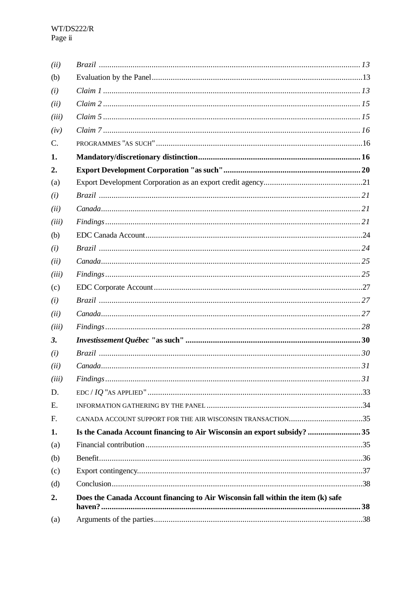| (a)            |                                                                                  |    |
|----------------|----------------------------------------------------------------------------------|----|
| 2.             | Does the Canada Account financing to Air Wisconsin fall within the item (k) safe | 38 |
| (d)            |                                                                                  |    |
| (c)            |                                                                                  |    |
| (b)            |                                                                                  |    |
| (a)            |                                                                                  |    |
| 1.             | Is the Canada Account financing to Air Wisconsin an export subsidy? 35           |    |
| F.             | CANADA ACCOUNT SUPPORT FOR THE AIR WISCONSIN TRANSACTION35                       |    |
| Ε.             |                                                                                  |    |
| D.             |                                                                                  |    |
| (iii)          |                                                                                  |    |
| (ii)           |                                                                                  |    |
| (i)            |                                                                                  |    |
| 3.             |                                                                                  |    |
| (iii)          |                                                                                  |    |
| (ii)           |                                                                                  |    |
| (i)            |                                                                                  |    |
| (c)            |                                                                                  |    |
| (iii)          |                                                                                  |    |
| (ii)           |                                                                                  |    |
| (i)            |                                                                                  |    |
| (b)            |                                                                                  |    |
| (iii)          |                                                                                  |    |
| (ii)           |                                                                                  |    |
| (i)            |                                                                                  |    |
| (a)            |                                                                                  |    |
| 2.             |                                                                                  |    |
| 1.             |                                                                                  |    |
| $\mathbf{C}$ . |                                                                                  |    |
| (iv)           |                                                                                  |    |
| (iii)          |                                                                                  |    |
| (ii)           |                                                                                  |    |
| (b)<br>(i)     |                                                                                  |    |
| (ii)           |                                                                                  |    |
|                |                                                                                  |    |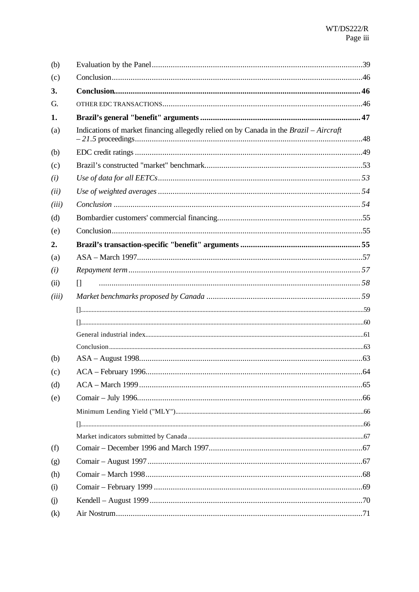| (b)   |                                                                                          |      |
|-------|------------------------------------------------------------------------------------------|------|
| (c)   |                                                                                          |      |
| 3.    |                                                                                          |      |
| G.    |                                                                                          |      |
| 1.    |                                                                                          |      |
| (a)   | Indications of market financing allegedly relied on by Canada in the $Brazil - Aircraft$ |      |
| (b)   |                                                                                          |      |
| (c)   |                                                                                          |      |
| (i)   |                                                                                          |      |
| (ii)  |                                                                                          |      |
| (iii) |                                                                                          |      |
| (d)   |                                                                                          |      |
| (e)   |                                                                                          |      |
| 2.    |                                                                                          |      |
| (a)   |                                                                                          |      |
| (i)   |                                                                                          |      |
| (ii)  | $\prod$                                                                                  |      |
| (iii) |                                                                                          |      |
|       |                                                                                          |      |
|       |                                                                                          |      |
|       |                                                                                          |      |
|       |                                                                                          |      |
| (b)   |                                                                                          |      |
| (c)   |                                                                                          | . 64 |
| (d)   |                                                                                          |      |
| (e)   |                                                                                          |      |
|       |                                                                                          |      |
|       |                                                                                          |      |
|       |                                                                                          |      |
| (f)   |                                                                                          |      |
| (g)   |                                                                                          |      |
| (h)   |                                                                                          |      |
| (i)   |                                                                                          |      |
| (j)   |                                                                                          |      |
| (k)   |                                                                                          |      |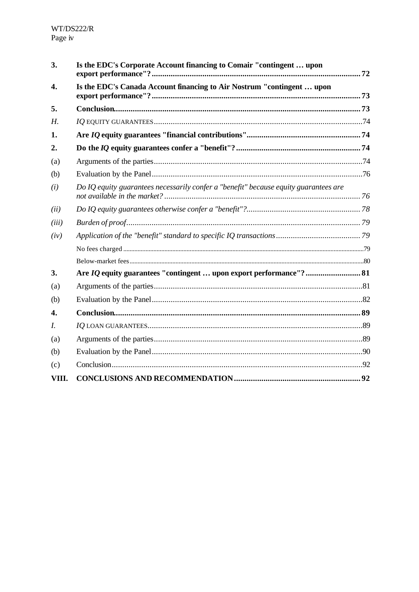| 3.               | Is the EDC's Corporate Account financing to Comair "contingent  upon                 |  |
|------------------|--------------------------------------------------------------------------------------|--|
| $\overline{4}$ . | Is the EDC's Canada Account financing to Air Nostrum "contingent  upon               |  |
| 5.               |                                                                                      |  |
| H.               |                                                                                      |  |
| 1.               |                                                                                      |  |
| 2.               |                                                                                      |  |
| (a)              |                                                                                      |  |
| (b)              |                                                                                      |  |
| (i)              | Do IQ equity guarantees necessarily confer a "benefit" because equity guarantees are |  |
| (ii)             |                                                                                      |  |
| (iii)            |                                                                                      |  |
| (iv)             |                                                                                      |  |
|                  |                                                                                      |  |
|                  |                                                                                      |  |
| 3.               | Are IQ equity guarantees "contingent  upon export performance"? 81                   |  |
| (a)              |                                                                                      |  |
| (b)              |                                                                                      |  |
| 4.               |                                                                                      |  |
| $I_{\cdot}$      |                                                                                      |  |
| (a)              |                                                                                      |  |
| (b)              |                                                                                      |  |
| (c)              |                                                                                      |  |
| VIII.            |                                                                                      |  |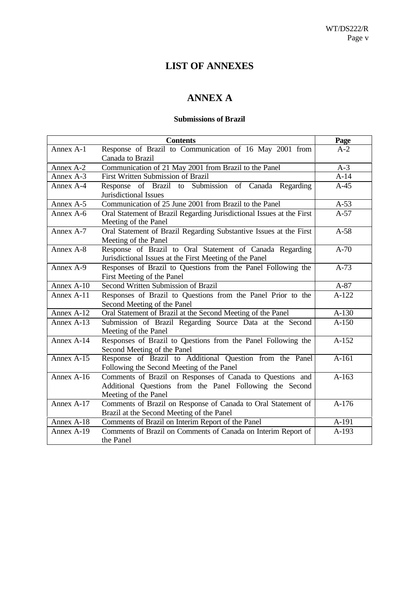# **LIST OF ANNEXES**

# **ANNEX A**

### **Submissions of Brazil**

| <b>Contents</b> |                                                                                                                                                | Page    |
|-----------------|------------------------------------------------------------------------------------------------------------------------------------------------|---------|
| Annex A-1       | Response of Brazil to Communication of 16 May 2001 from<br>Canada to Brazil                                                                    | $A-2$   |
| Annex A-2       | Communication of 21 May 2001 from Brazil to the Panel                                                                                          | $A-3$   |
| Annex A-3       | First Written Submission of Brazil                                                                                                             | $A-14$  |
| Annex A-4       | Response of Brazil to Submission of Canada Regarding<br>Jurisdictional Issues                                                                  | $A-45$  |
| Annex A-5       | Communication of 25 June 2001 from Brazil to the Panel                                                                                         | $A-53$  |
| Annex A-6       | Oral Statement of Brazil Regarding Jurisdictional Issues at the First<br>Meeting of the Panel                                                  | $A-57$  |
| Annex $A-7$     | Oral Statement of Brazil Regarding Substantive Issues at the First<br>Meeting of the Panel                                                     | $A-58$  |
| Annex A-8       | Response of Brazil to Oral Statement of Canada Regarding<br>Jurisdictional Issues at the First Meeting of the Panel                            | $A-70$  |
| Annex A-9       | Responses of Brazil to Questions from the Panel Following the<br>First Meeting of the Panel                                                    | $A-73$  |
| Annex A-10      | Second Written Submission of Brazil                                                                                                            | $A-87$  |
| Annex A-11      | Responses of Brazil to Questions from the Panel Prior to the<br>Second Meeting of the Panel                                                    | $A-122$ |
| Annex A-12      | Oral Statement of Brazil at the Second Meeting of the Panel                                                                                    | $A-130$ |
| Annex A-13      | Submission of Brazil Regarding Source Data at the Second<br>Meeting of the Panel                                                               | $A-150$ |
| Annex A-14      | Responses of Brazil to Questions from the Panel Following the<br>Second Meeting of the Panel                                                   | $A-152$ |
| Annex A-15      | Response of Brazil to Additional Question from the Panel<br>Following the Second Meeting of the Panel                                          | $A-161$ |
| Annex A-16      | Comments of Brazil on Responses of Canada to Questions and<br>Additional Questions from the Panel Following the Second<br>Meeting of the Panel | $A-163$ |
| Annex A-17      | Comments of Brazil on Response of Canada to Oral Statement of<br>Brazil at the Second Meeting of the Panel                                     | $A-176$ |
| Annex A-18      | Comments of Brazil on Interim Report of the Panel                                                                                              | $A-191$ |
| Annex A-19      | Comments of Brazil on Comments of Canada on Interim Report of<br>the Panel                                                                     | A-193   |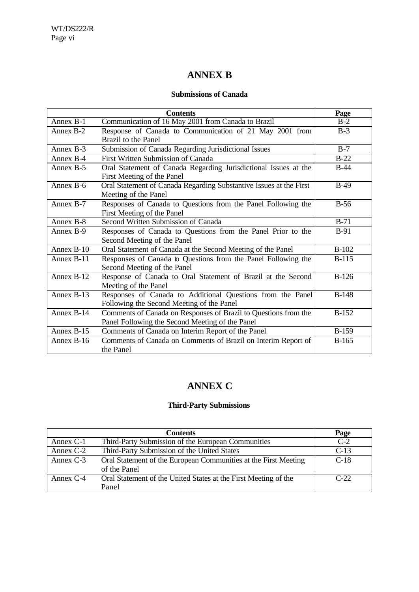# **ANNEX B**

# **Submissions of Canada**

|              | <b>Contents</b>                                                                                                    | Page    |
|--------------|--------------------------------------------------------------------------------------------------------------------|---------|
| Annex B-1    | Communication of 16 May 2001 from Canada to Brazil                                                                 | $B-2$   |
| Annex B-2    | Response of Canada to Communication of 21 May 2001 from<br>Brazil to the Panel                                     | $B-3$   |
| Annex B-3    | Submission of Canada Regarding Jurisdictional Issues                                                               | $B-7$   |
| Annex B-4    | First Written Submission of Canada                                                                                 | $B-22$  |
| Annex B-5    | Oral Statement of Canada Regarding Jurisdictional Issues at the<br>First Meeting of the Panel                      | $B-44$  |
| Annex B-6    | Oral Statement of Canada Regarding Substantive Issues at the First<br>Meeting of the Panel                         | $B-49$  |
| Annex B-7    | Responses of Canada to Questions from the Panel Following the<br>First Meeting of the Panel                        | $B-56$  |
| Annex B-8    | Second Written Submission of Canada                                                                                | $B-71$  |
| Annex B-9    | Responses of Canada to Questions from the Panel Prior to the<br>Second Meeting of the Panel                        | $B-91$  |
| Annex $B-10$ | Oral Statement of Canada at the Second Meeting of the Panel                                                        | $B-102$ |
| Annex B-11   | Responses of Canada to Questions from the Panel Following the<br>Second Meeting of the Panel                       | $B-115$ |
| Annex B-12   | Response of Canada to Oral Statement of Brazil at the Second<br>Meeting of the Panel                               | $B-126$ |
| Annex B-13   | Responses of Canada to Additional Questions from the Panel<br>Following the Second Meeting of the Panel            | $B-148$ |
| Annex B-14   | Comments of Canada on Responses of Brazil to Questions from the<br>Panel Following the Second Meeting of the Panel | $B-152$ |
| Annex B-15   | Comments of Canada on Interim Report of the Panel                                                                  | $B-159$ |
| Annex B-16   | Comments of Canada on Comments of Brazil on Interim Report of<br>the Panel                                         | $B-165$ |

# **ANNEX C**

# **Third-Party Submissions**

| <b>Contents</b> |                                                                 | Page   |
|-----------------|-----------------------------------------------------------------|--------|
| Annex C-1       | Third-Party Submission of the European Communities              | $C-2$  |
| Annex C-2       | Third-Party Submission of the United States                     | $C-13$ |
| Annex C-3       | Oral Statement of the European Communities at the First Meeting | $C-18$ |
|                 | of the Panel                                                    |        |
| Annex $C-4$     | Oral Statement of the United States at the First Meeting of the | $C-22$ |
|                 | Panel                                                           |        |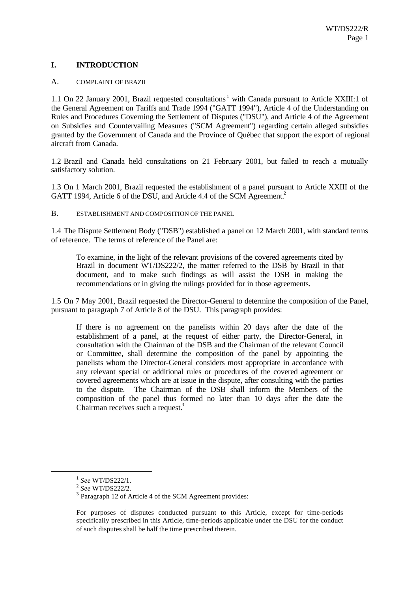### **I. INTRODUCTION**

#### A. COMPLAINT OF BRAZIL

1.1 On 22 January 2001, Brazil requested consultations<sup>1</sup> with Canada pursuant to Article XXIII:1 of the General Agreement on Tariffs and Trade 1994 ("GATT 1994"), Article 4 of the Understanding on Rules and Procedures Governing the Settlement of Disputes ("DSU"), and Article 4 of the Agreement on Subsidies and Countervailing Measures ("SCM Agreement") regarding certain alleged subsidies granted by the Government of Canada and the Province of Québec that support the export of regional aircraft from Canada.

1.2 Brazil and Canada held consultations on 21 February 2001, but failed to reach a mutually satisfactory solution.

1.3 On 1 March 2001, Brazil requested the establishment of a panel pursuant to Article XXIII of the GATT 1994, Article 6 of the DSU, and Article 4.4 of the SCM Agreement.<sup>2</sup>

B. ESTABLISHMENT AND COMPOSITION OF THE PANEL

1.4 The Dispute Settlement Body ("DSB") established a panel on 12 March 2001, with standard terms of reference. The terms of reference of the Panel are:

To examine, in the light of the relevant provisions of the covered agreements cited by Brazil in document WT/DS222/2, the matter referred to the DSB by Brazil in that document, and to make such findings as will assist the DSB in making the recommendations or in giving the rulings provided for in those agreements.

1.5 On 7 May 2001, Brazil requested the Director-General to determine the composition of the Panel, pursuant to paragraph 7 of Article 8 of the DSU. This paragraph provides:

If there is no agreement on the panelists within 20 days after the date of the establishment of a panel, at the request of either party, the Director-General, in consultation with the Chairman of the DSB and the Chairman of the relevant Council or Committee, shall determine the composition of the panel by appointing the panelists whom the Director-General considers most appropriate in accordance with any relevant special or additional rules or procedures of the covered agreement or covered agreements which are at issue in the dispute, after consulting with the parties to the dispute. The Chairman of the DSB shall inform the Members of the composition of the panel thus formed no later than 10 days after the date the Chairman receives such a request.<sup>3</sup>

<sup>1</sup> *See* WT/DS222/1.

<sup>2</sup> *See* WT/DS222/2.

<sup>&</sup>lt;sup>3</sup> Paragraph 12 of Article 4 of the SCM Agreement provides:

For purposes of disputes conducted pursuant to this Article, except for time-periods specifically prescribed in this Article, time-periods applicable under the DSU for the conduct of such disputes shall be half the time prescribed therein.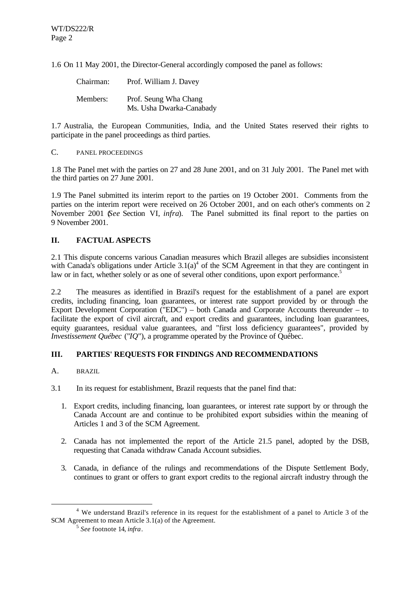1.6 On 11 May 2001, the Director-General accordingly composed the panel as follows:

| Chairman: | Prof. William J. Davey                            |
|-----------|---------------------------------------------------|
| Members:  | Prof. Seung Wha Chang<br>Ms. Usha Dwarka-Canabady |

1.7 Australia, the European Communities, India, and the United States reserved their rights to participate in the panel proceedings as third parties.

C. PANEL PROCEEDINGS

1.8 The Panel met with the parties on 27 and 28 June 2001, and on 31 July 2001. The Panel met with the third parties on 27 June 2001.

1.9 The Panel submitted its interim report to the parties on 19 October 2001. Comments from the parties on the interim report were received on 26 October 2001, and on each other's comments on 2 November 2001 (*See* Section VI, *infra*). The Panel submitted its final report to the parties on 9 November 2001.

# **II. FACTUAL ASPECTS**

2.1 This dispute concerns various Canadian measures which Brazil alleges are subsidies inconsistent with Canada's obligations under Article  $3.1(a)^4$  of the SCM Agreement in that they are contingent in law or in fact, whether solely or as one of several other conditions, upon export performance.<sup>5</sup>

2.2 The measures as identified in Brazil's request for the establishment of a panel are export credits, including financing, loan guarantees, or interest rate support provided by or through the Export Development Corporation ("EDC") – both Canada and Corporate Accounts thereunder – to facilitate the export of civil aircraft, and export credits and guarantees, including loan guarantees, equity guarantees, residual value guarantees, and "first loss deficiency guarantees", provided by *Investissement Québec* ("*IQ*"), a programme operated by the Province of Québec.

# **III. PARTIES' REQUESTS FOR FINDINGS AND RECOMMENDATIONS**

#### A. BRAZIL

- 3.1 In its request for establishment, Brazil requests that the panel find that:
	- 1. Export credits, including financing, loan guarantees, or interest rate support by or through the Canada Account are and continue to be prohibited export subsidies within the meaning of Articles 1 and 3 of the SCM Agreement.
	- 2. Canada has not implemented the report of the Article 21.5 panel, adopted by the DSB, requesting that Canada withdraw Canada Account subsidies.
	- 3. Canada, in defiance of the rulings and recommendations of the Dispute Settlement Body, continues to grant or offers to grant export credits to the regional aircraft industry through the

<sup>&</sup>lt;sup>4</sup> We understand Brazil's reference in its request for the establishment of a panel to Article 3 of the SCM Agreement to mean Article 3.1(a) of the Agreement.

<sup>5</sup> *See* footnote 14, *infra*.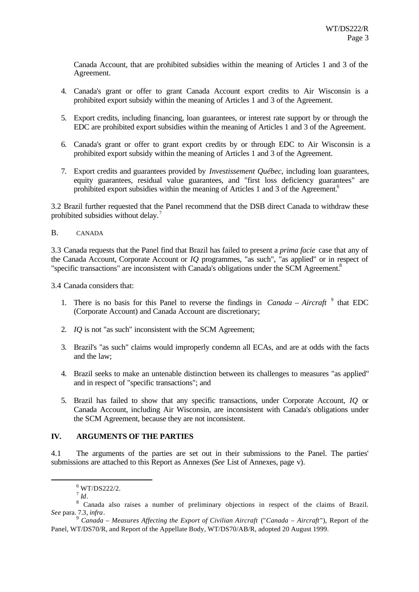Canada Account, that are prohibited subsidies within the meaning of Articles 1 and 3 of the Agreement.

- 4. Canada's grant or offer to grant Canada Account export credits to Air Wisconsin is a prohibited export subsidy within the meaning of Articles 1 and 3 of the Agreement.
- 5. Export credits, including financing, loan guarantees, or interest rate support by or through the EDC are prohibited export subsidies within the meaning of Articles 1 and 3 of the Agreement.
- 6. Canada's grant or offer to grant export credits by or through EDC to Air Wisconsin is a prohibited export subsidy within the meaning of Articles 1 and 3 of the Agreement.
- 7. Export credits and guarantees provided by *Investissement Québec*, including loan guarantees, equity guarantees, residual value guarantees, and "first loss deficiency guarantees" are prohibited export subsidies within the meaning of Articles 1 and 3 of the Agreement.<sup>6</sup>

3.2 Brazil further requested that the Panel recommend that the DSB direct Canada to withdraw these prohibited subsidies without delay.<sup>7</sup>

#### B. CANADA

3.3 Canada requests that the Panel find that Brazil has failed to present a *prima facie* case that any of the Canada Account, Corporate Account or *IQ* programmes, "as such", "as applied" or in respect of "specific transactions" are inconsistent with Canada's obligations under the SCM Agreement. $8$ 

3.4 Canada considers that:

- 1. There is no basis for this Panel to reverse the findings in *Canada Aircraft* <sup>9</sup> that EDC (Corporate Account) and Canada Account are discretionary;
- 2. *IQ* is not "as such" inconsistent with the SCM Agreement;
- 3. Brazil's "as such" claims would improperly condemn all ECAs, and are at odds with the facts and the law;
- 4. Brazil seeks to make an untenable distinction between its challenges to measures "as applied" and in respect of "specific transactions"; and
- 5. Brazil has failed to show that any specific transactions, under Corporate Account, *IQ* or Canada Account, including Air Wisconsin, are inconsistent with Canada's obligations under the SCM Agreement, because they are not inconsistent.

#### **IV. ARGUMENTS OF THE PARTIES**

4.1 The arguments of the parties are set out in their submissions to the Panel. The parties' submissions are attached to this Report as Annexes (*See* List of Annexes, page v).

<sup>6</sup> WT/DS222/2.

<sup>7</sup> *Id*.

<sup>&</sup>lt;sup>8</sup> Canada also raises a number of preliminary objections in respect of the claims of Brazil. *See* para. 7.3, *infra*.

<sup>9</sup> *Canada – Measures Affecting the Export of Civilian Aircraft* ("*Canada – Aircraft*"), Report of the Panel, WT/DS70/R, and Report of the Appellate Body, WT/DS70/AB/R, adopted 20 August 1999.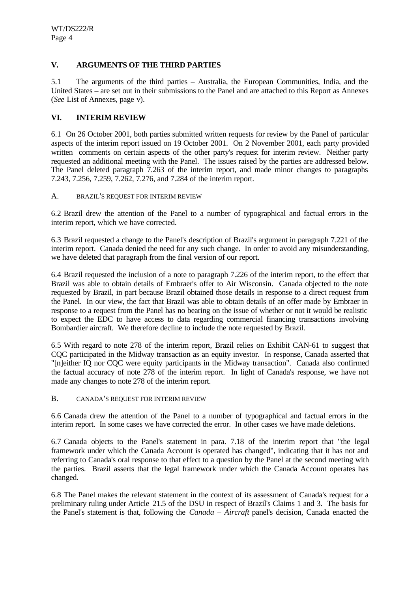# **V. ARGUMENTS OF THE THIRD PARTIES**

5.1 The arguments of the third parties – Australia, the European Communities, India, and the United States – are set out in their submissions to the Panel and are attached to this Report as Annexes (*See* List of Annexes, page v).

#### **VI. INTERIM REVIEW**

6.1 On 26 October 2001, both parties submitted written requests for review by the Panel of particular aspects of the interim report issued on 19 October 2001. On 2 November 2001, each party provided written comments on certain aspects of the other party's request for interim review. Neither party requested an additional meeting with the Panel. The issues raised by the parties are addressed below. The Panel deleted paragraph 7.263 of the interim report, and made minor changes to paragraphs 7.243, 7.256, 7.259, 7.262, 7.276, and 7.284 of the interim report.

#### A. BRAZIL'S REQUEST FOR INTERIM REVIEW

6.2 Brazil drew the attention of the Panel to a number of typographical and factual errors in the interim report, which we have corrected.

6.3 Brazil requested a change to the Panel's description of Brazil's argument in paragraph 7.221 of the interim report. Canada denied the need for any such change. In order to avoid any misunderstanding, we have deleted that paragraph from the final version of our report.

6.4 Brazil requested the inclusion of a note to paragraph 7.226 of the interim report, to the effect that Brazil was able to obtain details of Embraer's offer to Air Wisconsin. Canada objected to the note requested by Brazil, in part because Brazil obtained those details in response to a direct request from the Panel. In our view, the fact that Brazil was able to obtain details of an offer made by Embraer in response to a request from the Panel has no bearing on the issue of whether or not it would be realistic to expect the EDC to have access to data regarding commercial financing transactions involving Bombardier aircraft. We therefore decline to include the note requested by Brazil.

6.5 With regard to note 278 of the interim report, Brazil relies on Exhibit CAN-61 to suggest that CQC participated in the Midway transaction as an equity investor. In response, Canada asserted that "[n]either IQ nor CQC were equity participants in the Midway transaction". Canada also confirmed the factual accuracy of note 278 of the interim report. In light of Canada's response, we have not made any changes to note 278 of the interim report.

#### B. CANADA'S REQUEST FOR INTERIM REVIEW

6.6 Canada drew the attention of the Panel to a number of typographical and factual errors in the interim report. In some cases we have corrected the error. In other cases we have made deletions.

6.7 Canada objects to the Panel's statement in para. 7.18 of the interim report that "the legal framework under which the Canada Account is operated has changed", indicating that it has not and referring to Canada's oral response to that effect to a question by the Panel at the second meeting with the parties. Brazil asserts that the legal framework under which the Canada Account operates has changed.

6.8 The Panel makes the relevant statement in the context of its assessment of Canada's request for a preliminary ruling under Article 21.5 of the DSU in respect of Brazil's Claims 1 and 3. The basis for the Panel's statement is that, following the *Canada – Aircraft* panel's decision, Canada enacted the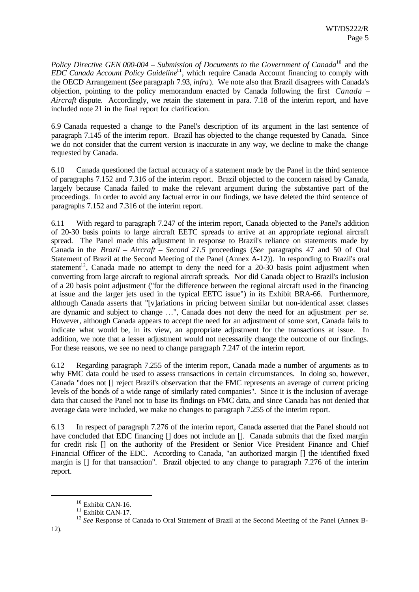*Policy Directive GEN 000-004 – Submission of Documents to the Government of Canada*<sup>10</sup> and the *EDC Canada Account Policy Guideline*<sup>11</sup>, which require Canada Account financing to comply with the OECD Arrangement (*See* paragraph 7.93, *infra*). We note also that Brazil disagrees with Canada's objection, pointing to the policy memorandum enacted by Canada following the first *Canada – Aircraft* dispute. Accordingly, we retain the statement in para. 7.18 of the interim report, and have included note 21 in the final report for clarification.

6.9 Canada requested a change to the Panel's description of its argument in the last sentence of paragraph 7.145 of the interim report. Brazil has objected to the change requested by Canada. Since we do not consider that the current version is inaccurate in any way, we decline to make the change requested by Canada.

6.10 Canada questioned the factual accuracy of a statement made by the Panel in the third sentence of paragraphs 7.152 and 7.316 of the interim report. Brazil objected to the concern raised by Canada, largely because Canada failed to make the relevant argument during the substantive part of the proceedings. In order to avoid any factual error in our findings, we have deleted the third sentence of paragraphs 7.152 and 7.316 of the interim report.

6.11 With regard to paragraph 7.247 of the interim report, Canada objected to the Panel's addition of 20-30 basis points to large aircraft EETC spreads to arrive at an appropriate regional aircraft spread. The Panel made this adjustment in response to Brazil's reliance on statements made by Canada in the *Brazil – Aircraft – Second 21.5* proceedings (*See* paragraphs 47 and 50 of Oral Statement of Brazil at the Second Meeting of the Panel (Annex A-12)). In responding to Brazil's oral statement<sup>12</sup>, Canada made no attempt to deny the need for a 20-30 basis point adjustment when converting from large aircraft to regional aircraft spreads. Nor did Canada object to Brazil's inclusion of a 20 basis point adjustment ("for the difference between the regional aircraft used in the financing at issue and the larger jets used in the typical EETC issue") in its Exhibit BRA-66. Furthermore, although Canada asserts that "[v]ariations in pricing between similar but non-identical asset classes are dynamic and subject to change …", Canada does not deny the need for an adjustment *per se*. However, although Canada appears to accept the need for an adjustment of some sort, Canada fails to indicate what would be, in its view, an appropriate adjustment for the transactions at issue. In addition, we note that a lesser adjustment would not necessarily change the outcome of our findings. For these reasons, we see no need to change paragraph 7.247 of the interim report.

6.12 Regarding paragraph 7.255 of the interim report, Canada made a number of arguments as to why FMC data could be used to assess transactions in certain circumstances. In doing so, however, Canada "does not [] reject Brazil's observation that the FMC represents an average of current pricing levels of the bonds of a wide range of similarly rated companies". Since it is the inclusion of average data that caused the Panel not to base its findings on FMC data, and since Canada has not denied that average data were included, we make no changes to paragraph 7.255 of the interim report.

6.13 In respect of paragraph 7.276 of the interim report, Canada asserted that the Panel should not have concluded that EDC financing  $\Box$  does not include an  $\Box$ . Canada submits that the fixed margin for credit risk  $\Box$  on the authority of the President or Senior Vice President Finance and Chief Financial Officer of the EDC. According to Canada, "an authorized margin [] the identified fixed margin is [] for that transaction". Brazil objected to any change to paragraph 7.276 of the interim report.

 $^{10}$  Exhibit CAN-16.

<sup>&</sup>lt;sup>11</sup> Exhibit CAN-17.

<sup>&</sup>lt;sup>12</sup> See Response of Canada to Oral Statement of Brazil at the Second Meeting of the Panel (Annex B-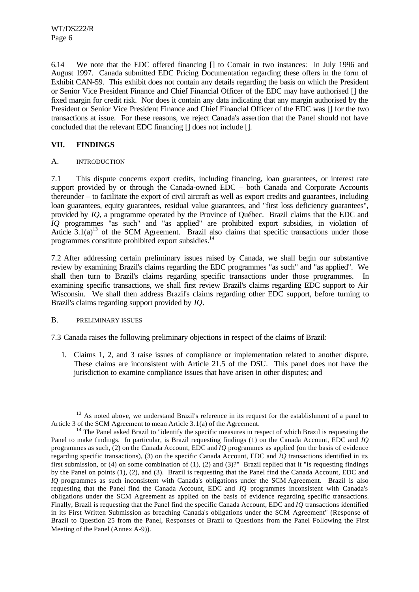6.14 We note that the EDC offered financing [] to Comair in two instances: in July 1996 and August 1997. Canada submitted EDC Pricing Documentation regarding these offers in the form of Exhibit CAN-59. This exhibit does not contain any details regarding the basis on which the President or Senior Vice President Finance and Chief Financial Officer of the EDC may have authorised [] the fixed margin for credit risk. Nor does it contain any data indicating that any margin authorised by the President or Senior Vice President Finance and Chief Financial Officer of the EDC was [] for the two transactions at issue. For these reasons, we reject Canada's assertion that the Panel should not have concluded that the relevant EDC financing [] does not include [].

# **VII. FINDINGS**

#### A. INTRODUCTION

7.1 This dispute concerns export credits, including financing, loan guarantees, or interest rate support provided by or through the Canada-owned EDC – both Canada and Corporate Accounts thereunder – to facilitate the export of civil aircraft as well as export credits and guarantees, including loan guarantees, equity guarantees, residual value guarantees, and "first loss deficiency guarantees", provided by *IQ*, a programme operated by the Province of Québec. Brazil claims that the EDC and *IQ* programmes "as such" and "as applied" are prohibited export subsidies, in violation of Article  $3.1(a)^{13}$  of the SCM Agreement. Brazil also claims that specific transactions under those programmes constitute prohibited export subsidies.<sup>14</sup>

7.2 After addressing certain preliminary issues raised by Canada, we shall begin our substantive review by examining Brazil's claims regarding the EDC programmes "as such" and "as applied". We shall then turn to Brazil's claims regarding specific transactions under those programmes. In examining specific transactions, we shall first review Brazil's claims regarding EDC support to Air Wisconsin. We shall then address Brazil's claims regarding other EDC support, before turning to Brazil's claims regarding support provided by *IQ*.

#### B. PRELIMINARY ISSUES

l

7.3 Canada raises the following preliminary objections in respect of the claims of Brazil:

1. Claims 1, 2, and 3 raise issues of compliance or implementation related to another dispute. These claims are inconsistent with Article 21.5 of the DSU. This panel does not have the jurisdiction to examine compliance issues that have arisen in other disputes; and

<sup>&</sup>lt;sup>13</sup> As noted above, we understand Brazil's reference in its request for the establishment of a panel to Article 3 of the SCM Agreement to mean Article 3.1(a) of the Agreement.

<sup>&</sup>lt;sup>14</sup> The Panel asked Brazil to "identify the specific measures in respect of which Brazil is requesting the Panel to make findings. In particular, is Brazil requesting findings (1) on the Canada Account, EDC and *IQ* programmes as such, (2) on the Canada Account, EDC and *IQ* programmes as applied (on the basis of evidence regarding specific transactions), (3) on the specific Canada Account, EDC and *IQ* transactions identified in its first submission, or (4) on some combination of (1), (2) and (3)?" Brazil replied that it "is requesting findings by the Panel on points (1), (2), and (3). Brazil is requesting that the Panel find the Canada Account, EDC and *IQ* programmes as such inconsistent with Canada's obligations under the SCM Agreement. Brazil is also requesting that the Panel find the Canada Account, EDC and *IQ* programmes inconsistent with Canada's obligations under the SCM Agreement as applied on the basis of evidence regarding specific transactions. Finally, Brazil is requesting that the Panel find the specific Canada Account, EDC and *IQ* transactions identified in its First Written Submission as breaching Canada's obligations under the SCM Agreement" (Response of Brazil to Question 25 from the Panel, Responses of Brazil to Questions from the Panel Following the First Meeting of the Panel (Annex A-9)).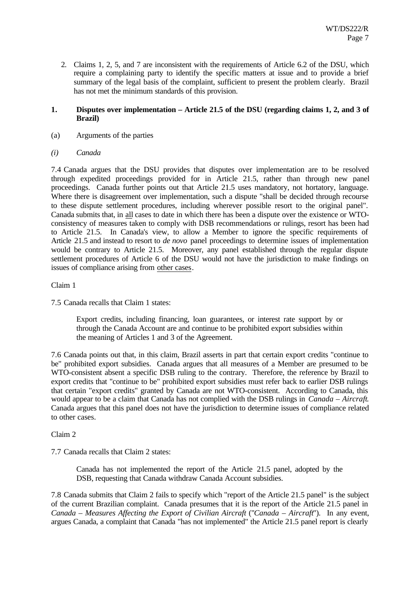2. Claims 1, 2, 5, and 7 are inconsistent with the requirements of Article 6.2 of the DSU, which require a complaining party to identify the specific matters at issue and to provide a brief summary of the legal basis of the complaint, sufficient to present the problem clearly. Brazil has not met the minimum standards of this provision.

#### **1. Disputes over implementation – Article 21.5 of the DSU (regarding claims 1, 2, and 3 of Brazil)**

- (a) Arguments of the parties
- *(i) Canada*

7.4 Canada argues that the DSU provides that disputes over implementation are to be resolved through expedited proceedings provided for in Article 21.5, rather than through new panel proceedings. Canada further points out that Article 21.5 uses mandatory, not hortatory, language. Where there is disagreement over implementation, such a dispute "shall be decided through recourse to these dispute settlement procedures, including wherever possible resort to the original panel". Canada submits that, in all cases to date in which there has been a dispute over the existence or WTOconsistency of measures taken to comply with DSB recommendations or rulings, resort has been had to Article 21.5. In Canada's view, to allow a Member to ignore the specific requirements of Article 21.5 and instead to resort to *de novo* panel proceedings to determine issues of implementation would be contrary to Article 21.5. Moreover, any panel established through the regular dispute settlement procedures of Article 6 of the DSU would not have the jurisdiction to make findings on issues of compliance arising from other cases.

Claim 1

7.5 Canada recalls that Claim 1 states:

Export credits, including financing, loan guarantees, or interest rate support by or through the Canada Account are and continue to be prohibited export subsidies within the meaning of Articles 1 and 3 of the Agreement.

7.6 Canada points out that, in this claim, Brazil asserts in part that certain export credits "continue to be" prohibited export subsidies. Canada argues that all measures of a Member are presumed to be WTO-consistent absent a specific DSB ruling to the contrary. Therefore, the reference by Brazil to export credits that "continue to be" prohibited export subsidies must refer back to earlier DSB rulings that certain "export credits" granted by Canada are not WTO-consistent. According to Canada, this would appear to be a claim that Canada has not complied with the DSB rulings in *Canada – Aircraft*. Canada argues that this panel does not have the jurisdiction to determine issues of compliance related to other cases.

# Claim 2

7.7 Canada recalls that Claim 2 states:

Canada has not implemented the report of the Article 21.5 panel, adopted by the DSB, requesting that Canada withdraw Canada Account subsidies.

7.8 Canada submits that Claim 2 fails to specify which "report of the Article 21.5 panel" is the subject of the current Brazilian complaint. Canada presumes that it is the report of the Article 21.5 panel in *Canada – Measures Affecting the Export of Civilian Aircraft* ("*Canada – Aircraft*"). In any event, argues Canada, a complaint that Canada "has not implemented" the Article 21.5 panel report is clearly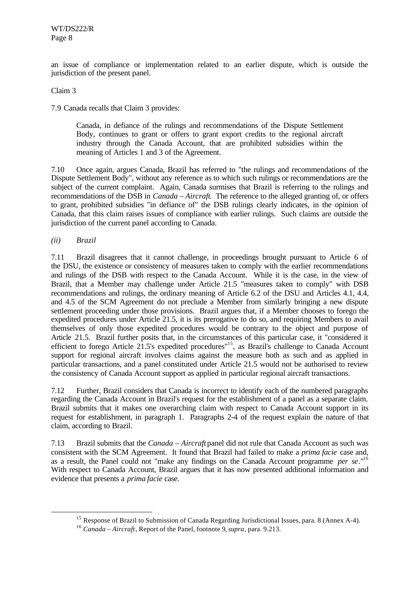an issue of compliance or implementation related to an earlier dispute, which is outside the jurisdiction of the present panel.

Claim 3

7.9 Canada recalls that Claim 3 provides:

Canada, in defiance of the rulings and recommendations of the Dispute Settlement Body, continues to grant or offers to grant export credits to the regional aircraft industry through the Canada Account, that are prohibited subsidies within the meaning of Articles 1 and 3 of the Agreement.

7.10 Once again, argues Canada, Brazil has referred to "the rulings and recommendations of the Dispute Settlement Body", without any reference as to which such rulings or recommendations are the subject of the current complaint. Again, Canada surmises that Brazil is referring to the rulings and recommendations of the DSB in *Canada – Aircraft*. The reference to the alleged granting of, or offers to grant, prohibited subsidies "in defiance of" the DSB rulings clearly indicates, in the opinion of Canada, that this claim raises issues of compliance with earlier rulings. Such claims are outside the jurisdiction of the current panel according to Canada.

*(ii) Brazil*

l

7.11 Brazil disagrees that it cannot challenge, in proceedings brought pursuant to Article 6 of the DSU, the existence or consistency of measures taken to comply with the earlier recommendations and rulings of the DSB with respect to the Canada Account. While it is the case, in the view of Brazil, that a Member may challenge under Article 21.5 "measures taken to comply" with DSB recommendations and rulings, the ordinary meaning of Article 6.2 of the DSU and Articles 4.1, 4.4, and 4.5 of the SCM Agreement do not preclude a Member from similarly bringing a new dispute settlement proceeding under those provisions. Brazil argues that, if a Member chooses to forego the expedited procedures under Article 21.5, it is its prerogative to do so, and requiring Members to avail themselves of only those expedited procedures would be contrary to the object and purpose of Article 21.5. Brazil further posits that, in the circumstances of this particular case, it "considered it efficient to forego Article 21.5's expedited procedures<sup>"15</sup>, as Brazil's challenge to Canada Account support for regional aircraft involves claims against the measure both as such and as applied in particular transactions, and a panel constituted under Article 21.5 would not be authorised to review the consistency of Canada Account support as applied in particular regional aircraft transactions.

7.12 Further, Brazil considers that Canada is incorrect to identify each of the numbered paragraphs regarding the Canada Account in Brazil's request for the establishment of a panel as a separate claim. Brazil submits that it makes one overarching claim with respect to Canada Account support in its request for establishment, in paragraph 1. Paragraphs 2-4 of the request explain the nature of that claim, according to Brazil.

7.13 Brazil submits that the *Canada – Aircraft* panel did not rule that Canada Account as such was consistent with the SCM Agreement. It found that Brazil had failed to make a *prima facie* case and, as a result, the Panel could not "make any findings on the Canada Account programme *per se*."<sup>16</sup> With respect to Canada Account, Brazil argues that it has now presented additional information and evidence that presents a *prima facie* case.

<sup>&</sup>lt;sup>15</sup> Response of Brazil to Submission of Canada Regarding Jurisdictional Issues, para. 8 (Annex A-4).

<sup>16</sup> *Canada – Aircraft*, Report of the Panel, footnote 9, *supra*, para. 9.213.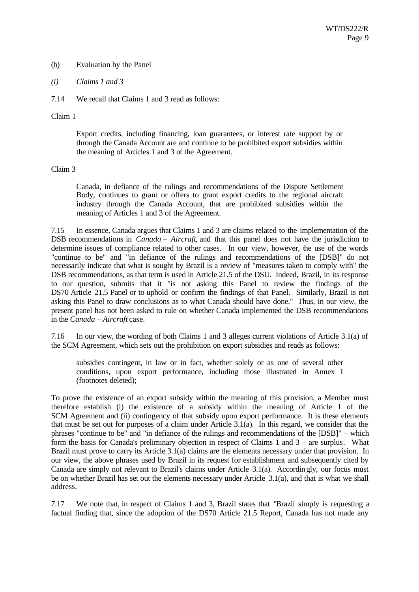#### (b) Evaluation by the Panel

#### *(i) Claims 1 and 3*

7.14 We recall that Claims 1 and 3 read as follows:

Claim 1

Export credits, including financing, loan guarantees, or interest rate support by or through the Canada Account are and continue to be prohibited export subsidies within the meaning of Articles 1 and 3 of the Agreement.

#### Claim 3

Canada, in defiance of the rulings and recommendations of the Dispute Settlement Body, continues to grant or offers to grant export credits to the regional aircraft industry through the Canada Account, that are prohibited subsidies within the meaning of Articles 1 and 3 of the Agreement.

7.15 In essence, Canada argues that Claims 1 and 3 are claims related to the implementation of the DSB recommendations in *Canada – Aircraft*, and that this panel does not have the jurisdiction to determine issues of compliance related to other cases. In our view, however, the use of the words "continue to be" and "in defiance of the rulings and recommendations of the [DSB]" do not necessarily indicate that what is sought by Brazil is a review of "measures taken to comply with" the DSB recommendations, as that term is used in Article 21.5 of the DSU. Indeed, Brazil, in its response to our question, submits that it "is not asking this Panel to review the findings of the DS70 Article 21.5 Panel or to uphold or confirm the findings of that Panel. Similarly, Brazil is not asking this Panel to draw conclusions as to what Canada should have done." Thus, in our view, the present panel has not been asked to rule on whether Canada implemented the DSB recommendations in the *Canada – Aircraft* case.

7.16 In our view, the wording of both Claims 1 and 3 alleges current violations of Article 3.1(a) of the SCM Agreement, which sets out the prohibition on export subsidies and reads as follows:

subsidies contingent, in law or in fact, whether solely or as one of several other conditions, upon export performance, including those illustrated in Annex I (footnotes deleted);

To prove the existence of an export subsidy within the meaning of this provision, a Member must therefore establish (i) the existence of a subsidy within the meaning of Article 1 of the SCM Agreement and (ii) contingency of that subsidy upon export performance. It is these elements that must be set out for purposes of a claim under Article 3.1(a). In this regard, we consider that the phrases "continue to be" and "in defiance of the rulings and recommendations of the [DSB]" – which form the basis for Canada's preliminary objection in respect of Claims 1 and 3 – are surplus. What Brazil must prove to carry its Article 3.1(a) claims are the elements necessary under that provision. In our view, the above phrases used by Brazil in its request for establishment and subsequently cited by Canada are simply not relevant to Brazil's claims under Article 3.1(a). Accordingly, our focus must be on whether Brazil has set out the elements necessary under Article 3.1(a), and that is what we shall address.

7.17 We note that, in respect of Claims 1 and 3, Brazil states that "Brazil simply is requesting a factual finding that, since the adoption of the DS70 Article 21.5 Report, Canada has not made any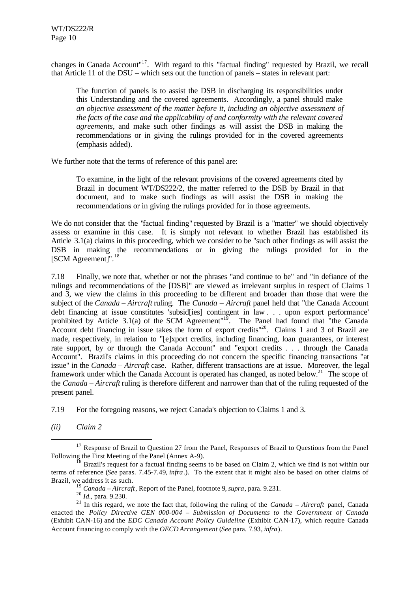changes in Canada Account"<sup>17</sup>. With regard to this "factual finding" requested by Brazil, we recall that Article 11 of the DSU – which sets out the function of panels – states in relevant part:

The function of panels is to assist the DSB in discharging its responsibilities under this Understanding and the covered agreements. Accordingly, a panel should make *an objective assessment of the matter before it, including an objective assessment of the facts of the case and the applicability of and conformity with the relevant covered agreements*, and make such other findings as will assist the DSB in making the recommendations or in giving the rulings provided for in the covered agreements (emphasis added).

We further note that the terms of reference of this panel are:

To examine, in the light of the relevant provisions of the covered agreements cited by Brazil in document WT/DS222/2, the matter referred to the DSB by Brazil in that document, and to make such findings as will assist the DSB in making the recommendations or in giving the rulings provided for in those agreements.

We do not consider that the "factual finding" requested by Brazil is a "matter" we should objectively assess or examine in this case. It is simply not relevant to whether Brazil has established its Article 3.1(a) claims in this proceeding, which we consider to be "such other findings as will assist the DSB in making the recommendations or in giving the rulings provided for in the [SCM Agreement]".<sup>18</sup>

7.18 Finally, we note that, whether or not the phrases "and continue to be" and "in defiance of the rulings and recommendations of the [DSB]" are viewed as irrelevant surplus in respect of Claims 1 and 3, we view the claims in this proceeding to be different and broader than those that were the subject of the *Canada – Aircraft* ruling. The *Canada – Aircraft* panel held that "the Canada Account debt financing at issue constitutes 'subsid[ies] contingent in law . . . upon export performance' prohibited by Article 3.1(a) of the SCM Agreement"<sup>19</sup>. The Panel had found that "the Canada" Account debt financing in issue takes the form of export credits<sup>"20</sup>. Claims 1 and 3 of Brazil are made, respectively, in relation to "[e]xport credits, including financing, loan guarantees, or interest rate support, by or through the Canada Account" and "export credits . . . through the Canada Account". Brazil's claims in this proceeding do not concern the specific financing transactions "at issue" in the *Canada – Aircraft* case. Rather, different transactions are at issue. Moreover, the legal framework under which the Canada Account is operated has changed, as noted below.<sup>21</sup> The scope of the *Canada – Aircraft* ruling is therefore different and narrower than that of the ruling requested of the present panel.

7.19 For the foregoing reasons, we reject Canada's objection to Claims 1 and 3.

*(ii) Claim 2*

 $17$  Response of Brazil to Question 27 from the Panel, Responses of Brazil to Questions from the Panel Following the First Meeting of the Panel (Annex A-9).

<sup>&</sup>lt;sup>18</sup> Brazil's request for a factual finding seems to be based on Claim 2, which we find is not within our terms of reference (*See* paras. 7.45-7.49, *infra*.). To the extent that it might also be based on other claims of Brazil, we address it as such.

<sup>19</sup> *Canada – Aircraft*, Report of the Panel, footnote 9, *supra*, para. 9.231.

<sup>20</sup> *Id.*, para. 9.230.

<sup>21</sup> In this regard, we note the fact that, following the ruling of the *Canada – Aircraft* panel, Canada enacted the *Policy Directive GEN 000-004 – Submission of Documents to the Government of Canada* (Exhibit CAN-16) and the *EDC Canada Account Policy Guideline* (Exhibit CAN-17), which require Canada Account financing to comply with the *OECD Arrangement* (*See* para. 7.93, *infra*).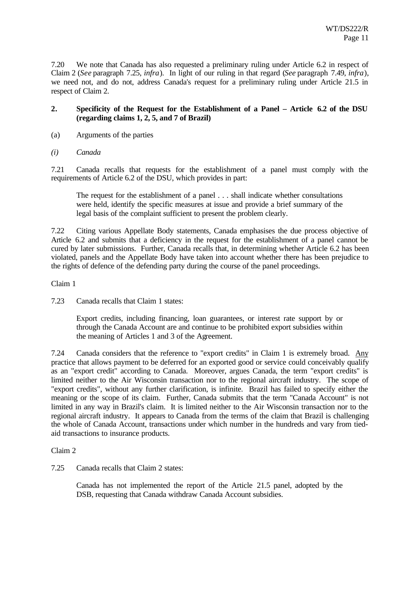7.20 We note that Canada has also requested a preliminary ruling under Article 6.2 in respect of Claim 2 (*See* paragraph 7.25, *infra*). In light of our ruling in that regard (*See* paragraph 7.49, *infra*), we need not, and do not, address Canada's request for a preliminary ruling under Article 21.5 in respect of Claim 2.

### **2. Specificity of the Request for the Establishment of a Panel – Article 6.2 of the DSU (regarding claims 1, 2, 5, and 7 of Brazil)**

- (a) Arguments of the parties
- *(i) Canada*

7.21 Canada recalls that requests for the establishment of a panel must comply with the requirements of Article 6.2 of the DSU, which provides in part:

The request for the establishment of a panel . . . shall indicate whether consultations were held, identify the specific measures at issue and provide a brief summary of the legal basis of the complaint sufficient to present the problem clearly.

7.22 Citing various Appellate Body statements, Canada emphasises the due process objective of Article 6.2 and submits that a deficiency in the request for the establishment of a panel cannot be cured by later submissions. Further, Canada recalls that, in determining whether Article 6.2 has been violated, panels and the Appellate Body have taken into account whether there has been prejudice to the rights of defence of the defending party during the course of the panel proceedings.

Claim 1

7.23 Canada recalls that Claim 1 states:

Export credits, including financing, loan guarantees, or interest rate support by or through the Canada Account are and continue to be prohibited export subsidies within the meaning of Articles 1 and 3 of the Agreement.

7.24 Canada considers that the reference to "export credits" in Claim 1 is extremely broad. Any practice that allows payment to be deferred for an exported good or service could conceivably qualify as an "export credit" according to Canada. Moreover, argues Canada, the term "export credits" is limited neither to the Air Wisconsin transaction nor to the regional aircraft industry. The scope of "export credits", without any further clarification, is infinite. Brazil has failed to specify either the meaning or the scope of its claim. Further, Canada submits that the term "Canada Account" is not limited in any way in Brazil's claim. It is limited neither to the Air Wisconsin transaction nor to the regional aircraft industry. It appears to Canada from the terms of the claim that Brazil is challenging the whole of Canada Account, transactions under which number in the hundreds and vary from tiedaid transactions to insurance products.

# Claim 2

7.25 Canada recalls that Claim 2 states:

Canada has not implemented the report of the Article 21.5 panel, adopted by the DSB, requesting that Canada withdraw Canada Account subsidies.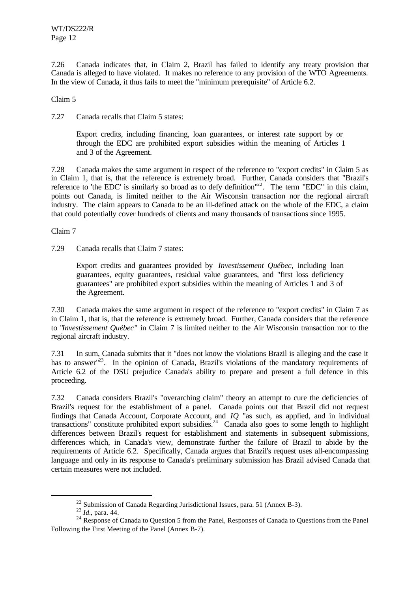7.26 Canada indicates that, in Claim 2, Brazil has failed to identify any treaty provision that Canada is alleged to have violated. It makes no reference to any provision of the WTO Agreements. In the view of Canada, it thus fails to meet the "minimum prerequisite" of Article 6.2.

Claim 5

7.27 Canada recalls that Claim 5 states:

Export credits, including financing, loan guarantees, or interest rate support by or through the EDC are prohibited export subsidies within the meaning of Articles 1 and 3 of the Agreement.

7.28 Canada makes the same argument in respect of the reference to "export credits" in Claim 5 as in Claim 1, that is, that the reference is extremely broad. Further, Canada considers that "Brazil's reference to 'the EDC' is similarly so broad as to defy definition"<sup>22</sup>. The term "EDC" in this claim, points out Canada, is limited neither to the Air Wisconsin transaction nor the regional aircraft industry. The claim appears to Canada to be an ill-defined attack on the whole of the EDC, a claim that could potentially cover hundreds of clients and many thousands of transactions since 1995.

Claim 7

7.29 Canada recalls that Claim 7 states:

Export credits and guarantees provided by *Investissement Québec*, including loan guarantees, equity guarantees, residual value guarantees, and "first loss deficiency guarantees" are prohibited export subsidies within the meaning of Articles 1 and 3 of the Agreement.

7.30 Canada makes the same argument in respect of the reference to "export credits" in Claim 7 as in Claim 1, that is, that the reference is extremely broad. Further, Canada considers that the reference to "*Investissement Québec*" in Claim 7 is limited neither to the Air Wisconsin transaction nor to the regional aircraft industry.

7.31 In sum, Canada submits that it "does not know the violations Brazil is alleging and the case it has to answer<sup>123</sup>. In the opinion of Canada, Brazil's violations of the mandatory requirements of Article 6.2 of the DSU prejudice Canada's ability to prepare and present a full defence in this proceeding.

7.32 Canada considers Brazil's "overarching claim" theory an attempt to cure the deficiencies of Brazil's request for the establishment of a panel. Canada points out that Brazil did not request findings that Canada Account, Corporate Account, and *IQ* "as such, as applied, and in individual transactions" constitute prohibited export subsidies.<sup>24</sup> Canada also goes to some length to highlight differences between Brazil's request for establishment and statements in subsequent submissions, differences which, in Canada's view, demonstrate further the failure of Brazil to abide by the requirements of Article 6.2. Specifically, Canada argues that Brazil's request uses all-encompassing language and only in its response to Canada's preliminary submission has Brazil advised Canada that certain measures were not included.

<sup>22</sup> Submission of Canada Regarding Jurisdictional Issues, para. 51 (Annex B-3).

<sup>23</sup> *Id.*, para. 44.

<sup>&</sup>lt;sup>24</sup> Response of Canada to Question 5 from the Panel, Responses of Canada to Questions from the Panel Following the First Meeting of the Panel (Annex B-7).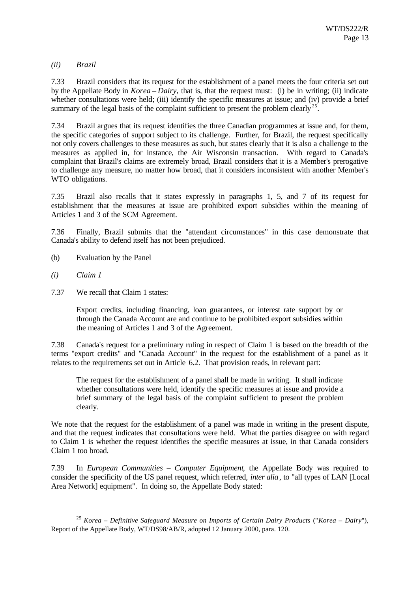*(ii) Brazil*

7.33 Brazil considers that its request for the establishment of a panel meets the four criteria set out by the Appellate Body in *Korea – Dairy*, that is, that the request must: (i) be in writing; (ii) indicate whether consultations were held; (iii) identify the specific measures at issue; and (iv) provide a brief summary of the legal basis of the complaint sufficient to present the problem clearly<sup>25</sup>.

7.34 Brazil argues that its request identifies the three Canadian programmes at issue and, for them, the specific categories of support subject to its challenge. Further, for Brazil, the request specifically not only covers challenges to these measures as such, but states clearly that it is also a challenge to the measures as applied in, for instance, the Air Wisconsin transaction. With regard to Canada's complaint that Brazil's claims are extremely broad, Brazil considers that it is a Member's prerogative to challenge any measure, no matter how broad, that it considers inconsistent with another Member's WTO obligations.

7.35 Brazil also recalls that it states expressly in paragraphs 1, 5, and 7 of its request for establishment that the measures at issue are prohibited export subsidies within the meaning of Articles 1 and 3 of the SCM Agreement.

7.36 Finally, Brazil submits that the "attendant circumstances" in this case demonstrate that Canada's ability to defend itself has not been prejudiced.

- (b) Evaluation by the Panel
- *(i) Claim 1*

l

7.37 We recall that Claim 1 states:

Export credits, including financing, loan guarantees, or interest rate support by or through the Canada Account are and continue to be prohibited export subsidies within the meaning of Articles 1 and 3 of the Agreement.

7.38 Canada's request for a preliminary ruling in respect of Claim 1 is based on the breadth of the terms "export credits" and "Canada Account" in the request for the establishment of a panel as it relates to the requirements set out in Article 6.2. That provision reads, in relevant part:

The request for the establishment of a panel shall be made in writing. It shall indicate whether consultations were held, identify the specific measures at issue and provide a brief summary of the legal basis of the complaint sufficient to present the problem clearly.

We note that the request for the establishment of a panel was made in writing in the present dispute, and that the request indicates that consultations were held. What the parties disagree on with regard to Claim 1 is whether the request identifies the specific measures at issue, in that Canada considers Claim 1 too broad.

7.39 In *European Communities – Computer Equipment*, the Appellate Body was required to consider the specificity of the US panel request, which referred, *inter alia*, to "all types of LAN [Local Area Network] equipment". In doing so, the Appellate Body stated:

<sup>25</sup> *Korea – Definitive Safeguard Measure on Imports of Certain Dairy Products* ("*Korea – Dairy*"), Report of the Appellate Body, WT/DS98/AB/R, adopted 12 January 2000, para. 120.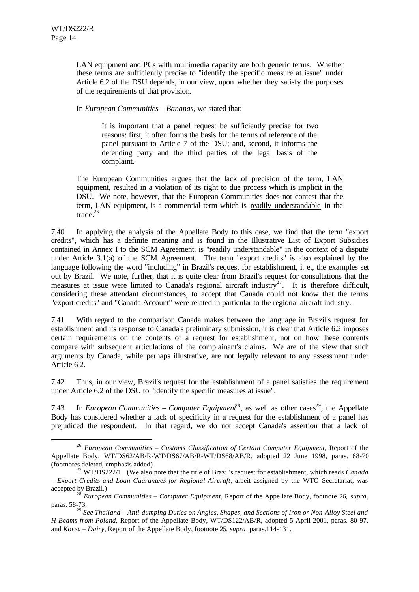l

LAN equipment and PCs with multimedia capacity are both generic terms. Whether these terms are sufficiently precise to "identify the specific measure at issue" under Article 6.2 of the DSU depends, in our view, upon whether they satisfy the purposes of the requirements of that provision.

In *European Communities – Bananas*, we stated that:

It is important that a panel request be sufficiently precise for two reasons: first, it often forms the basis for the terms of reference of the panel pursuant to Article 7 of the DSU; and, second, it informs the defending party and the third parties of the legal basis of the complaint.

The European Communities argues that the lack of precision of the term, LAN equipment, resulted in a violation of its right to due process which is implicit in the DSU. We note, however, that the European Communities does not contest that the term, LAN equipment, is a commercial term which is readily understandable in the trade. $26$ 

7.40 In applying the analysis of the Appellate Body to this case, we find that the term "export credits", which has a definite meaning and is found in the Illustrative List of Export Subsidies contained in Annex I to the SCM Agreement, is "readily understandable" in the context of a dispute under Article 3.1(a) of the SCM Agreement. The term "export credits" is also explained by the language following the word "including" in Brazil's request for establishment, i. e., the examples set out by Brazil. We note, further, that it is quite clear from Brazil's request for consultations that the measures at issue were limited to Canada's regional aircraft industry<sup>27</sup>. It is therefore difficult, considering these attendant circumstances, to accept that Canada could not know that the terms "export credits" and "Canada Account" were related in particular to the regional aircraft industry.

7.41 With regard to the comparison Canada makes between the language in Brazil's request for establishment and its response to Canada's preliminary submission, it is clear that Article 6.2 imposes certain requirements on the contents of a request for establishment, not on how these contents compare with subsequent articulations of the complainant's claims. We are of the view that such arguments by Canada, while perhaps illustrative, are not legally relevant to any assessment under Article 6.2.

7.42 Thus, in our view, Brazil's request for the establishment of a panel satisfies the requirement under Article 6.2 of the DSU to "identify the specific measures at issue".

7.43 In *European Communities – Computer Equipment*<sup>28</sup>, as well as other cases<sup>29</sup>, the Appellate Body has considered whether a lack of specificity in a request for the establishment of a panel has prejudiced the respondent. In that regard, we do not accept Canada's assertion that a lack of

<sup>26</sup> *European Communities – Customs Classification of Certain Computer Equipment*, Report of the Appellate Body, WT/DS62/AB/R-WT/DS67/AB/R-WT/DS68/AB/R, adopted 22 June 1998, paras. 68-70 (footnotes deleted, emphasis added).

<sup>27</sup> WT/DS222/1. (We also note that the title of Brazil's request for establishment, which reads *Canada – Export Credits and Loan Guarantees for Regional Aircraft*, albeit assigned by the WTO Secretariat, was accepted by Brazil.)

<sup>28</sup> *European Communities – Computer Equipment*, Report of the Appellate Body, footnote 26, *supra*, paras. 58-73.

<sup>29</sup> *See Thailand – Anti-dumping Duties on Angles, Shapes, and Sections of Iron or Non-Alloy Steel and H-Beams from Poland*, Report of the Appellate Body, WT/DS122/AB/R, adopted 5 April 2001, paras. 80-97, and *Korea – Dairy*, Report of the Appellate Body, footnote 25, *supra*, paras.114-131.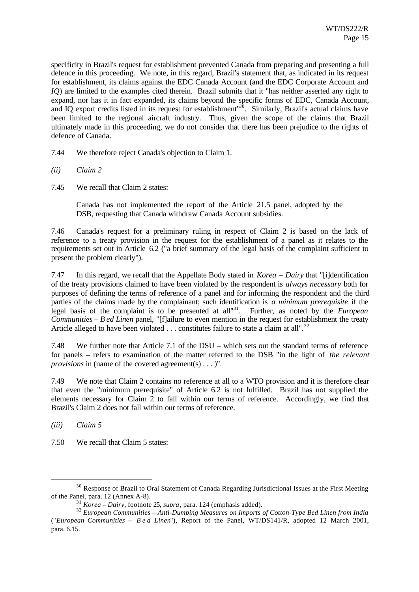specificity in Brazil's request for establishment prevented Canada from preparing and presenting a full defence in this proceeding. We note, in this regard, Brazil's statement that, as indicated in its request for establishment, its claims against the EDC Canada Account (and the EDC Corporate Account and *IQ*) are limited to the examples cited therein. Brazil submits that it "has neither asserted any right to expand, nor has it in fact expanded, its claims beyond the specific forms of EDC, Canada Account, and IQ export credits listed in its request for establishment<sup>130</sup>. Similarly, Brazil's actual claims have been limited to the regional aircraft industry. Thus, given the scope of the claims that Brazil ultimately made in this proceeding, we do not consider that there has been prejudice to the rights of defence of Canada.

7.44 We therefore reject Canada's objection to Claim 1.

*(ii) Claim 2*

7.45 We recall that Claim 2 states:

Canada has not implemented the report of the Article 21.5 panel, adopted by the DSB, requesting that Canada withdraw Canada Account subsidies.

7.46 Canada's request for a preliminary ruling in respect of Claim 2 is based on the lack of reference to a treaty provision in the request for the establishment of a panel as it relates to the requirements set out in Article 6.2 ("a brief summary of the legal basis of the complaint sufficient to present the problem clearly").

7.47 In this regard, we recall that the Appellate Body stated in *Korea – Dairy* that "[i]dentification of the treaty provisions claimed to have been violated by the respondent is *always necessary* both for purposes of defining the terms of reference of a panel and for informing the respondent and the third parties of the claims made by the complainant; such identification is *a minimum prerequisite* if the legal basis of the complaint is to be presented at all"<sup>31</sup>. Further, as noted by the *European Communities – B ed Linen panel,* "[f]ailure to even mention in the request for establishment the treaty Article alleged to have been violated  $\ldots$  constitutes failure to state a claim at all".<sup>32</sup>

7.48 We further note that Article 7.1 of the DSU – which sets out the standard terms of reference for panels – refers to examination of the matter referred to the DSB "in the light of *the relevant provisions* in (name of the covered agreement(s) . . . )".

7.49 We note that Claim 2 contains no reference at all to a WTO provision and it is therefore clear that even the "minimum prerequisite" of Article 6.2 is not fulfilled. Brazil has not supplied the elements necessary for Claim 2 to fall within our terms of reference. Accordingly, we find that Brazil's Claim 2 does not fall within our terms of reference.

*(iii) Claim 5*

l

7.50 We recall that Claim 5 states:

<sup>&</sup>lt;sup>30</sup> Response of Brazil to Oral Statement of Canada Regarding Jurisdictional Issues at the First Meeting of the Panel, para. 12 (Annex A-8).

<sup>31</sup> *Korea – Dairy*, footnote 25, *supra*, para. 124 (emphasis added).

<sup>32</sup> *European Communities – Anti-Dumping Measures on Imports of Cotton-Type Bed Linen from India* ("*European Communities – B e d Linen*"), Report of the Panel, WT/DS141/R, adopted 12 March 2001, para. 6.15.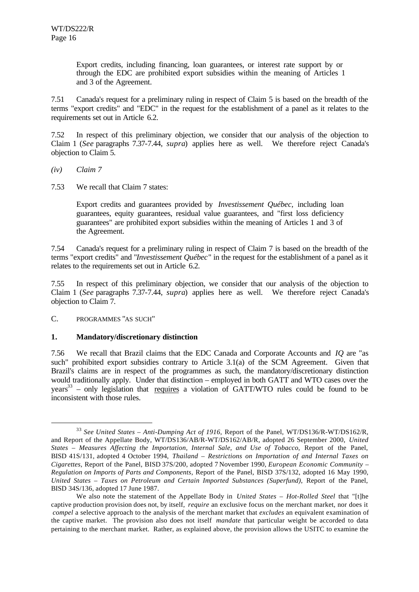Export credits, including financing, loan guarantees, or interest rate support by or through the EDC are prohibited export subsidies within the meaning of Articles 1 and 3 of the Agreement.

7.51 Canada's request for a preliminary ruling in respect of Claim 5 is based on the breadth of the terms "export credits" and "EDC" in the request for the establishment of a panel as it relates to the requirements set out in Article 6.2.

7.52 In respect of this preliminary objection, we consider that our analysis of the objection to Claim 1 (*See* paragraphs 7.37-7.44, *supra*) applies here as well. We therefore reject Canada's objection to Claim 5.

*(iv) Claim 7*

7.53 We recall that Claim 7 states:

Export credits and guarantees provided by *Investissement Québec*, including loan guarantees, equity guarantees, residual value guarantees, and "first loss deficiency guarantees" are prohibited export subsidies within the meaning of Articles 1 and 3 of the Agreement.

7.54 Canada's request for a preliminary ruling in respect of Claim 7 is based on the breadth of the terms "export credits" and "*Investissement Québec*" in the request for the establishment of a panel as it relates to the requirements set out in Article 6.2.

7.55 In respect of this preliminary objection, we consider that our analysis of the objection to Claim 1 (*See* paragraphs 7.37-7.44, *supra*) applies here as well. We therefore reject Canada's objection to Claim 7.

C. PROGRAMMES "AS SUCH"

l

# **1. Mandatory/discretionary distinction**

7.56 We recall that Brazil claims that the EDC Canada and Corporate Accounts and *IQ* are "as such" prohibited export subsidies contrary to Article 3.1(a) of the SCM Agreement. Given that Brazil's claims are in respect of the programmes as such, the mandatory/discretionary distinction would traditionally apply. Under that distinction – employed in both GATT and WTO cases over the years<sup>33</sup> – only legislation that requires a violation of GATT/WTO rules could be found to be inconsistent with those rules.

<sup>33</sup> *See United States – Anti-Dumping Act of 1916*, Report of the Panel, WT/DS136/R-WT/DS162/R, and Report of the Appellate Body, WT/DS136/AB/R-WT/DS162/AB/R, adopted 26 September 2000, *United States – Measures Affecting the Importation, Internal Sale, and Use of Tobacco*, Report of the Panel, BISD 41S/131, adopted 4 October 1994, *Thailand – Restrictions on Importation of and Internal Taxes on Cigarettes*, Report of the Panel, BISD 37S/200, adopted 7 November 1990, *European Economic Community – Regulation on Imports of Parts and Components*, Report of the Panel, BISD 37S/132, adopted 16 May 1990, *United States – Taxes on Petroleum and Certain Imported Substances (Superfund)*, Report of the Panel, BISD 34S/136, adopted 17 June 1987.

We also note the statement of the Appellate Body in *United States – Hot-Rolled Steel* that "[t]he captive production provision does not, by itself, *require* an exclusive focus on the merchant market, nor does it *compel* a selective approach to the analysis of the merchant market that *excludes* an equivalent examination of the captive market. The provision also does not itself *mandate* that particular weight be accorded to data pertaining to the merchant market. Rather, as explained above, the provision allows the USITC to examine the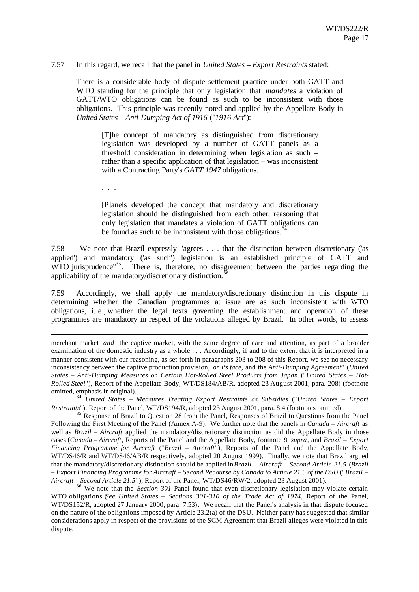#### 7.57 In this regard, we recall that the panel in *United States – Export Restraints* stated:

There is a considerable body of dispute settlement practice under both GATT and WTO standing for the principle that only legislation that *mandates* a violation of GATT/WTO obligations can be found as such to be inconsistent with those obligations. This principle was recently noted and applied by the Appellate Body in *United States – Anti-Dumping Act of 1916* ("*1916 Act*"):

[T]he concept of mandatory as distinguished from discretionary legislation was developed by a number of GATT panels as a threshold consideration in determining when legislation as such – rather than a specific application of that legislation – was inconsistent with a Contracting Party's *GATT 1947* obligations.

. . .

l

[P]anels developed the concept that mandatory and discretionary legislation should be distinguished from each other, reasoning that only legislation that mandates a violation of GATT obligations can be found as such to be inconsistent with those obligations.<sup>3</sup>

7.58 We note that Brazil expressly "agrees . . . that the distinction between discretionary ('as applied') and mandatory ('as such') legislation is an established principle of GATT and WTO jurisprudence<sup>"35</sup>. There is, therefore, no disagreement between the parties regarding the applicability of the mandatory/discretionary distinction.<sup>3</sup>

7.59 Accordingly, we shall apply the mandatory/discretionary distinction in this dispute in determining whether the Canadian programmes at issue are as such inconsistent with WTO obligations, i. e., whether the legal texts governing the establishment and operation of these programmes are mandatory in respect of the violations alleged by Brazil. In other words, to assess

merchant market *and* the captive market, with the same degree of care and attention, as part of a broader examination of the domestic industry as a whole . . . Accordingly, if and to the extent that it is interpreted in a manner consistent with our reasoning, as set forth in paragraphs 203 to 208 of this Report, we see no necessary inconsistency between the captive production provision, *on its face*, and the *Anti-Dumping Agreement*" (*United States – Anti-Dumping Measures on Certain Hot-Rolled Steel Products from Japan* ("*United States – Hot-Rolled Steel*"), Report of the Appellate Body, WT/DS184/AB/R, adopted 23 August 2001, para. 208) (footnote omitted, emphasis in original).

<sup>34</sup> *United States – Measures Treating Export Restraints as Subsidies* ("*United States – Export Restraints*"), Report of the Panel, WT/DS194/R, adopted 23 August 2001, para. 8.4 (footnotes omitted).

<sup>&</sup>lt;sup>35</sup> Response of Brazil to Question 28 from the Panel, Responses of Brazil to Questions from the Panel Following the First Meeting of the Panel (Annex A-9). We further note that the panels in *Canada – Aircraft* as well as *Brazil – Aircraft* applied the mandatory/discretionary distinction as did the Appellate Body in those cases (*Canada – Aircraft*, Reports of the Panel and the Appellate Body, footnote 9, *supra*, and *Brazil – Export Financing Programme for Aircraft* ("*Brazil – Aircraft*"), Reports of the Panel and the Appellate Body, WT/DS46/R and WT/DS46/AB/R respectively, adopted 20 August 1999). Finally, we note that Brazil argued that the mandatory/discretionary distinction should be applied in *Brazil – Aircraft – Second Article 21.5* (*Brazil – Export Financing Programme for Aircraft – Second Recourse by Canada to Article 21.5 of the DSU* ("*Brazil – Aircraft – Second Article 21.5*"), Report of the Panel, WT/DS46/RW/2, adopted 23 August 2001).

<sup>36</sup> We note that the *Section 301* Panel found that even discretionary legislation may violate certain WTO obligations (*See United States – Sections 301-310 of the Trade Act of 1974*, Report of the Panel, WT/DS152/R, adopted 27 January 2000, para. 7.53). We recall that the Panel's analysis in that dispute focused on the nature of the obligations imposed by Article 23.2(a) of the DSU. Neither party has suggested that similar considerations apply in respect of the provisions of the SCM Agreement that Brazil alleges were violated in this dispute.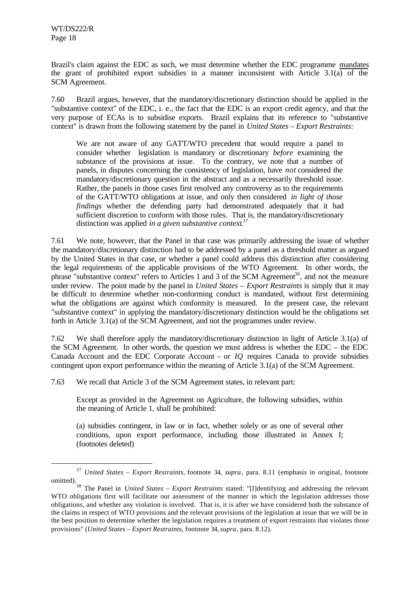l

Brazil's claim against the EDC as such, we must determine whether the EDC programme mandates the grant of prohibited export subsidies in a manner inconsistent with Article 3.1(a) of the SCM Agreement.

7.60 Brazil argues, however, that the mandatory/discretionary distinction should be applied in the "substantive context" of the EDC, i. e., the fact that the EDC is an export credit agency, and that the very purpose of ECAs is to subsidise exports. Brazil explains that its reference to "substantive context" is drawn from the following statement by the panel in *United States – Export Restraints*:

We are not aware of any GATT/WTO precedent that would require a panel to consider whether legislation is mandatory or discretionary *before* examining the substance of the provisions at issue. To the contrary, we note that a number of panels, in disputes concerning the consistency of legislation, have *not* considered the mandatory/discretionary question in the abstract and as a necessarily threshold issue. Rather, the panels in those cases first resolved any controversy as to the requirements of the GATT/WTO obligations at issue, and only then considered *in light of those findings* whether the defending party had demonstrated adequately that it had sufficient discretion to conform with those rules. That is, the mandatory/discretionary distinction was applied *in a given substantive context*. 37

7.61 We note, however, that the Panel in that case was primarily addressing the issue of whether the mandatory/discretionary distinction had to be addressed by a panel as a threshold matter as argued by the United States in that case, or whether a panel could address this distinction after considering the legal requirements of the applicable provisions of the WTO Agreement. In other words, the phrase "substantive context" refers to Articles 1 and 3 of the SCM Agreement<sup>38</sup>, and not the measure under review. The point made by the panel in *United States – Export Restraints* is simply that it may be difficult to determine whether non-conforming conduct is mandated, without first determining what the obligations are against which conformity is measured. In the present case, the relevant "substantive context" in applying the mandatory/discretionary distinction would be the obligations set forth in Article 3.1(a) of the SCM Agreement, and not the programmes under review.

7.62 We shall therefore apply the mandatory/discretionary distinction in light of Article 3.1(a) of the SCM Agreement. In other words, the question we must address is whether the EDC – the EDC Canada Account and the EDC Corporate Account – or *IQ* requires Canada to provide subsidies contingent upon export performance within the meaning of Article 3.1(a) of the SCM Agreement.

7.63 We recall that Article 3 of the SCM Agreement states, in relevant part:

Except as provided in the Agreement on Agriculture, the following subsidies, within the meaning of Article 1, shall be prohibited:

(a) subsidies contingent, in law or in fact, whether solely or as one of several other conditions, upon export performance, including those illustrated in Annex I; (footnotes deleted)

<sup>37</sup> *United States – Export Restraints*, footnote 34, *supra*, para. 8.11 (emphasis in original, footnote omitted).

<sup>38</sup> The Panel in *United States – Export Restraints* stated: "[I]dentifying and addressing the relevant WTO obligations first will facilitate our assessment of the manner in which the legislation addresses those obligations, and whether any violation is involved. That is, it is after we have considered both the substance of the claims in respect of WTO provisions and the relevant provisions of the legislation at issue that we will be in the best position to determine whether the legislation requires a treatment of export restraints that violates those provisions" (*United States – Export Restraints*, footnote 34, *supra*, para. 8.12).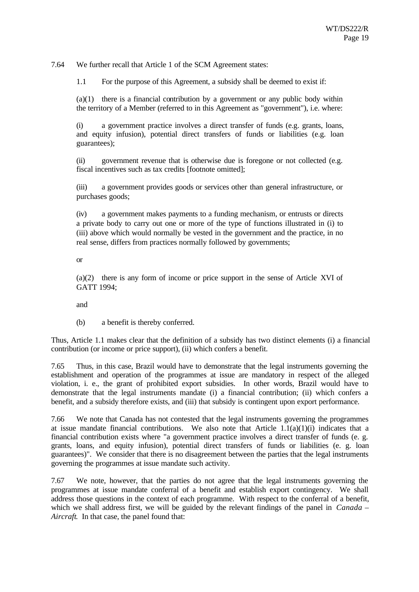7.64 We further recall that Article 1 of the SCM Agreement states:

1.1 For the purpose of this Agreement, a subsidy shall be deemed to exist if:

(a)(1) there is a financial contribution by a government or any public body within the territory of a Member (referred to in this Agreement as "government"), i.e. where:

(i) a government practice involves a direct transfer of funds (e.g. grants, loans, and equity infusion), potential direct transfers of funds or liabilities (e.g. loan guarantees);

(ii) government revenue that is otherwise due is foregone or not collected (e.g. fiscal incentives such as tax credits [footnote omitted];

(iii) a government provides goods or services other than general infrastructure, or purchases goods;

(iv) a government makes payments to a funding mechanism, or entrusts or directs a private body to carry out one or more of the type of functions illustrated in (i) to (iii) above which would normally be vested in the government and the practice, in no real sense, differs from practices normally followed by governments;

or

(a)(2) there is any form of income or price support in the sense of Article XVI of GATT 1994;

and

(b) a benefit is thereby conferred.

Thus, Article 1.1 makes clear that the definition of a subsidy has two distinct elements (i) a financial contribution (or income or price support), (ii) which confers a benefit.

7.65 Thus, in this case, Brazil would have to demonstrate that the legal instruments governing the establishment and operation of the programmes at issue are mandatory in respect of the alleged violation, i. e., the grant of prohibited export subsidies. In other words, Brazil would have to demonstrate that the legal instruments mandate (i) a financial contribution; (ii) which confers a benefit, and a subsidy therefore exists, and (iii) that subsidy is contingent upon export performance.

7.66 We note that Canada has not contested that the legal instruments governing the programmes at issue mandate financial contributions. We also note that Article  $1.1(a)(1)(i)$  indicates that a financial contribution exists where "a government practice involves a direct transfer of funds (e. g. grants, loans, and equity infusion), potential direct transfers of funds or liabilities (e. g. loan guarantees)". We consider that there is no disagreement between the parties that the legal instruments governing the programmes at issue mandate such activity.

7.67 We note, however, that the parties do not agree that the legal instruments governing the programmes at issue mandate conferral of a benefit and establish export contingency. We shall address those questions in the context of each programme. With respect to the conferral of a benefit, which we shall address first, we will be guided by the relevant findings of the panel in *Canada – Aircraft*. In that case, the panel found that: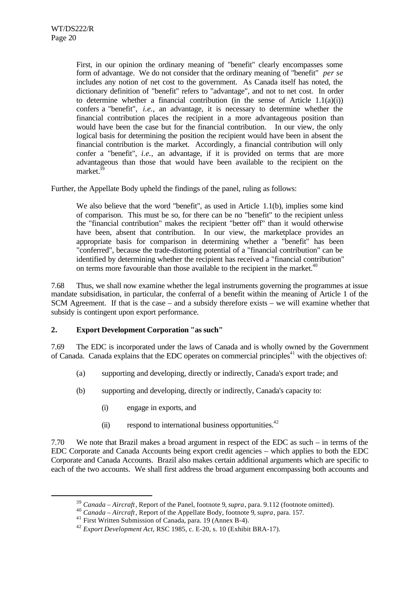l

First, in our opinion the ordinary meaning of "benefit" clearly encompasses some form of advantage. We do not consider that the ordinary meaning of "benefit" *per se* includes any notion of net cost to the government. As Canada itself has noted, the dictionary definition of "benefit" refers to "advantage", and not to net cost. In order to determine whether a financial contribution (in the sense of Article  $1.1(a)(i)$ ) confers a "benefit", *i.e.*, an advantage, it is necessary to determine whether the financial contribution places the recipient in a more advantageous position than would have been the case but for the financial contribution. In our view, the only logical basis for determining the position the recipient would have been in absent the financial contribution is the market. Accordingly, a financial contribution will only confer a "benefit", *i.e.*, an advantage, if it is provided on terms that are more advantageous than those that would have been available to the recipient on the market. $39$ 

Further, the Appellate Body upheld the findings of the panel, ruling as follows:

We also believe that the word "benefit", as used in Article 1.1(b), implies some kind of comparison. This must be so, for there can be no "benefit" to the recipient unless the "financial contribution" makes the recipient "better off" than it would otherwise have been, absent that contribution. In our view, the marketplace provides an appropriate basis for comparison in determining whether a "benefit" has been "conferred", because the trade-distorting potential of a "financial contribution" can be identified by determining whether the recipient has received a "financial contribution" on terms more favourable than those available to the recipient in the market.<sup>40</sup>

7.68 Thus, we shall now examine whether the legal instruments governing the programmes at issue mandate subsidisation, in particular, the conferral of a benefit within the meaning of Article 1 of the SCM Agreement. If that is the case – and a subsidy therefore exists – we will examine whether that subsidy is contingent upon export performance.

# **2. Export Development Corporation "as such"**

7.69 The EDC is incorporated under the laws of Canada and is wholly owned by the Government of Canada. Canada explains that the EDC operates on commercial principles<sup>41</sup> with the objectives of:

- (a) supporting and developing, directly or indirectly, Canada's export trade; and
- (b) supporting and developing, directly or indirectly, Canada's capacity to:
	- (i) engage in exports, and
	- (ii) respond to international business opportunities.<sup>42</sup>

7.70 We note that Brazil makes a broad argument in respect of the EDC as such – in terms of the EDC Corporate and Canada Accounts being export credit agencies – which applies to both the EDC Corporate and Canada Accounts. Brazil also makes certain additional arguments which are specific to each of the two accounts. We shall first address the broad argument encompassing both accounts and

<sup>39</sup> *Canada – Aircraft*, Report of the Panel, footnote 9, *supra*, para. 9.112 (footnote omitted).

<sup>40</sup> *Canada – Aircraft*, Report of the Appellate Body, footnote 9, *supra*, para. 157.

<sup>41</sup> First Written Submission of Canada, para. 19 (Annex B-4).

<sup>42</sup> *Export Development Act*, RSC 1985, c. E-20, s. 10 (Exhibit BRA-17).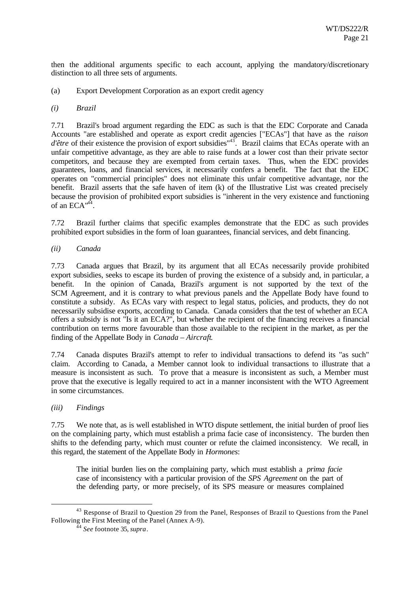then the additional arguments specific to each account, applying the mandatory/discretionary distinction to all three sets of arguments.

- (a) Export Development Corporation as an export credit agency
- *(i) Brazil*

7.71 Brazil's broad argument regarding the EDC as such is that the EDC Corporate and Canada Accounts "are established and operate as export credit agencies ["ECAs"] that have as the *raison d'être* of their existence the provision of export subsidies<sup>"43</sup>. Brazil claims that ECAs operate with an unfair competitive advantage, as they are able to raise funds at a lower cost than their private sector competitors, and because they are exempted from certain taxes. Thus, when the EDC provides guarantees, loans, and financial services, it necessarily confers a benefit. The fact that the EDC operates on "commercial principles" does not eliminate this unfair competitive advantage, nor the benefit. Brazil asserts that the safe haven of item (k) of the Illustrative List was created precisely because the provision of prohibited export subsidies is "inherent in the very existence and functioning of an  $ECA^{\cdot \sqrt{4}}$ .

7.72 Brazil further claims that specific examples demonstrate that the EDC as such provides prohibited export subsidies in the form of loan guarantees, financial services, and debt financing.

*(ii) Canada*

7.73 Canada argues that Brazil, by its argument that all ECAs necessarily provide prohibited export subsidies, seeks to escape its burden of proving the existence of a subsidy and, in particular, a benefit. In the opinion of Canada, Brazil's argument is not supported by the text of the SCM Agreement, and it is contrary to what previous panels and the Appellate Body have found to constitute a subsidy. As ECAs vary with respect to legal status, policies, and products, they do not necessarily subsidise exports, according to Canada. Canada considers that the test of whether an ECA offers a subsidy is not "Is it an ECA?", but whether the recipient of the financing receives a financial contribution on terms more favourable than those available to the recipient in the market, as per the finding of the Appellate Body in *Canada – Aircraft*.

7.74 Canada disputes Brazil's attempt to refer to individual transactions to defend its "as such" claim. According to Canada, a Member cannot look to individual transactions to illustrate that a measure is inconsistent as such. To prove that a measure is inconsistent as such, a Member must prove that the executive is legally required to act in a manner inconsistent with the WTO Agreement in some circumstances.

*(iii) Findings*

l

7.75 We note that, as is well established in WTO dispute settlement, the initial burden of proof lies on the complaining party, which must establish a prima facie case of inconsistency. The burden then shifts to the defending party, which must counter or refute the claimed inconsistency. We recall, in this regard, the statement of the Appellate Body in *Hormones*:

The initial burden lies on the complaining party, which must establish a *prima facie* case of inconsistency with a particular provision of the *SPS Agreement* on the part of the defending party, or more precisely, of its SPS measure or measures complained

<sup>&</sup>lt;sup>43</sup> Response of Brazil to Question 29 from the Panel, Responses of Brazil to Questions from the Panel Following the First Meeting of the Panel (Annex A-9).

<sup>44</sup> *See* footnote 35, *supra*.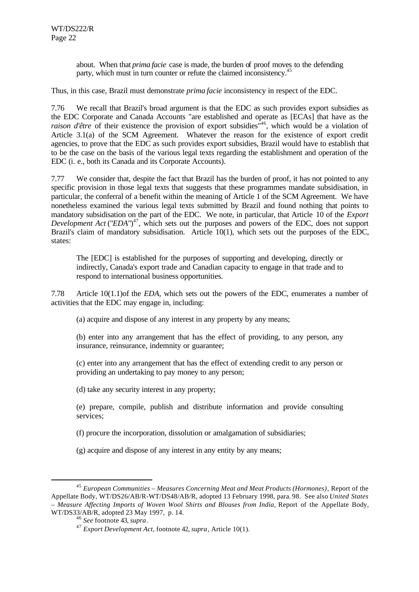about. When that *prima facie* case is made, the burden of proof moves to the defending party, which must in turn counter or refute the claimed inconsistency.<sup>45</sup>

Thus, in this case, Brazil must demonstrate *prima facie* inconsistency in respect of the EDC.

7.76 We recall that Brazil's broad argument is that the EDC as such provides export subsidies as the EDC Corporate and Canada Accounts "are established and operate as [ECAs] that have as the raison d'être of their existence the provision of export subsidies<sup>"46</sup>, which would be a violation of Article 3.1(a) of the SCM Agreement. Whatever the reason for the existence of export credit agencies, to prove that the EDC as such provides export subsidies, Brazil would have to establish that to be the case on the basis of the various legal texts regarding the establishment and operation of the EDC (i. e., both its Canada and its Corporate Accounts).

7.77 We consider that, despite the fact that Brazil has the burden of proof, it has not pointed to any specific provision in those legal texts that suggests that these programmes mandate subsidisation, in particular, the conferral of a benefit within the meaning of Article 1 of the SCM Agreement. We have nonetheless examined the various legal texts submitted by Brazil and found nothing that points to mandatory subsidisation on the part of the EDC. We note, in particular, that Article 10 of the *Export Development Act* ("*EDA*")<sup>47</sup>, which sets out the purposes and powers of the EDC, does not support Brazil's claim of mandatory subsidisation. Article 10(1), which sets out the purposes of the EDC, states:

The [EDC] is established for the purposes of supporting and developing, directly or indirectly, Canada's export trade and Canadian capacity to engage in that trade and to respond to international business opportunities.

7.78 Article 10(1.1)of the *EDA*, which sets out the powers of the EDC, enumerates a number of activities that the EDC may engage in, including:

(a) acquire and dispose of any interest in any property by any means;

(b) enter into any arrangement that has the effect of providing, to any person, any insurance, reinsurance, indemnity or guarantee;

(c) enter into any arrangement that has the effect of extending credit to any person or providing an undertaking to pay money to any person;

(d) take any security interest in any property;

(e) prepare, compile, publish and distribute information and provide consulting services;

(f) procure the incorporation, dissolution or amalgamation of subsidiaries;

(g) acquire and dispose of any interest in any entity by any means;

<sup>45</sup> *European Communities – Measures Concerning Meat and Meat Products (Hormones)*, Report of the Appellate Body, WT/DS26/AB/R-WT/DS48/AB/R, adopted 13 February 1998, para. 98. See also *United States – Measure Affecting Imports of Woven Wool Shirts and Blouses from India*, Report of the Appellate Body, WT/DS33/AB/R, adopted 23 May 1997, p. 14.

<sup>46</sup> *See* footnote 43, *supra*.

<sup>47</sup> *Export Development Act*, footnote 42, *supra*, Article 10(1).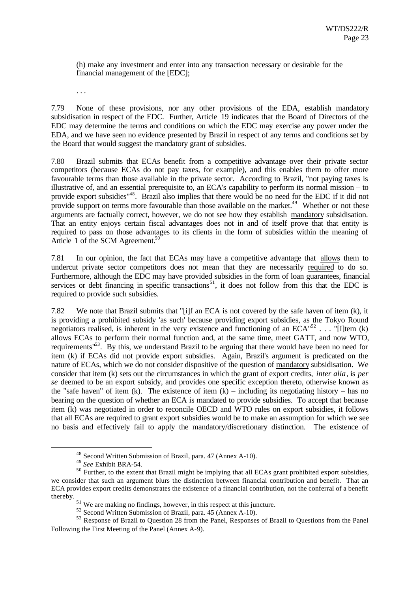(h) make any investment and enter into any transaction necessary or desirable for the financial management of the [EDC];

7.79 None of these provisions, nor any other provisions of the EDA, establish mandatory subsidisation in respect of the EDC. Further, Article 19 indicates that the Board of Directors of the EDC may determine the terms and conditions on which the EDC may exercise any power under the EDA, and we have seen no evidence presented by Brazil in respect of any terms and conditions set by the Board that would suggest the mandatory grant of subsidies.

7.80 Brazil submits that ECAs benefit from a competitive advantage over their private sector competitors (because ECAs do not pay taxes, for example), and this enables them to offer more favourable terms than those available in the private sector. According to Brazil, "not paying taxes is illustrative of, and an essential prerequisite to, an ECA's capability to perform its normal mission – to provide export subsidies"<sup>48</sup>. Brazil also implies that there would be no need for the EDC if it did not provide support on terms more favourable than those available on the market.<sup>49</sup> Whether or not these arguments are factually correct, however, we do not see how they establish mandatory subsidisation. That an entity enjoys certain fiscal advantages does not in and of itself prove that that entity is required to pass on those advantages to its clients in the form of subsidies within the meaning of Article 1 of the SCM Agreement.<sup>50</sup>

7.81 In our opinion, the fact that ECAs may have a competitive advantage that allows them to undercut private sector competitors does not mean that they are necessarily required to do so. Furthermore, although the EDC may have provided subsidies in the form of loan guarantees, financial services or debt financing in specific transactions<sup>51</sup>, it does not follow from this that the EDC is required to provide such subsidies.

7.82 We note that Brazil submits that "[i]f an ECA is not covered by the safe haven of item (k), it is providing a prohibited subsidy 'as such' because providing export subsidies, as the Tokyo Round negotiators realised, is inherent in the very existence and functioning of an  $ECA<sup>52</sup>$ ... "[I]tem (k) allows ECAs to perform their normal function and, at the same time, meet GATT, and now WTO, requirements<sup>"53</sup>. By this, we understand Brazil to be arguing that there would have been no need for item (k) if ECAs did not provide export subsidies. Again, Brazil's argument is predicated on the nature of ECAs, which we do not consider dispositive of the question of mandatory subsidisation. We consider that item (k) sets out the circumstances in which the grant of export credits, *inter alia*, is *per se* deemed to be an export subsidy, and provides one specific exception thereto, otherwise known as the "safe haven" of item (k). The existence of item  $(k)$  – including its negotiating history – has no bearing on the question of whether an ECA is mandated to provide subsidies. To accept that because item (k) was negotiated in order to reconcile OECD and WTO rules on export subsidies, it follows that all ECAs are required to grant export subsidies would be to make an assumption for which we see no basis and effectively fail to apply the mandatory/discretionary distinction. The existence of

l

. . .

<sup>48</sup> Second Written Submission of Brazil, para. 47 (Annex A-10).

<sup>49</sup> *See* Exhibit BRA-54.

<sup>&</sup>lt;sup>50</sup> Further, to the extent that Brazil might be implying that all ECAs grant prohibited export subsidies, we consider that such an argument blurs the distinction between financial contribution and benefit. That an ECA provides export credits demonstrates the existence of a financial contribution, not the conferral of a benefit thereby.

<sup>&</sup>lt;sup>51</sup> We are making no findings, however, in this respect at this juncture.

<sup>&</sup>lt;sup>52</sup> Second Written Submission of Brazil, para. 45 (Annex A-10).

<sup>&</sup>lt;sup>53</sup> Response of Brazil to Question 28 from the Panel, Responses of Brazil to Questions from the Panel Following the First Meeting of the Panel (Annex A-9).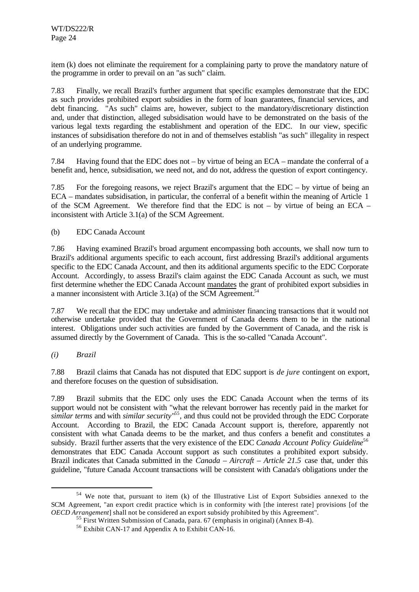item (k) does not eliminate the requirement for a complaining party to prove the mandatory nature of the programme in order to prevail on an "as such" claim.

7.83 Finally, we recall Brazil's further argument that specific examples demonstrate that the EDC as such provides prohibited export subsidies in the form of loan guarantees, financial services, and debt financing. "As such" claims are, however, subject to the mandatory/discretionary distinction and, under that distinction, alleged subsidisation would have to be demonstrated on the basis of the various legal texts regarding the establishment and operation of the EDC. In our view, specific instances of subsidisation therefore do not in and of themselves establish "as such" illegality in respect of an underlying programme.

7.84 Having found that the EDC does not – by virtue of being an ECA – mandate the conferral of a benefit and, hence, subsidisation, we need not, and do not, address the question of export contingency.

7.85 For the foregoing reasons, we reject Brazil's argument that the EDC – by virtue of being an ECA – mandates subsidisation, in particular, the conferral of a benefit within the meaning of Article 1 of the SCM Agreement. We therefore find that the EDC is not – by virtue of being an ECA – inconsistent with Article 3.1(a) of the SCM Agreement.

(b) EDC Canada Account

7.86 Having examined Brazil's broad argument encompassing both accounts, we shall now turn to Brazil's additional arguments specific to each account, first addressing Brazil's additional arguments specific to the EDC Canada Account, and then its additional arguments specific to the EDC Corporate Account. Accordingly, to assess Brazil's claim against the EDC Canada Account as such, we must first determine whether the EDC Canada Account mandates the grant of prohibited export subsidies in a manner inconsistent with Article 3.1(a) of the SCM Agreement.<sup>54</sup>

7.87 We recall that the EDC may undertake and administer financing transactions that it would not otherwise undertake provided that the Government of Canada deems them to be in the national interest. Obligations under such activities are funded by the Government of Canada, and the risk is assumed directly by the Government of Canada. This is the so-called "Canada Account".

# *(i) Brazil*

l

7.88 Brazil claims that Canada has not disputed that EDC support is *de jure* contingent on export, and therefore focuses on the question of subsidisation.

7.89 Brazil submits that the EDC only uses the EDC Canada Account when the terms of its support would not be consistent with "what the relevant borrower has recently paid in the market for *similar terms* and with *similar security*" <sup>55</sup>, and thus could not be provided through the EDC Corporate Account. According to Brazil, the EDC Canada Account support is, therefore, apparently not consistent with what Canada deems to be the market, and thus confers a benefit and constitutes a subsidy. Brazil further asserts that the very existence of the EDC *Canada Account Policy Guideline*<sup>56</sup> demonstrates that EDC Canada Account support as such constitutes a prohibited export subsidy. Brazil indicates that Canada submitted in the *Canada – Aircraft – Article 21.5* case that, under this guideline, "future Canada Account transactions will be consistent with Canada's obligations under the

<sup>54</sup> We note that, pursuant to item (k) of the Illustrative List of Export Subsidies annexed to the SCM Agreement, "an export credit practice which is in conformity with [the interest rate] provisions [of the *OECD Arrangement*] shall not be considered an export subsidy prohibited by this Agreement".

<sup>55</sup> First Written Submission of Canada, para. 67 (emphasis in original) (Annex B-4).

<sup>56</sup> Exhibit CAN-17 and Appendix A to Exhibit CAN-16.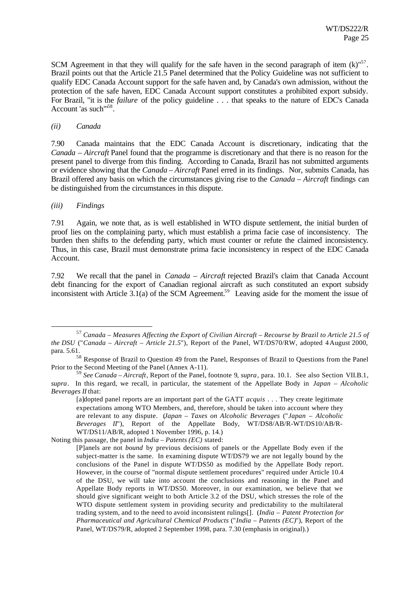SCM Agreement in that they will qualify for the safe haven in the second paragraph of item  $(k)$ <sup>157</sup>. Brazil points out that the Article 21.5 Panel determined that the Policy Guideline was not sufficient to qualify EDC Canada Account support for the safe haven and, by Canada's own admission, without the protection of the safe haven, EDC Canada Account support constitutes a prohibited export subsidy. For Brazil, "it is the *failure* of the policy guideline . . . that speaks to the nature of EDC's Canada Account 'as such"<sup>58</sup>.

#### *(ii) Canada*

7.90 Canada maintains that the EDC Canada Account is discretionary, indicating that the *Canada – Aircraft* Panel found that the programme is discretionary and that there is no reason for the present panel to diverge from this finding. According to Canada, Brazil has not submitted arguments or evidence showing that the *Canada – Aircraft* Panel erred in its findings. Nor, submits Canada, has Brazil offered any basis on which the circumstances giving rise to the *Canada – Aircraft* findings can be distinguished from the circumstances in this dispute.

#### *(iii) Findings*

l

7.91 Again, we note that, as is well established in WTO dispute settlement, the initial burden of proof lies on the complaining party, which must establish a prima facie case of inconsistency. The burden then shifts to the defending party, which must counter or refute the claimed inconsistency. Thus, in this case, Brazil must demonstrate prima facie inconsistency in respect of the EDC Canada Account.

7.92 We recall that the panel in *Canada – Aircraft* rejected Brazil's claim that Canada Account debt financing for the export of Canadian regional aircraft as such constituted an export subsidy inconsistent with Article  $3.1(a)$  of the SCM Agreement.<sup>59</sup> Leaving aside for the moment the issue of

<sup>57</sup> *Canada – Measures Affecting the Export of Civilian Aircraft – Recourse by Brazil to Article 21.5 of the DSU* ("*Canada – Aircraft – Article 21.5*"), Report of the Panel, WT/DS70/RW, adopted 4 August 2000, para. 5.61.

<sup>58</sup> Response of Brazil to Question 49 from the Panel, Responses of Brazil to Questions from the Panel Prior to the Second Meeting of the Panel (Annex A-11).

<sup>59</sup> *See Canada – Aircraft*, Report of the Panel, footnote 9, *supra*, para. 10.1. See also Section VII.B.1, *supra*. In this regard, we recall, in particular, the statement of the Appellate Body in *Japan – Alcoholic Beverages II* that:

<sup>[</sup>a]dopted panel reports are an important part of the GATT *acquis* . . . They create legitimate expectations among WTO Members, and, therefore, should be taken into account where they are relevant to any dispute. (*Japan – Taxes on Alcoholic Beverages* ("*Japan – Alcoholic Beverages II*"), Report of the Appellate Body, WT/DS8/AB/R-WT/DS10/AB/R-WT/DS11/AB/R, adopted 1 November 1996, p. 14.)

Noting this passage, the panel in *India – Patents (EC)* stated:

<sup>[</sup>P]anels are not *bound* by previous decisions of panels or the Appellate Body even if the subject-matter is the same. In examining dispute WT/DS79 we are not legally bound by the conclusions of the Panel in dispute WT/DS50 as modified by the Appellate Body report. However, in the course of "normal dispute settlement procedures" required under Article 10.4 of the DSU, we will take into account the conclusions and reasoning in the Panel and Appellate Body reports in WT/DS50. Moreover, in our examination, we believe that we should give significant weight to both Article 3.2 of the DSU, which stresses the role of the WTO dispute settlement system in providing security and predictability to the multilateral trading system, and to the need to avoid inconsistent rulings[]. (*India – Patent Protection for Pharmaceutical and Agricultural Chemical Products* ("*India – Patents (EC)*"), Report of the Panel, WT/DS79/R, adopted 2 September 1998, para. 7.30 (emphasis in original).)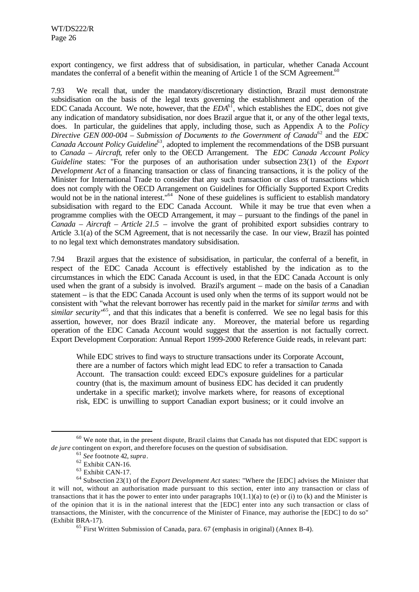export contingency, we first address that of subsidisation, in particular, whether Canada Account mandates the conferral of a benefit within the meaning of Article 1 of the SCM Agreement.<sup>60</sup>

7.93 We recall that, under the mandatory/discretionary distinction, Brazil must demonstrate subsidisation on the basis of the legal texts governing the establishment and operation of the EDC Canada Account. We note, however, that the *EDA*<sup>61</sup>, which establishes the EDC, does not give any indication of mandatory subsidisation, nor does Brazil argue that it, or any of the other legal texts, does. In particular, the guidelines that apply, including those, such as Appendix A to the *Policy Directive GEN 000-004 – Submission of Documents to the Government of Canada*<sup>62</sup> and the *EDC Canada Account Policy Guideline*<sup>63</sup>, adopted to implement the recommendations of the DSB pursuant to *Canada – Aircraft*, refer only to the OECD Arrangement. The *EDC Canada Account Policy Guideline* states: "For the purposes of an authorisation under subsection 23(1) of the *Export Development Act* of a financing transaction or class of financing transactions, it is the policy of the Minister for International Trade to consider that any such transaction or class of transactions which does not comply with the OECD Arrangement on Guidelines for Officially Supported Export Credits would not be in the national interest."<sup>64</sup> None of these guidelines is sufficient to establish mandatory subsidisation with regard to the EDC Canada Account. While it may be true that even when a programme complies with the OECD Arrangement, it may – pursuant to the findings of the panel in *Canada – Aircraft – Article 21.5* – involve the grant of prohibited export subsidies contrary to Article 3.1(a) of the SCM Agreement, that is not necessarily the case. In our view, Brazil has pointed to no legal text which demonstrates mandatory subsidisation.

7.94 Brazil argues that the existence of subsidisation, in particular, the conferral of a benefit, in respect of the EDC Canada Account is effectively established by the indication as to the circumstances in which the EDC Canada Account is used, in that the EDC Canada Account is only used when the grant of a subsidy is involved. Brazil's argument – made on the basis of a Canadian statement – is that the EDC Canada Account is used only when the terms of its support would not be consistent with "what the relevant borrower has recently paid in the market for *similar terms* and with similar security<sup>165</sup>, and that this indicates that a benefit is conferred. We see no legal basis for this assertion, however, nor does Brazil indicate any. Moreover, the material before us regarding operation of the EDC Canada Account would suggest that the assertion is not factually correct. Export Development Corporation: Annual Report 1999-2000 Reference Guide reads, in relevant part:

While EDC strives to find ways to structure transactions under its Corporate Account, there are a number of factors which might lead EDC to refer a transaction to Canada Account. The transaction could: exceed EDC's exposure guidelines for a particular country (that is, the maximum amount of business EDC has decided it can prudently undertake in a specific market); involve markets where, for reasons of exceptional risk, EDC is unwilling to support Canadian export business; or it could involve an

<sup>&</sup>lt;sup>60</sup> We note that, in the present dispute, Brazil claims that Canada has not disputed that EDC support is *de jure* contingent on export, and therefore focuses on the question of subsidisation.

<sup>61</sup> *See* footnote 42, *supra*.

 $62$  Exhibit CAN-16.

<sup>63</sup> Exhibit CAN-17.

<sup>64</sup> Subsection 23(1) of the *Export Development Act* states: "Where the [EDC] advises the Minister that it will not, without an authorisation made pursuant to this section, enter into any transaction or class of transactions that it has the power to enter into under paragraphs  $10(1.1)(a)$  to (e) or (i) to (k) and the Minister is of the opinion that it is in the national interest that the [EDC] enter into any such transaction or class of transactions, the Minister, with the concurrence of the Minister of Finance, may authorise the [EDC] to do so" (Exhibit BRA-17).

<sup>65</sup> First Written Submission of Canada, para. 67 (emphasis in original) (Annex B-4).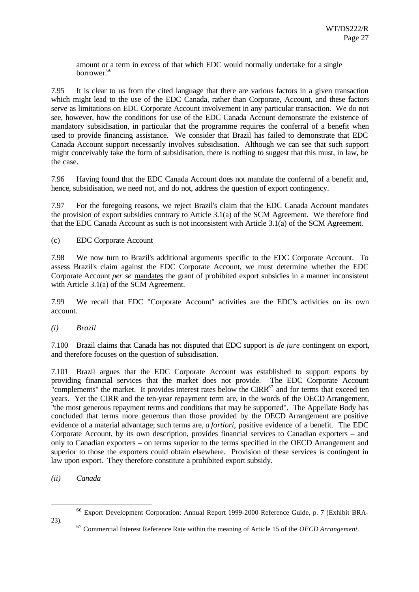amount or a term in excess of that which EDC would normally undertake for a single borrower.<sup>66</sup>

7.95 It is clear to us from the cited language that there are various factors in a given transaction which might lead to the use of the EDC Canada, rather than Corporate, Account, and these factors serve as limitations on EDC Corporate Account involvement in any particular transaction. We do not see, however, how the conditions for use of the EDC Canada Account demonstrate the existence of mandatory subsidisation, in particular that the programme requires the conferral of a benefit when used to provide financing assistance. We consider that Brazil has failed to demonstrate that EDC Canada Account support necessarily involves subsidisation. Although we can see that such support might conceivably take the form of subsidisation, there is nothing to suggest that this must, in law, be the case.

7.96 Having found that the EDC Canada Account does not mandate the conferral of a benefit and, hence, subsidisation, we need not, and do not, address the question of export contingency.

7.97 For the foregoing reasons, we reject Brazil's claim that the EDC Canada Account mandates the provision of export subsidies contrary to Article 3.1(a) of the SCM Agreement. We therefore find that the EDC Canada Account as such is not inconsistent with Article 3.1(a) of the SCM Agreement.

(c) EDC Corporate Account

7.98 We now turn to Brazil's additional arguments specific to the EDC Corporate Account. To assess Brazil's claim against the EDC Corporate Account, we must determine whether the EDC Corporate Account *per se* mandates the grant of prohibited export subsidies in a manner inconsistent with Article 3.1(a) of the SCM Agreement.

7.99 We recall that EDC "Corporate Account" activities are the EDC's activities on its own account.

*(i) Brazil*

7.100 Brazil claims that Canada has not disputed that EDC support is *de jure* contingent on export, and therefore focuses on the question of subsidisation.

7.101 Brazil argues that the EDC Corporate Account was established to support exports by providing financial services that the market does not provide. The EDC Corporate Account "complements" the market. It provides interest rates below the  $CIRR<sup>67</sup>$  and for terms that exceed ten years. Yet the CIRR and the ten-year repayment term are, in the words of the OECD Arrangement, "the most generous repayment terms and conditions that may be supported". The Appellate Body has concluded that terms more generous than those provided by the OECD Arrangement are positive evidence of a material advantage; such terms are, *a fortiori*, positive evidence of a benefit. The EDC Corporate Account, by its own description, provides financial services to Canadian exporters – and only to Canadian exporters – on terms superior to the terms specified in the OECD Arrangement and superior to those the exporters could obtain elsewhere. Provision of these services is contingent in law upon export. They therefore constitute a prohibited export subsidy.

*(ii) Canada*

23).

<sup>66</sup> Export Development Corporation: Annual Report 1999-2000 Reference Guide, p. 7 (Exhibit BRA-

<sup>67</sup> Commercial Interest Reference Rate within the meaning of Article 15 of the *OECD Arrangement*.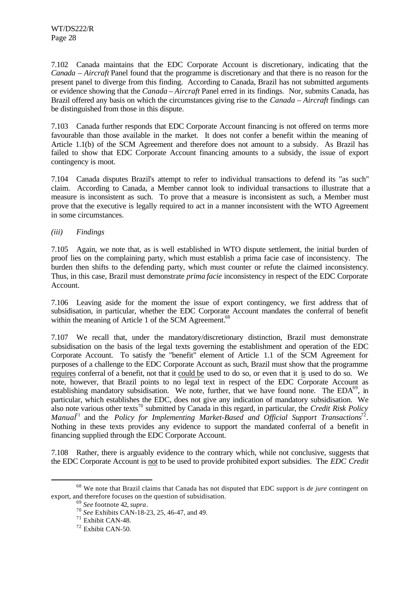7.102 Canada maintains that the EDC Corporate Account is discretionary, indicating that the *Canada – Aircraft* Panel found that the programme is discretionary and that there is no reason for the present panel to diverge from this finding. According to Canada, Brazil has not submitted arguments or evidence showing that the *Canada – Aircraft* Panel erred in its findings. Nor, submits Canada, has Brazil offered any basis on which the circumstances giving rise to the *Canada – Aircraft* findings can be distinguished from those in this dispute.

7.103 Canada further responds that EDC Corporate Account financing is not offered on terms more favourable than those available in the market. It does not confer a benefit within the meaning of Article 1.1(b) of the SCM Agreement and therefore does not amount to a subsidy. As Brazil has failed to show that EDC Corporate Account financing amounts to a subsidy, the issue of export contingency is moot.

7.104 Canada disputes Brazil's attempt to refer to individual transactions to defend its "as such" claim. According to Canada, a Member cannot look to individual transactions to illustrate that a measure is inconsistent as such. To prove that a measure is inconsistent as such, a Member must prove that the executive is legally required to act in a manner inconsistent with the WTO Agreement in some circumstances.

*(iii) Findings*

7.105 Again, we note that, as is well established in WTO dispute settlement, the initial burden of proof lies on the complaining party, which must establish a prima facie case of inconsistency. The burden then shifts to the defending party, which must counter or refute the claimed inconsistency. Thus, in this case, Brazil must demonstrate *prima facie* inconsistency in respect of the EDC Corporate Account.

7.106 Leaving aside for the moment the issue of export contingency, we first address that of subsidisation, in particular, whether the EDC Corporate Account mandates the conferral of benefit within the meaning of Article 1 of the SCM Agreement.<sup>68</sup>

7.107 We recall that, under the mandatory/discretionary distinction, Brazil must demonstrate subsidisation on the basis of the legal texts governing the establishment and operation of the EDC Corporate Account. To satisfy the "benefit" element of Article 1.1 of the SCM Agreement for purposes of a challenge to the EDC Corporate Account as such, Brazil must show that the programme requires conferral of a benefit, not that it could be used to do so, or even that it is used to do so. We note, however, that Brazil points to no legal text in respect of the EDC Corporate Account as establishing mandatory subsidisation. We note, further, that we have found none. The EDA<sup>69</sup>, in particular, which establishes the EDC, does not give any indication of mandatory subsidisation. We also note various other texts<sup>70</sup> submitted by Canada in this regard, in particular, the *Credit Risk Policy* Manual<sup>11</sup> and the *Policy for Implementing Market-Based and Official Support Transactions*<sup>72</sup>. Nothing in these texts provides any evidence to support the mandated conferral of a benefit in financing supplied through the EDC Corporate Account.

7.108 Rather, there is arguably evidence to the contrary which, while not conclusive, suggests that the EDC Corporate Account is not to be used to provide prohibited export subsidies. The *EDC Credit*

<sup>68</sup> We note that Brazil claims that Canada has not disputed that EDC support is *de jure* contingent on export, and therefore focuses on the question of subsidisation.

<sup>69</sup> *See* footnote 42, *supra*.

*To See Exhibits CAN-18-23, 25, 46-47, and 49.* 

<sup>71</sup> Exhibit CAN-48.

<sup>72</sup> Exhibit CAN-50.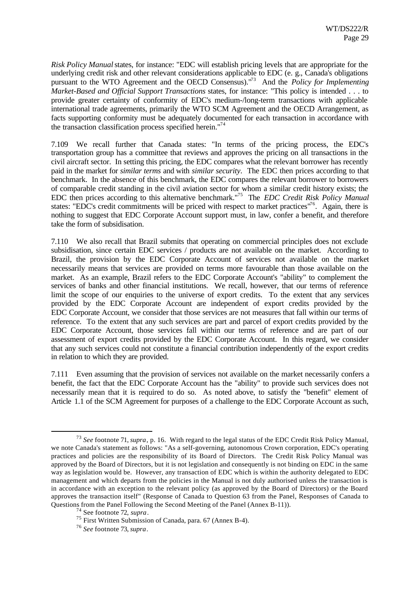*Risk Policy Manual* states, for instance: "EDC will establish pricing levels that are appropriate for the underlying credit risk and other relevant considerations applicable to EDC (e. g., Canada's obligations pursuant to the WTO Agreement and the OECD Consensus)."<sup>73</sup> And the *Policy for Implementing Market-Based and Official Support Transactions* states, for instance: "This policy is intended . . . to provide greater certainty of conformity of EDC's medium-/long-term transactions with applicable international trade agreements, primarily the WTO SCM Agreement and the OECD Arrangement, as facts supporting conformity must be adequately documented for each transaction in accordance with the transaction classification process specified herein."<sup>74</sup>

7.109 We recall further that Canada states: "In terms of the pricing process, the EDC's transportation group has a committee that reviews and approves the pricing on all transactions in the civil aircraft sector. In setting this pricing, the EDC compares what the relevant borrower has recently paid in the market for *similar terms* and with *similar security*. The EDC then prices according to that benchmark. In the absence of this benchmark, the EDC compares the relevant borrower to borrowers of comparable credit standing in the civil aviation sector for whom a similar credit history exists; the EDC then prices according to this alternative benchmark."<sup>75</sup> The *EDC Credit Risk Policy Manual* states: "EDC's credit commitments will be priced with respect to market practices"<sup>76</sup>. Again, there is nothing to suggest that EDC Corporate Account support must, in law, confer a benefit, and therefore take the form of subsidisation.

7.110 We also recall that Brazil submits that operating on commercial principles does not exclude subsidisation, since certain EDC services / products are not available on the market. According to Brazil, the provision by the EDC Corporate Account of services not available on the market necessarily means that services are provided on terms more favourable than those available on the market. As an example, Brazil refers to the EDC Corporate Account's "ability" to complement the services of banks and other financial institutions. We recall, however, that our terms of reference limit the scope of our enquiries to the universe of export credits. To the extent that any services provided by the EDC Corporate Account are independent of export credits provided by the EDC Corporate Account, we consider that those services are not measures that fall within our terms of reference. To the extent that any such services are part and parcel of export credits provided by the EDC Corporate Account, those services fall within our terms of reference and are part of our assessment of export credits provided by the EDC Corporate Account. In this regard, we consider that any such services could not constitute a financial contribution independently of the export credits in relation to which they are provided.

7.111 Even assuming that the provision of services not available on the market necessarily confers a benefit, the fact that the EDC Corporate Account has the "ability" to provide such services does not necessarily mean that it is required to do so. As noted above, to satisfy the "benefit" element of Article 1.1 of the SCM Agreement for purposes of a challenge to the EDC Corporate Account as such,

<sup>73</sup> *See* footnote 71, *supra*, p. 16. With regard to the legal status of the EDC Credit Risk Policy Manual, we note Canada's statement as follows: "As a self-governing, autonomous Crown corporation, EDC's operating practices and policies are the responsibility of its Board of Directors. The Credit Risk Policy Manual was approved by the Board of Directors, but it is not legislation and consequently is not binding on EDC in the same way as legislation would be. However, any transaction of EDC which is within the authority delegated to EDC management and which departs from the policies in the Manual is not duly authorised unless the transaction is in accordance with an exception to the relevant policy (as approved by the Board of Directors) or the Board approves the transaction itself" (Response of Canada to Question 63 from the Panel, Responses of Canada to Questions from the Panel Following the Second Meeting of the Panel (Annex B-11)).

<sup>74</sup> See footnote 72, *supra*.

<sup>75</sup> First Written Submission of Canada, para. 67 (Annex B-4).

<sup>76</sup> *See* footnote 73, *supra*.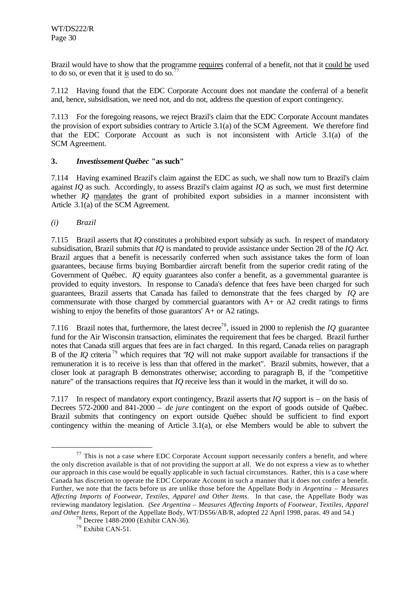Brazil would have to show that the programme requires conferral of a benefit, not that it could be used to do so, or even that it is used to do so.<sup>7</sup>

7.112 Having found that the EDC Corporate Account does not mandate the conferral of a benefit and, hence, subsidisation, we need not, and do not, address the question of export contingency.

7.113 For the foregoing reasons, we reject Brazil's claim that the EDC Corporate Account mandates the provision of export subsidies contrary to Article 3.1(a) of the SCM Agreement. We therefore find that the EDC Corporate Account as such is not inconsistent with Article 3.1(a) of the SCM Agreement.

## **3.** *Investissement Québec* **"as such"**

7.114 Having examined Brazil's claim against the EDC as such, we shall now turn to Brazil's claim against *IQ* as such. Accordingly, to assess Brazil's claim against *IQ* as such, we must first determine whether *IQ* mandates the grant of prohibited export subsidies in a manner inconsistent with Article 3.1(a) of the SCM Agreement.

*(i) Brazil*

l

7.115 Brazil asserts that *IQ* constitutes a prohibited export subsidy as such. In respect of mandatory subsidisation, Brazil submits that *IQ* is mandated to provide assistance under Section 28 of the *IQ Act*. Brazil argues that a benefit is necessarily conferred when such assistance takes the form of loan guarantees, because firms buying Bombardier aircraft benefit from the superior credit rating of the Government of Québec. *IQ* equity guarantees also confer a benefit, as a governmental guarantee is provided to equity investors. In response to Canada's defence that fees have been charged for such guarantees, Brazil asserts that Canada has failed to demonstrate that the fees charged by *IQ* are commensurate with those charged by commercial guarantors with A+ or A2 credit ratings to firms wishing to enjoy the benefits of those guarantors' A+ or A2 ratings.

7.116 Brazil notes that, furthermore, the latest decree<sup>78</sup>, issued in 2000 to replenish the *IQ* guarantee fund for the Air Wisconsin transaction, eliminates the requirement that fees be charged. Brazil further notes that Canada still argues that fees are in fact charged. In this regard, Canada relies on paragraph B of the *IQ* criteria <sup>79</sup> which requires that "*IQ* will not make support available for transactions if the remuneration it is to receive is less than that offered in the market". Brazil submits, however, that a closer look at paragraph B demonstrates otherwise; according to paragraph B, if the "competitive nature" of the transactions requires that *IQ* receive less than it would in the market, it will do so.

7.117 In respect of mandatory export contingency, Brazil asserts that *IQ* support is – on the basis of Decrees 572-2000 and 841-2000 – *de jure* contingent on the export of goods outside of Québec. Brazil submits that contingency on export outside Québec should be sufficient to find export contingency within the meaning of Article 3.1(a), or else Members would be able to subvert the

 $77$  This is not a case where EDC Corporate Account support necessarily confers a benefit, and where the only discretion available is that of not providing the support at all. We do not express a view as to whether our approach in this case would be equally applicable in such factual circumstances. Rather, this is a case where Canada has discretion to operate the EDC Corporate Account in such a manner that it does not confer a benefit. Further, we note that the facts before us are unlike those before the Appellate Body in *Argentina – Measures Affecting Imports of Footwear, Textiles, Apparel and Other Items*. In that case, the Appellate Body was reviewing mandatory legislation. (*See Argentina – Measures Affecting Imports of Footwear, Textiles, Apparel and Other Items*, Report of the Appellate Body, WT/DS56/AB/R, adopted 22 April 1998, paras. 49 and 54.)

<sup>78</sup> Decree 1488-2000 (Exhibit CAN-36).

<sup>79</sup> Exhibit CAN-51.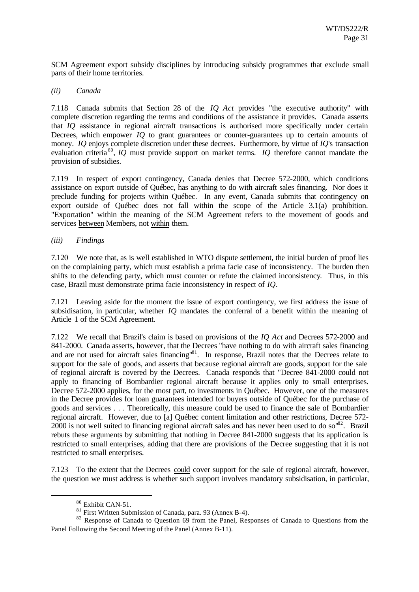SCM Agreement export subsidy disciplines by introducing subsidy programmes that exclude small parts of their home territories.

#### *(ii) Canada*

7.118 Canada submits that Section 28 of the *IQ Act* provides "the executive authority" with complete discretion regarding the terms and conditions of the assistance it provides. Canada asserts that *IQ* assistance in regional aircraft transactions is authorised more specifically under certain Decrees, which empower *IQ* to grant guarantees or counter-guarantees up to certain amounts of money. *IQ* enjoys complete discretion under these decrees. Furthermore, by virtue of *IQ*'s transaction evaluation criteria<sup>80</sup>, *IQ* must provide support on market terms. *IQ* therefore cannot mandate the provision of subsidies.

7.119 In respect of export contingency, Canada denies that Decree 572-2000, which conditions assistance on export outside of Québec, has anything to do with aircraft sales financing. Nor does it preclude funding for projects within Québec. In any event, Canada submits that contingency on export outside of Québec does not fall within the scope of the Article 3.1(a) prohibition. "Exportation" within the meaning of the SCM Agreement refers to the movement of goods and services between Members, not within them.

#### *(iii) Findings*

7.120 We note that, as is well established in WTO dispute settlement, the initial burden of proof lies on the complaining party, which must establish a prima facie case of inconsistency. The burden then shifts to the defending party, which must counter or refute the claimed inconsistency. Thus, in this case, Brazil must demonstrate prima facie inconsistency in respect of *IQ*.

7.121 Leaving aside for the moment the issue of export contingency, we first address the issue of subsidisation, in particular, whether *IQ* mandates the conferral of a benefit within the meaning of Article 1 of the SCM Agreement.

7.122 We recall that Brazil's claim is based on provisions of the *IQ Act* and Decrees 572-2000 and 841-2000. Canada asserts, however, that the Decrees "have nothing to do with aircraft sales financing and are not used for aircraft sales financing<sup>181</sup>. In response, Brazil notes that the Decrees relate to support for the sale of goods, and asserts that because regional aircraft are goods, support for the sale of regional aircraft is covered by the Decrees. Canada responds that "Decree 841-2000 could not apply to financing of Bombardier regional aircraft because it applies only to small enterprises. Decree 572-2000 applies, for the most part, to investments in Québec. However, one of the measures in the Decree provides for loan guarantees intended for buyers outside of Québec for the purchase of goods and services . . . Theoretically, this measure could be used to finance the sale of Bombardier regional aircraft. However, due to [a] Québec content limitation and other restrictions, Decree 572- 2000 is not well suited to financing regional aircraft sales and has never been used to do so<sup> $82$ </sup>. Brazil rebuts these arguments by submitting that nothing in Decree 841-2000 suggests that its application is restricted to small enterprises, adding that there are provisions of the Decree suggesting that it is not restricted to small enterprises.

7.123 To the extent that the Decrees could cover support for the sale of regional aircraft, however, the question we must address is whether such support involves mandatory subsidisation, in particular,

<sup>80</sup> Exhibit CAN-51.

 $81$  First Written Submission of Canada, para. 93 (Annex B-4).

<sup>&</sup>lt;sup>82</sup> Response of Canada to Question 69 from the Panel, Responses of Canada to Questions from the Panel Following the Second Meeting of the Panel (Annex B-11).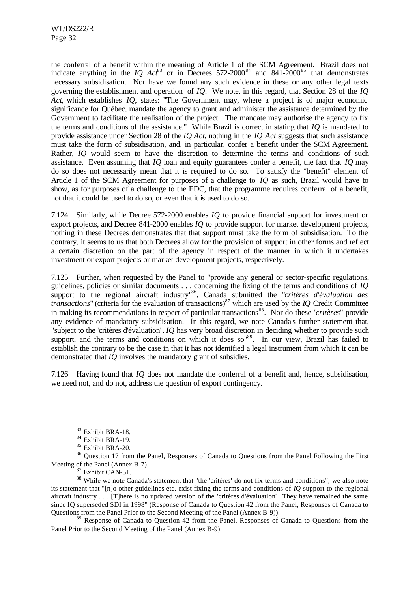the conferral of a benefit within the meaning of Article 1 of the SCM Agreement. Brazil does not indicate anything in the *IQ Act*<sup>83</sup> or in Decrees  $572-2000^{84}$  and  $841-2000^{85}$  that demonstrates necessary subsidisation. Nor have we found any such evidence in these or any other legal texts governing the establishment and operation of *IQ*. We note, in this regard, that Section 28 of the *IQ Act*, which establishes *IQ*, states: "The Government may, where a project is of major economic significance for Québec, mandate the agency to grant and administer the assistance determined by the Government to facilitate the realisation of the project. The mandate may authorise the agency to fix the terms and conditions of the assistance." While Brazil is correct in stating that *IQ* is mandated to provide assistance under Section 28 of the *IQ Act*, nothing in the *IQ Act* suggests that such assistance must take the form of subsidisation, and, in particular, confer a benefit under the SCM Agreement. Rather, *IQ* would seem to have the discretion to determine the terms and conditions of such assistance. Even assuming that *IQ* loan and equity guarantees confer a benefit, the fact that *IQ* may do so does not necessarily mean that it is required to do so. To satisfy the "benefit" element of Article 1 of the SCM Agreement for purposes of a challenge to *IQ* as such, Brazil would have to show, as for purposes of a challenge to the EDC, that the programme requires conferral of a benefit, not that it could be used to do so, or even that it is used to do so.

7.124 Similarly, while Decree 572-2000 enables *IQ* to provide financial support for investment or export projects, and Decree 841-2000 enables *IQ* to provide support for market development projects, nothing in these Decrees demonstrates that that support must take the form of subsidisation. To the contrary, it seems to us that both Decrees allow for the provision of support in other forms and reflect a certain discretion on the part of the agency in respect of the manner in which it undertakes investment or export projects or market development projects, respectively.

7.125 Further, when requested by the Panel to "provide any general or sector-specific regulations, guidelines, policies or similar documents . . . concerning the fixing of the terms and conditions of *IQ* support to the regional aircraft industry<sup>186</sup>, Canada submitted the "*critères d'évaluation des*  $transactions$ " (criteria for the evaluation of transactions)<sup>87</sup> which are used by the *IQ* Credit Committee in making its recommendations in respect of particular transactions<sup>88</sup>. Nor do these "*critères*" provide any evidence of mandatory subsidisation. In this regard, we note Canada's further statement that, "subject to the 'critères d'évaluation', *IQ* has very broad discretion in deciding whether to provide such support, and the terms and conditions on which it does so<sup> $89$ </sup>. In our view, Brazil has failed to establish the contrary to be the case in that it has not identified a legal instrument from which it can be demonstrated that *IQ* involves the mandatory grant of subsidies.

7.126 Having found that *IQ* does not mandate the conferral of a benefit and, hence, subsidisation, we need not, and do not, address the question of export contingency.

l

 $87$  Exhibit CAN-51.

<sup>88</sup> While we note Canada's statement that "the 'critères' do not fix terms and conditions", we also note its statement that "[n]o other guidelines etc. exist fixing the terms and conditions of *IQ* support to the regional aircraft industry . . . [T]here is no updated version of the 'critères d'évaluation'. They have remained the same since IQ superseded SDI in 1998" (Response of Canada to Question 42 from the Panel, Responses of Canada to Questions from the Panel Prior to the Second Meeting of the Panel (Annex B-9)).

<sup>89</sup> Response of Canada to Question 42 from the Panel, Responses of Canada to Questions from the Panel Prior to the Second Meeting of the Panel (Annex B-9).

<sup>83</sup> Exhibit BRA-18.

<sup>84</sup> Exhibit BRA-19.

<sup>85</sup> Exhibit BRA-20.

<sup>&</sup>lt;sup>86</sup> Question 17 from the Panel, Responses of Canada to Questions from the Panel Following the First Meeting of the Panel (Annex B-7).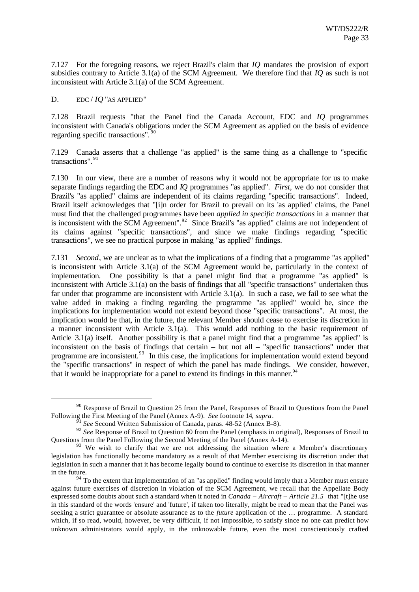7.127 For the foregoing reasons, we reject Brazil's claim that *IQ* mandates the provision of export subsidies contrary to Article 3.1(a) of the SCM Agreement. We therefore find that *IQ* as such is not inconsistent with Article 3.1(a) of the SCM Agreement.

#### D. EDC / *IQ* "AS APPLIED"

l

7.128 Brazil requests "that the Panel find the Canada Account, EDC and *IQ* programmes inconsistent with Canada's obligations under the SCM Agreement as applied on the basis of evidence regarding specific transactions".<sup>90</sup>

7.129 Canada asserts that a challenge "as applied" is the same thing as a challenge to "specific transactions". <sup>91</sup>

7.130 In our view, there are a number of reasons why it would not be appropriate for us to make separate findings regarding the EDC and *IQ* programmes "as applied". *First*, we do not consider that Brazil's "as applied" claims are independent of its claims regarding "specific transactions". Indeed, Brazil itself acknowledges that "[i]n order for Brazil to prevail on its 'as applied' claims, the Panel must find that the challenged programmes have been *applied in specific transactions* in a manner that is inconsistent with the SCM Agreement".<sup>92</sup> Since Brazil's "as applied" claims are not independent of its claims against "specific transactions", and since we make findings regarding "specific transactions", we see no practical purpose in making "as applied" findings.

7.131 *Second*, we are unclear as to what the implications of a finding that a programme "as applied" is inconsistent with Article 3.1(a) of the SCM Agreement would be, particularly in the context of implementation. One possibility is that a panel might find that a programme "as applied" is inconsistent with Article 3.1(a) on the basis of findings that all "specific transactions" undertaken thus far under that programme are inconsistent with Article 3.1(a). In such a case, we fail to see what the value added in making a finding regarding the programme "as applied" would be, since the implications for implementation would not extend beyond those "specific transactions". At most, the implication would be that, in the future, the relevant Member should cease to exercise its discretion in a manner inconsistent with Article 3.1(a). This would add nothing to the basic requirement of Article 3.1(a) itself. Another possibility is that a panel might find that a programme "as applied" is inconsistent on the basis of findings that certain – but not all – "specific transactions" under that programme are inconsistent.<sup>93</sup> In this case, the implications for implementation would extend beyond the "specific transactions" in respect of which the panel has made findings. We consider, however, that it would be inappropriate for a panel to extend its findings in this manner.<sup>94</sup>

<sup>&</sup>lt;sup>90</sup> Response of Brazil to Question 25 from the Panel, Responses of Brazil to Questions from the Panel Following the First Meeting of the Panel (Annex A-9). *See* footnote 14, *supra*.

<sup>&</sup>lt;sup>1</sup> See Second Written Submission of Canada, paras. 48-52 (Annex B-8).

<sup>&</sup>lt;sup>92</sup> See Response of Brazil to Question 60 from the Panel (emphasis in original), Responses of Brazil to Questions from the Panel Following the Second Meeting of the Panel (Annex A-14).

 $93$  We wish to clarify that we are not addressing the situation where a Member's discretionary legislation has functionally become mandatory as a result of that Member exercising its discretion under that legislation in such a manner that it has become legally bound to continue to exercise its discretion in that manner in the future.

 $94$  To the extent that implementation of an "as applied" finding would imply that a Member must ensure against future exercises of discretion in violation of the SCM Agreement, we recall that the Appellate Body expressed some doubts about such a standard when it noted in *Canada – Aircraft – Article 21.5* that "[t]he use in this standard of the words 'ensure' and 'future', if taken too literally, might be read to mean that the Panel was seeking a strict guarantee or absolute assurance as to the *future* application of the … programme. A standard which, if so read, would, however, be very difficult, if not impossible, to satisfy since no one can predict how unknown administrators would apply, in the unknowable future, even the most conscientiously crafted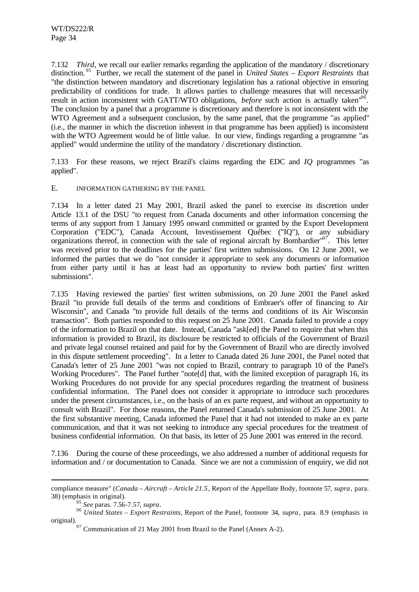7.132 *Third*, we recall our earlier remarks regarding the application of the mandatory / discretionary distinction. <sup>95</sup> Further, we recall the statement of the panel in *United States – Export Restraints* that "the distinction between mandatory and discretionary legislation has a rational objective in ensuring predictability of conditions for trade. It allows parties to challenge measures that will necessarily result in action inconsistent with GATT/WTO obligations, *before* such action is actually taken<sup>196</sup>. The conclusion by a panel that a programme is discretionary and therefore is not inconsistent with the WTO Agreement and a subsequent conclusion, by the same panel, that the programme "as applied" (i.e., the manner in which the discretion inherent in that programme has been applied) is inconsistent with the WTO Agreement would be of little value. In our view, findings regarding a programme "as applied" would undermine the utility of the mandatory / discretionary distinction.

7.133 For these reasons, we reject Brazil's claims regarding the EDC and *IQ* programmes "as applied".

#### E. INFORMATION GATHERING BY THE PANEL

7.134 In a letter dated 21 May 2001, Brazil asked the panel to exercise its discretion under Article 13.1 of the DSU "to request from Canada documents and other information concerning the terms of any support from 1 January 1995 onward committed or granted by the Export Development Corporation ("EDC"), Canada Account, Investissement Québec ("IQ"), or any subsidiary organizations thereof, in connection with the sale of regional aircraft by Bombardier<sup>"97</sup>. This letter was received prior to the deadlines for the parties' first written submissions. On 12 June 2001, we informed the parties that we do "not consider it appropriate to seek any documents or information from either party until it has at least had an opportunity to review both parties' first written submissions".

7.135 Having reviewed the parties' first written submissions, on 20 June 2001 the Panel asked Brazil "to provide full details of the terms and conditions of Embraer's offer of financing to Air Wisconsin", and Canada "to provide full details of the terms and conditions of its Air Wisconsin transaction". Both parties responded to this request on 25 June 2001. Canada failed to provide a copy of the information to Brazil on that date. Instead, Canada "ask[ed] the Panel to require that when this information is provided to Brazil, its disclosure be restricted to officials of the Government of Brazil and private legal counsel retained and paid for by the Government of Brazil who are directly involved in this dispute settlement proceeding". In a letter to Canada dated 26 June 2001, the Panel noted that Canada's letter of 25 June 2001 "was not copied to Brazil, contrary to paragraph 10 of the Panel's Working Procedures". The Panel further "note<sup>[d]</sup> that, with the limited exception of paragraph 16, its Working Procedures do not provide for any special procedures regarding the treatment of business confidential information. The Panel does not consider it appropriate to introduce such procedures under the present circumstances, i.e., on the basis of an ex parte request, and without an opportunity to consult with Brazil". For those reasons, the Panel returned Canada's submission of 25 June 2001. At the first substantive meeting, Canada informed the Panel that it had not intended to make an ex parte communication, and that it was not seeking to introduce any special procedures for the treatment of business confidential information. On that basis, its letter of 25 June 2001 was entered in the record.

7.136 During the course of these proceedings, we also addressed a number of additional requests for information and / or documentation to Canada. Since we are not a commission of enquiry, we did not

compliance measure" (*Canada – Aircraft – Article 21.5*, Report of the Appellate Body, footnote 57, *supra*, para. 38) (emphasis in original).

<sup>95</sup> *See* paras. 7.56-7.57, *supra*.

<sup>96</sup> *United States – Export Restraints*, Report of the Panel, footnote 34, *supra*, para. 8.9 (emphasis in original).

 $97$  Communication of 21 May 2001 from Brazil to the Panel (Annex A-2).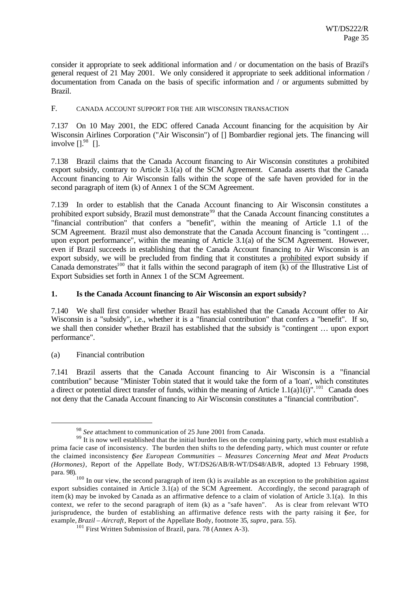consider it appropriate to seek additional information and / or documentation on the basis of Brazil's general request of 21 May 2001. We only considered it appropriate to seek additional information / documentation from Canada on the basis of specific information and / or arguments submitted by Brazil.

#### F. CANADA ACCOUNT SUPPORT FOR THE AIR WISCONSIN TRANSACTION

7.137 On 10 May 2001, the EDC offered Canada Account financing for the acquisition by Air Wisconsin Airlines Corporation ("Air Wisconsin") of [] Bombardier regional jets. The financing will involve  $[]^{98}$   $[]$ .

7.138 Brazil claims that the Canada Account financing to Air Wisconsin constitutes a prohibited export subsidy, contrary to Article 3.1(a) of the SCM Agreement. Canada asserts that the Canada Account financing to Air Wisconsin falls within the scope of the safe haven provided for in the second paragraph of item (k) of Annex 1 of the SCM Agreement.

7.139 In order to establish that the Canada Account financing to Air Wisconsin constitutes a prohibited export subsidy, Brazil must demonstrate<sup>99</sup> that the Canada Account financing constitutes a "financial contribution" that confers a "benefit", within the meaning of Article 1.1 of the SCM Agreement. Brazil must also demonstrate that the Canada Account financing is "contingent … upon export performance", within the meaning of Article 3.1(a) of the SCM Agreement. However, even if Brazil succeeds in establishing that the Canada Account financing to Air Wisconsin is an export subsidy, we will be precluded from finding that it constitutes a prohibited export subsidy if Canada demonstrates<sup>100</sup> that it falls within the second paragraph of item  $(k)$  of the Illustrative List of Export Subsidies set forth in Annex 1 of the SCM Agreement.

### **1. Is the Canada Account financing to Air Wisconsin an export subsidy?**

7.140 We shall first consider whether Brazil has established that the Canada Account offer to Air Wisconsin is a "subsidy", i.e., whether it is a "financial contribution" that confers a "benefit". If so, we shall then consider whether Brazil has established that the subsidy is "contingent … upon export performance".

(a) Financial contribution

l

7.141 Brazil asserts that the Canada Account financing to Air Wisconsin is a "financial contribution" because "Minister Tobin stated that it would take the form of a 'loan', which constitutes a direct or potential direct transfer of funds, within the meaning of Article 1.1(a)1(i)".<sup>101</sup> Canada does not deny that the Canada Account financing to Air Wisconsin constitutes a "financial contribution".

<sup>98</sup> *See* attachment to communication of 25 June 2001 from Canada.

<sup>&</sup>lt;sup>99</sup> It is now well established that the initial burden lies on the complaining party, which must establish a prima facie case of inconsistency. The burden then shifts to the defending party, which must counter or refute the claimed inconsistency (*See European Communities – Measures Concerning Meat and Meat Products (Hormones)*, Report of the Appellate Body, WT/DS26/AB/R-WT/DS48/AB/R, adopted 13 February 1998, para. 98).

 $100$  In our view, the second paragraph of item (k) is available as an exception to the prohibition against export subsidies contained in Article 3.1(a) of the SCM Agreement. Accordingly, the second paragraph of item (k) may be invoked by Canada as an affirmative defence to a claim of violation of Article 3.1(a). In this context, we refer to the second paragraph of item (k) as a "safe haven". As is clear from relevant WTO jurisprudence, the burden of establishing an affirmative defence rests with the party raising it (*See*, for example, *Brazil – Aircraft*, Report of the Appellate Body, footnote 35, *supra*, para. 55).

 $101$  First Written Submission of Brazil, para. 78 (Annex A-3).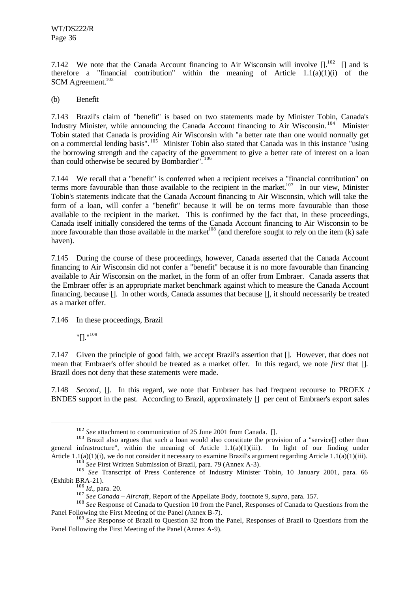7.142 We note that the Canada Account financing to Air Wisconsin will involve  $[1]^{102}$   $[]$  and is therefore a "financial contribution" within the meaning of Article  $1.1(a)(1)(i)$  of the SCM Agreement.<sup>103</sup>

#### (b) Benefit

7.143 Brazil's claim of "benefit" is based on two statements made by Minister Tobin, Canada's Industry Minister, while announcing the Canada Account financing to Air Wisconsin.<sup>104</sup> Minister Tobin stated that Canada is providing Air Wisconsin with "a better rate than one would normally get on a commercial lending basis". <sup>105</sup> Minister Tobin also stated that Canada was in this instance "using" the borrowing strength and the capacity of the government to give a better rate of interest on a loan than could otherwise be secured by Bombardier".<sup>106</sup>

7.144 We recall that a "benefit" is conferred when a recipient receives a "financial contribution" on terms more favourable than those available to the recipient in the market.<sup>107</sup> In our view, Minister Tobin's statements indicate that the Canada Account financing to Air Wisconsin, which will take the form of a loan, will confer a "benefit" because it will be on terms more favourable than those available to the recipient in the market. This is confirmed by the fact that, in these proceedings, Canada itself initially considered the terms of the Canada Account financing to Air Wisconsin to be more favourable than those available in the market<sup>108</sup> (and therefore sought to rely on the item (k) safe haven).

7.145 During the course of these proceedings, however, Canada asserted that the Canada Account financing to Air Wisconsin did not confer a "benefit" because it is no more favourable than financing available to Air Wisconsin on the market, in the form of an offer from Embraer. Canada asserts that the Embraer offer is an appropriate market benchmark against which to measure the Canada Account financing, because []. In other words, Canada assumes that because [], it should necessarily be treated as a market offer.

7.146 In these proceedings, Brazil

"[]."<sup>109</sup>

l

7.147 Given the principle of good faith, we accept Brazil's assertion that []. However, that does not mean that Embraer's offer should be treated as a market offer. In this regard, we note *first* that []. Brazil does not deny that these statements were made.

7.148 *Second*, []. In this regard, we note that Embraer has had frequent recourse to PROEX / BNDES support in the past. According to Brazil, approximately [] per cent of Embraer's export sales

<sup>102</sup> *See* attachment to communication of 25 June 2001 from Canada. [].

<sup>&</sup>lt;sup>103</sup> Brazil also argues that such a loan would also constitute the provision of a "service[] other than general infrastructure", within the meaning of Article  $1.1(a)(1)(iii)$ . In light of our finding under Article 1.1(a)(1)(i), we do not consider it necessary to examine Brazil's argument regarding Article 1.1(a)(1)(iii).

<sup>104</sup> *See* First Written Submission of Brazil, para. 79 (Annex A-3).

<sup>105</sup> *See* Transcript of Press Conference of Industry Minister Tobin, 10 January 2001, para. 66 (Exhibit BRA-21).

<sup>106</sup> *Id.*, para. 20.

<sup>107</sup> *See Canada – Aircraft*, Report of the Appellate Body, footnote 9, *supra*, para. 157.

<sup>&</sup>lt;sup>108</sup> See Response of Canada to Question 10 from the Panel, Responses of Canada to Questions from the Panel Following the First Meeting of the Panel (Annex B-7).

<sup>109</sup> *See* Response of Brazil to Question 32 from the Panel, Responses of Brazil to Questions from the Panel Following the First Meeting of the Panel (Annex A-9).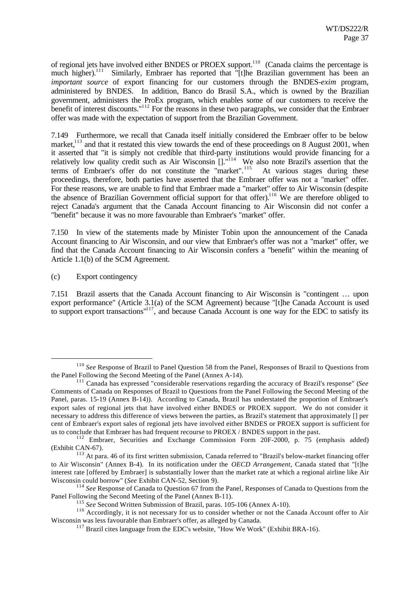of regional jets have involved either BNDES or PROEX support.<sup>110</sup> (Canada claims the percentage is much higher).<sup>111</sup> Similarly, Embraer has reported that "[t]he Brazilian government has been an *important source* of export financing for our customers through the BNDES-*exim* program, administered by BNDES. In addition, Banco do Brasil S.A., which is owned by the Brazilian government, administers the ProEx program, which enables some of our customers to receive the benefit of interest discounts."<sup>112</sup> For the reasons in these two paragraphs, we consider that the Embraer offer was made with the expectation of support from the Brazilian Government.

7.149 Furthermore, we recall that Canada itself initially considered the Embraer offer to be below market, $113$  and that it restated this view towards the end of these proceedings on 8 August 2001, when it asserted that "it is simply not credible that third-party institutions would provide financing for a relatively low quality credit such as Air Wisconsin  $[]$ ."<sup>114</sup> We also note Brazil's assertion that the terms of Embraer's offer do not constitute the "market".<sup>115</sup> At various stages during these proceedings, therefore, both parties have asserted that the Embraer offer was not a "market" offer. For these reasons, we are unable to find that Embraer made a "market" offer to Air Wisconsin (despite the absence of Brazilian Government official support for that offer).<sup>116</sup> We are therefore obliged to reject Canada's argument that the Canada Account financing to Air Wisconsin did not confer a "benefit" because it was no more favourable than Embraer's "market" offer.

7.150 In view of the statements made by Minister Tobin upon the announcement of the Canada Account financing to Air Wisconsin, and our view that Embraer's offer was not a "market" offer, we find that the Canada Account financing to Air Wisconsin confers a "benefit" within the meaning of Article 1.1(b) of the SCM Agreement.

(c) Export contingency

l

7.151 Brazil asserts that the Canada Account financing to Air Wisconsin is "contingent … upon export performance" (Article 3.1(a) of the SCM Agreement) because "[t]he Canada Account is used to support export transactions<sup>"17</sup>, and because Canada Account is one way for the EDC to satisfy its

<sup>110</sup> *See* Response of Brazil to Panel Question 58 from the Panel, Responses of Brazil to Questions from the Panel Following the Second Meeting of the Panel (Annex A-14).

<sup>111</sup> Canada has expressed "considerable reservations regarding the accuracy of Brazil's response" (*See* Comments of Canada on Responses of Brazil to Questions from the Panel Following the Second Meeting of the Panel, paras. 15-19 (Annex B-14)). According to Canada, Brazil has understated the proportion of Embraer's export sales of regional jets that have involved either BNDES or PROEX support. We do not consider it necessary to address this difference of views between the parties, as Brazil's statement that approximately [] per cent of Embraer's export sales of regional jets have involved either BNDES or PROEX support is sufficient for us to conclude that Embraer has had frequent recourse to PROEX / BNDES support in the past.

<sup>&</sup>lt;sup>112</sup> Embraer, Securities and Exchange Commission Form 20F-2000, p. 75 (emphasis added) (Exhibit CAN-67).

 $113$  At para. 46 of its first written submission, Canada referred to "Brazil's below-market financing offer to Air Wisconsin" (Annex B-4). In its notification under the *OECD Arrangement*, Canada stated that "[t]he interest rate [offered by Embraer] is substantially lower than the market rate at which a regional airline like Air Wisconsin could borrow" (*See* Exhibit CAN-52, Section 9).

<sup>114</sup> *See* Response of Canada to Question 67 from the Panel, Responses of Canada to Questions from the Panel Following the Second Meeting of the Panel (Annex B-11).

<sup>115</sup> *See* Second Written Submission of Brazil, paras. 105-106 (Annex A-10).

<sup>&</sup>lt;sup>116</sup> Accordingly, it is not necessary for us to consider whether or not the Canada Account offer to Air Wisconsin was less favourable than Embraer's offer, as alleged by Canada.

<sup>&</sup>lt;sup>117</sup> Brazil cites language from the EDC's website, "How We Work" (Exhibit BRA-16).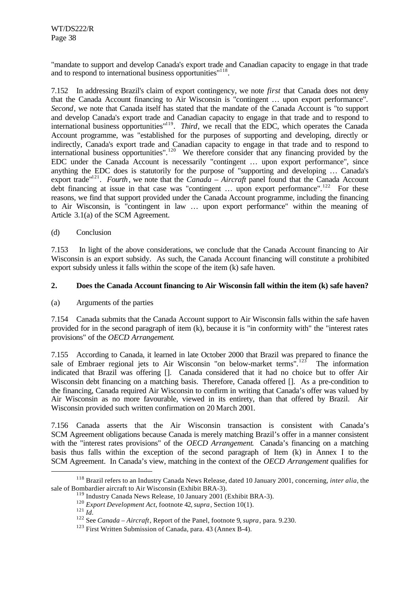"mandate to support and develop Canada's export trade and Canadian capacity to engage in that trade and to respond to international business opportunities"<sup>118</sup>.

7.152 In addressing Brazil's claim of export contingency, we note *first* that Canada does not deny that the Canada Account financing to Air Wisconsin is "contingent … upon export performance". *Second*, we note that Canada itself has stated that the mandate of the Canada Account is "to support and develop Canada's export trade and Canadian capacity to engage in that trade and to respond to international business opportunities"<sup>119</sup>. Third, we recall that the EDC, which operates the Canada Account programme, was "established for the purposes of supporting and developing, directly or indirectly, Canada's export trade and Canadian capacity to engage in that trade and to respond to international business opportunities".<sup>120</sup> We therefore consider that any financing provided by the EDC under the Canada Account is necessarily "contingent … upon export performance", since anything the EDC does is statutorily for the purpose of "supporting and developing … Canada's export trade<sup>"121</sup>. *Fourth*, we note that the *Canada – Aircraft* panel found that the Canada Account debt financing at issue in that case was "contingent  $\ldots$  upon export performance".<sup>122</sup> For these reasons, we find that support provided under the Canada Account programme, including the financing to Air Wisconsin, is "contingent in law … upon export performance" within the meaning of Article 3.1(a) of the SCM Agreement.

#### (d) Conclusion

7.153 In light of the above considerations, we conclude that the Canada Account financing to Air Wisconsin is an export subsidy. As such, the Canada Account financing will constitute a prohibited export subsidy unless it falls within the scope of the item (k) safe haven.

### **2. Does the Canada Account financing to Air Wisconsin fall within the item (k) safe haven?**

#### (a) Arguments of the parties

7.154 Canada submits that the Canada Account support to Air Wisconsin falls within the safe haven provided for in the second paragraph of item (k), because it is "in conformity with" the "interest rates provisions" of the *OECD Arrangement*.

7.155 According to Canada, it learned in late October 2000 that Brazil was prepared to finance the sale of Embraer regional jets to Air Wisconsin "on below-market terms".<sup>123</sup> The information indicated that Brazil was offering []. Canada considered that it had no choice but to offer Air Wisconsin debt financing on a matching basis. Therefore, Canada offered []. As a pre-condition to the financing, Canada required Air Wisconsin to confirm in writing that Canada's offer was valued by Air Wisconsin as no more favourable, viewed in its entirety, than that offered by Brazil. Air Wisconsin provided such written confirmation on 20 March 2001.

7.156 Canada asserts that the Air Wisconsin transaction is consistent with Canada's SCM Agreement obligations because Canada is merely matching Brazil's offer in a manner consistent with the "interest rates provisions" of the *OECD Arrangement*. Canada's financing on a matching basis thus falls within the exception of the second paragraph of Item (k) in Annex I to the SCM Agreement. In Canada's view, matching in the context of the *OECD Arrangement* qualifies for

<sup>118</sup> Brazil refers to an Industry Canada News Release, dated 10 January 2001, concerning, *inter alia*, the sale of Bombardier aircraft to Air Wisconsin (Exhibit BRA-3).

<sup>119</sup> Industry Canada News Release, 10 January 2001 (Exhibit BRA-3).

<sup>120</sup> *Export Development Act*, footnote 42, *supra*, Section 10(1).

<sup>121</sup> *Id.*

<sup>122</sup> See *Canada – Aircraft*, Report of the Panel, footnote 9, *supra*, para. 9.230.

<sup>&</sup>lt;sup>123</sup> First Written Submission of Canada, para. 43 (Annex B-4).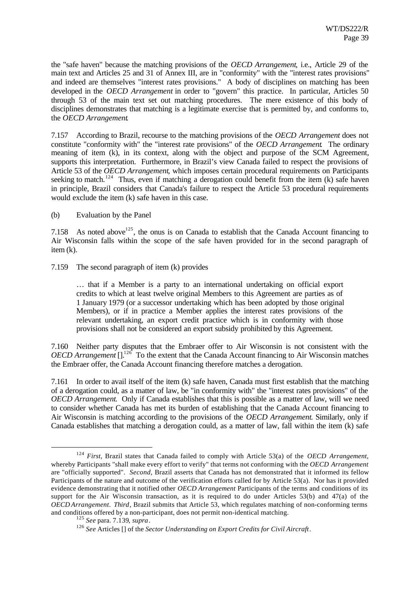the "safe haven" because the matching provisions of the *OECD Arrangement*, i.e., Article 29 of the main text and Articles 25 and 31 of Annex III, are in "conformity" with the "interest rates provisions" and indeed are themselves "interest rates provisions." A body of disciplines on matching has been developed in the *OECD Arrangement* in order to "govern" this practice. In particular, Articles 50 through 53 of the main text set out matching procedures. The mere existence of this body of disciplines demonstrates that matching is a legitimate exercise that is permitted by, and conforms to, the *OECD Arrangement*.

7.157 According to Brazil, recourse to the matching provisions of the *OECD Arrangement* does not constitute "conformity with" the "interest rate provisions" of the *OECD Arrangement*. The ordinary meaning of item (k), in its context, along with the object and purpose of the SCM Agreement, supports this interpretation. Furthermore, in Brazil's view Canada failed to respect the provisions of Article 53 of the *OECD Arrangement*, which imposes certain procedural requirements on Participants seeking to match.<sup>124</sup> Thus, even if matching a derogation could benefit from the item (k) safe haven in principle, Brazil considers that Canada's failure to respect the Article 53 procedural requirements would exclude the item (k) safe haven in this case.

#### (b) Evaluation by the Panel

7.158 As noted above<sup>125</sup>, the onus is on Canada to establish that the Canada Account financing to Air Wisconsin falls within the scope of the safe haven provided for in the second paragraph of item (k).

#### 7.159 The second paragraph of item (k) provides

… that if a Member is a party to an international undertaking on official export credits to which at least twelve original Members to this Agreement are parties as of 1 January 1979 (or a successor undertaking which has been adopted by those original Members), or if in practice a Member applies the interest rates provisions of the relevant undertaking, an export credit practice which is in conformity with those provisions shall not be considered an export subsidy prohibited by this Agreement*.*

7.160 Neither party disputes that the Embraer offer to Air Wisconsin is not consistent with the *OECD Arrangement*  $\left[\right]$ <sup>126</sup> To the extent that the Canada Account financing to Air Wisconsin matches the Embraer offer, the Canada Account financing therefore matches a derogation.

7.161 In order to avail itself of the item (k) safe haven, Canada must first establish that the matching of a derogation could, as a matter of law, be "in conformity with" the "interest rates provisions" of the *OECD Arrangement*. Only if Canada establishes that this is possible as a matter of law, will we need to consider whether Canada has met its burden of establishing that the Canada Account financing to Air Wisconsin is matching according to the provisions of the *OECD Arrangement*. Similarly, only if Canada establishes that matching a derogation could, as a matter of law, fall within the item (k) safe

<sup>124</sup> *First*, Brazil states that Canada failed to comply with Article 53(a) of the *OECD Arrangement*, whereby Participants "shall make every effort to verify" that terms not conforming with the *OECD Arrangement* are "officially supported". *Second*, Brazil asserts that Canada has not demonstrated that it informed its fellow Participants of the nature and outcome of the verification efforts called for by Article 53(a). Nor has it provided evidence demonstrating that it notified other *OECD Arrangement* Participants of the terms and conditions of its support for the Air Wisconsin transaction, as it is required to do under Articles 53(b) and 47(a) of the *OECD Arrangement*. *Third*, Brazil submits that Article 53, which regulates matching of non-conforming terms and conditions offered by a non-participant, does not permit non-identical matching.

<sup>125</sup> *See* para. 7.139, *supra*.

<sup>126</sup> *See* Articles [] of the *Sector Understanding on Export Credits for Civil Aircraft*.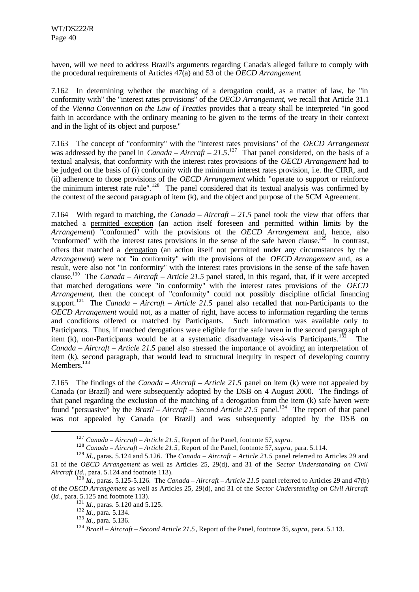haven, will we need to address Brazil's arguments regarding Canada's alleged failure to comply with the procedural requirements of Articles 47(a) and 53 of the *OECD Arrangement*.

7.162 In determining whether the matching of a derogation could, as a matter of law, be "in conformity with" the "interest rates provisions" of the *OECD Arrangement*, we recall that Article 31.1 of the *Vienna Convention on the Law of Treaties* provides that a treaty shall be interpreted "in good faith in accordance with the ordinary meaning to be given to the terms of the treaty in their context and in the light of its object and purpose."

7.163 The concept of "conformity" with the "interest rates provisions" of the *OECD Arrangement* was addressed by the panel in *Canada – Aircraft – 21.5*<sup>127</sup> That panel considered, on the basis of a textual analysis, that conformity with the interest rates provisions of the *OECD Arrangement* had to be judged on the basis of (i) conformity with the minimum interest rates provision, i.e. the CIRR, and (ii) adherence to those provisions of the *OECD Arrangement* which "operate to support or reinforce the minimum interest rate rule".<sup>128</sup> The panel considered that its textual analysis was confirmed by the context of the second paragraph of item (k), and the object and purpose of the SCM Agreement.

7.164 With regard to matching, the *Canada – Aircraft – 21.5* panel took the view that offers that matched a permitted exception (an action itself foreseen and permitted within limits by the *Arrangement*) "conformed" with the provisions of the *OECD Arrangement* and, hence, also "conformed" with the interest rates provisions in the sense of the safe haven clause.<sup>129</sup> In contrast, offers that matched a derogation (an action itself not permitted under any circumstances by the *Arrangement*) were not "in conformity" with the provisions of the *OECD Arrangement* and, as a result, were also not "in conformity" with the interest rates provisions in the sense of the safe haven clause.<sup>130</sup> The *Canada – Aircraft – Article 21.5* panel stated, in this regard, that, if it were accepted that matched derogations were "in conformity" with the interest rates provisions of the *OECD Arrangement*, then the concept of "conformity" could not possibly discipline official financing support.<sup>131</sup> The *Canada – Aircraft – Article 21.5* panel also recalled that non-Participants to the *OECD Arrangement* would not, as a matter of right, have access to information regarding the terms and conditions offered or matched by Participants. Such information was available only to Participants. Thus, if matched derogations were eligible for the safe haven in the second paragraph of item  $(k)$ , non-Participants would be at a systematic disadvantage vis-à-vis Participants.<sup>132</sup> The *Canada – Aircraft – Article 21.5* panel also stressed the importance of avoiding an interpretation of item (k), second paragraph, that would lead to structural inequity in respect of developing country Members.<sup>133</sup>

7.165 The findings of the *Canada – Aircraft – Article 21.5* panel on item (k) were not appealed by Canada (or Brazil) and were subsequently adopted by the DSB on 4 August 2000. The findings of that panel regarding the exclusion of the matching of a derogation from the item (k) safe haven were found "persuasive" by the *Brazil – Aircraft – Second Article 21.5* panel.<sup>134</sup> The report of that panel was not appealed by Canada (or Brazil) and was subsequently adopted by the DSB on

<sup>127</sup> *Canada – Aircraft – Article 21.5*, Report of the Panel, footnote 57, *supra*.

<sup>128</sup> *Canada – Aircraft – Article 21.5*, Report of the Panel, footnote 57, *supra*, para. 5.114.

<sup>129</sup> *Id*., paras. 5.124 and 5.126. The *Canada – Aircraft – Article 21.5* panel referred to Articles 29 and 51 of the *OECD Arrangement* as well as Articles 25, 29(d), and 31 of the *Sector Understanding on Civil Aircraft* (*Id.*, para. 5.124 and footnote 113).

<sup>130</sup> *Id*., paras. 5.125-5.126. The *Canada – Aircraft – Article 21.5* panel referred to Articles 29 and 47(b) of the *OECD Arrangement* as well as Articles 25, 29(d), and 31 of the *Sector Understanding on Civil Aircraft* (*Id*., para. 5.125 and footnote 113).

<sup>131</sup> *Id*., paras. 5.120 and 5.125.

<sup>132</sup> *Id*., para. 5.134.

<sup>133</sup> *Id*., para. 5.136.

<sup>134</sup> *Brazil – Aircraft – Second Article 21.5*, Report of the Panel, footnote 35, *supra*, para. 5.113.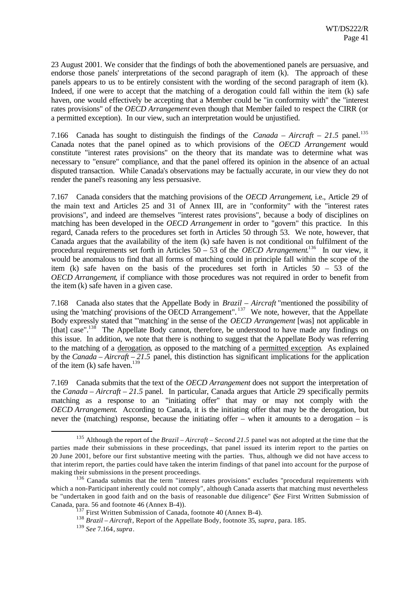23 August 2001. We consider that the findings of both the abovementioned panels are persuasive, and endorse those panels' interpretations of the second paragraph of item (k). The approach of these panels appears to us to be entirely consistent with the wording of the second paragraph of item (k). Indeed, if one were to accept that the matching of a derogation could fall within the item (k) safe haven, one would effectively be accepting that a Member could be "in conformity with" the "interest rates provisions" of the *OECD Arrangement* even though that Member failed to respect the CIRR (or a permitted exception). In our view, such an interpretation would be unjustified.

7.166 Canada has sought to distinguish the findings of the *Canada – Aircraft – 21.5* panel.<sup>135</sup> Canada notes that the panel opined as to which provisions of the *OECD Arrangement* would constitute "interest rates provisions" on the theory that its mandate was to determine what was necessary to "ensure" compliance, and that the panel offered its opinion in the absence of an actual disputed transaction. While Canada's observations may be factually accurate, in our view they do not render the panel's reasoning any less persuasive.

7.167 Canada considers that the matching provisions of the *OECD Arrangement*, i.e., Article 29 of the main text and Articles 25 and 31 of Annex III, are in "conformity" with the "interest rates provisions", and indeed are themselves "interest rates provisions", because a body of disciplines on matching has been developed in the *OECD Arrangement* in order to "govern" this practice. In this regard, Canada refers to the procedures set forth in Articles 50 through 53. We note, however, that Canada argues that the availability of the item (k) safe haven is not conditional on fulfilment of the procedural requirements set forth in Articles 50 – 53 of the *OECD Arrangement*.<sup>136</sup> In our view, it would be anomalous to find that all forms of matching could in principle fall within the scope of the item (k) safe haven on the basis of the procedures set forth in Articles  $50 - 53$  of the *OECD Arrangement*, if compliance with those procedures was not required in order to benefit from the item (k) safe haven in a given case.

7.168 Canada also states that the Appellate Body in *Brazil – Aircraft* "mentioned the possibility of using the 'matching' provisions of the OECD Arrangement".<sup>137</sup> We note, however, that the Appellate Body expressly stated that "'matching' in the sense of the *OECD Arrangement* [was] not applicable in [that] case".<sup>138</sup> The Appellate Body cannot, therefore, be understood to have made any findings on this issue. In addition, we note that there is nothing to suggest that the Appellate Body was referring to the matching of a derogation, as opposed to the matching of a permitted exception. As explained by the *Canada – Aircraft – 21.5* panel, this distinction has significant implications for the application of the item  $(k)$  safe haven.<sup>139</sup>

7.169 Canada submits that the text of the *OECD Arrangement* does not support the interpretation of the *Canada – Aircraft – 21.5* panel. In particular, Canada argues that Article 29 specifically permits matching as a response to an "initiating offer" that may or may not comply with the *OECD Arrangement*. According to Canada, it is the initiating offer that may be the derogation, but never the (matching) response, because the initiating offer – when it amounts to a derogation – is

<sup>135</sup> Although the report of the *Brazil – Aircraft – Second 21.5* panel was not adopted at the time that the parties made their submissions in these proceedings, that panel issued its interim report to the parties on 20 June 2001, before our first substantive meeting with the parties. Thus, although we did not have access to that interim report, the parties could have taken the interim findings of that panel into account for the purpose of making their submissions in the present proceedings.

<sup>&</sup>lt;sup>136</sup> Canada submits that the term "interest rates provisions" excludes "procedural requirements with which a non-Participant inherently could not comply", although Canada asserts that matching must nevertheless be "undertaken in good faith and on the basis of reasonable due diligence" (*See* First Written Submission of Canada, para. 56 and footnote 46 (Annex B-4)).

 $137$  First Written Submission of Canada, footnote 40 (Annex B-4).

<sup>138</sup> *Brazil – Aircraft*, Report of the Appellate Body, footnote 35, *supra*, para. 185.

<sup>139</sup> *See* 7.164, *supra*.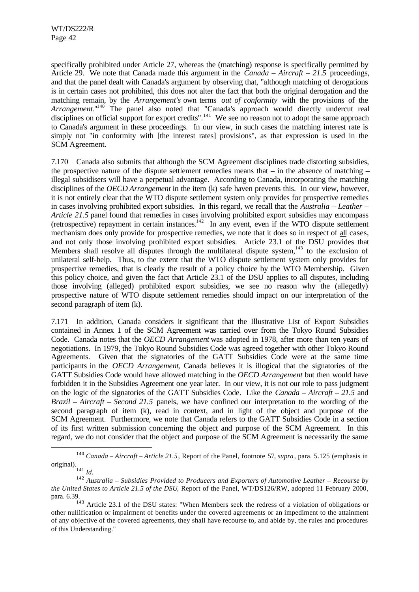specifically prohibited under Article 27, whereas the (matching) response is specifically permitted by Article 29. We note that Canada made this argument in the *Canada – Aircraft – 21.5* proceedings, and that the panel dealt with Canada's argument by observing that, "although matching of derogations is in certain cases not prohibited, this does not alter the fact that both the original derogation and the matching remain, by the *Arrangement's* own terms *out of conformity* with the provisions of the *Arrangement*."<sup>140</sup> The panel also noted that "Canada's approach would directly undercut real disciplines on official support for export credits".<sup>141</sup> We see no reason not to adopt the same approach to Canada's argument in these proceedings. In our view, in such cases the matching interest rate is simply not "in conformity with [the interest rates] provisions", as that expression is used in the SCM Agreement.

7.170 Canada also submits that although the SCM Agreement disciplines trade distorting subsidies, the prospective nature of the dispute settlement remedies means that – in the absence of matching – illegal subsidisers will have a perpetual advantage. According to Canada, incorporating the matching disciplines of the *OECD Arrangement* in the item (k) safe haven prevents this. In our view, however, it is not entirely clear that the WTO dispute settlement system only provides for prospective remedies in cases involving prohibited export subsidies. In this regard, we recall that the *Australia – Leather – Article 21.5* panel found that remedies in cases involving prohibited export subsidies may encompass (retrospective) repayment in certain instances.<sup>142</sup> In any event, even if the WTO dispute settlement mechanism does only provide for prospective remedies, we note that it does so in respect of all cases, and not only those involving prohibited export subsidies. Article 23.1 of the DSU provides that Members shall resolve all disputes through the multilateral dispute system,  $143$  to the exclusion of unilateral self-help. Thus, to the extent that the WTO dispute settlement system only provides for prospective remedies, that is clearly the result of a policy choice by the WTO Membership. Given this policy choice, and given the fact that Article 23.1 of the DSU applies to all disputes, including those involving (alleged) prohibited export subsidies, we see no reason why the (allegedly) prospective nature of WTO dispute settlement remedies should impact on our interpretation of the second paragraph of item (k).

7.171 In addition, Canada considers it significant that the Illustrative List of Export Subsidies contained in Annex 1 of the SCM Agreement was carried over from the Tokyo Round Subsidies Code. Canada notes that the *OECD Arrangement* was adopted in 1978, after more than ten years of negotiations. In 1979, the Tokyo Round Subsidies Code was agreed together with other Tokyo Round Agreements. Given that the signatories of the GATT Subsidies Code were at the same time participants in the *OECD Arrangement*, Canada believes it is illogical that the signatories of the GATT Subsidies Code would have allowed matching in the *OECD Arrangement* but then would have forbidden it in the Subsidies Agreement one year later. In our view, it is not our role to pass judgment on the logic of the signatories of the GATT Subsidies Code. Like the *Canada – Aircraft – 21.5* and *Brazil – Aircraft – Second 21.5* panels, we have confined our interpretation to the wording of the second paragraph of item (k), read in context, and in light of the object and purpose of the SCM Agreement. Furthermore, we note that Canada refers to the GATT Subsidies Code in a section of its first written submission concerning the object and purpose of the SCM Agreement. In this regard, we do not consider that the object and purpose of the SCM Agreement is necessarily the same

<sup>140</sup> *Canada – Aircraft – Article 21.5*, Report of the Panel, footnote 57, *supra*, para. 5.125 (emphasis in original).

<sup>141</sup> *Id.*

<sup>142</sup> *Australia – Subsidies Provided to Producers and Exporters of Automotive Leather – Recourse by the United States to Article 21.5 of the DSU*, Report of the Panel, WT/DS126/RW, adopted 11 February 2000, para. 6.39.

 $143$  Article 23.1 of the DSU states: "When Members seek the redress of a violation of obligations or other nullification or impairment of benefits under the covered agreements or an impediment to the attainment of any objective of the covered agreements, they shall have recourse to, and abide by, the rules and procedures of this Understanding."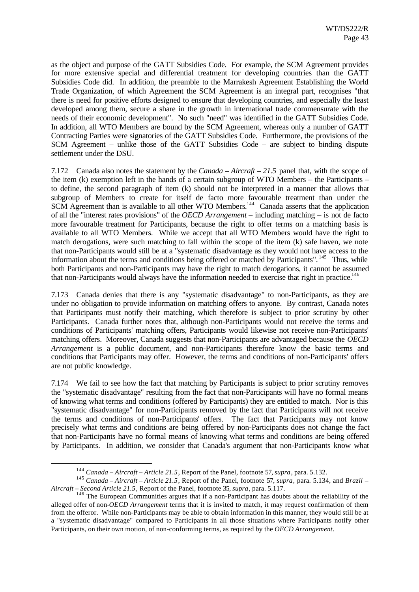as the object and purpose of the GATT Subsidies Code. For example, the SCM Agreement provides for more extensive special and differential treatment for developing countries than the GATT Subsidies Code did. In addition, the preamble to the Marrakesh Agreement Establishing the World Trade Organization, of which Agreement the SCM Agreement is an integral part, recognises "that there is need for positive efforts designed to ensure that developing countries, and especially the least developed among them, secure a share in the growth in international trade commensurate with the needs of their economic development". No such "need" was identified in the GATT Subsidies Code. In addition, all WTO Members are bound by the SCM Agreement, whereas only a number of GATT Contracting Parties were signatories of the GATT Subsidies Code. Furthermore, the provisions of the SCM Agreement – unlike those of the GATT Subsidies Code – are subject to binding dispute settlement under the DSU.

7.172 Canada also notes the statement by the *Canada – Aircraft – 21.5* panel that, with the scope of the item (k) exemption left in the hands of a certain subgroup of WTO Members – the Participants – to define, the second paragraph of item (k) should not be interpreted in a manner that allows that subgroup of Members to create for itself de facto more favourable treatment than under the SCM Agreement than is available to all other WTO Members.<sup>144</sup> Canada asserts that the application of all the "interest rates provisions" of the *OECD Arrangement* – including matching – is not de facto more favourable treatment for Participants, because the right to offer terms on a matching basis is available to all WTO Members. While we accept that all WTO Members would have the right to match derogations, were such matching to fall within the scope of the item (k) safe haven, we note that non-Participants would still be at a "systematic disadvantage as they would not have access to the information about the terms and conditions being offered or matched by Participants". <sup>145</sup> Thus, while both Participants and non-Participants may have the right to match derogations, it cannot be assumed that non-Participants would always have the information needed to exercise that right in practice.<sup>146</sup>

7.173 Canada denies that there is any "systematic disadvantage" to non-Participants, as they are under no obligation to provide information on matching offers to anyone. By contrast, Canada notes that Participants must notify their matching, which therefore is subject to prior scrutiny by other Participants. Canada further notes that, although non-Participants would not receive the terms and conditions of Participants' matching offers, Participants would likewise not receive non-Participants' matching offers. Moreover, Canada suggests that non-Participants are advantaged because the *OECD Arrangement* is a public document, and non-Participants therefore know the basic terms and conditions that Participants may offer. However, the terms and conditions of non-Participants' offers are not public knowledge.

7.174 We fail to see how the fact that matching by Participants is subject to prior scrutiny removes the "systematic disadvantage" resulting from the fact that non-Participants will have no formal means of knowing what terms and conditions (offered by Participants) they are entitled to match. Nor is this "systematic disadvantage" for non-Participants removed by the fact that Participants will not receive the terms and conditions of non-Participants' offers. The fact that Participants may not know precisely what terms and conditions are being offered by non-Participants does not change the fact that non-Participants have no formal means of knowing what terms and conditions are being offered by Participants. In addition, we consider that Canada's argument that non-Participants know what

<sup>144</sup> *Canada – Aircraft – Article 21.5*, Report of the Panel, footnote 57, *supra*, para. 5.132.

<sup>145</sup> *Canada – Aircraft – Article 21.5*, Report of the Panel, footnote 57, *supra*, para. 5.134, and *Brazil – Aircraft – Second Article 21.5*, Report of the Panel, footnote 35, *supra*, para. 5.117.

<sup>&</sup>lt;sup>146</sup> The European Communities argues that if a non-Participant has doubts about the reliability of the alleged offer of non-*OECD Arrangement* terms that it is invited to match, it may request confirmation of them from the offeror. While non-Participants may be able to obtain information in this manner, they would still be at a "systematic disadvantage" compared to Participants in all those situations where Participants notify other Participants, on their own motion, of non-conforming terms, as required by the *OECD Arrangement*.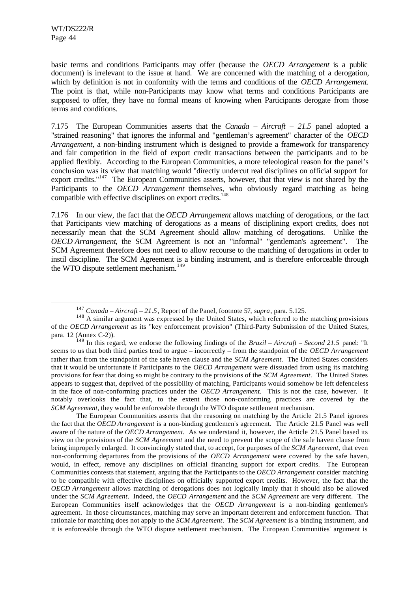l

basic terms and conditions Participants may offer (because the *OECD Arrangement* is a public document) is irrelevant to the issue at hand. We are concerned with the matching of a derogation, which by definition is not in conformity with the terms and conditions of the *OECD Arrangement*. The point is that, while non-Participants may know what terms and conditions Participants are supposed to offer, they have no formal means of knowing when Participants derogate from those terms and conditions.

7.175 The European Communities asserts that the *Canada – Aircraft – 21.5* panel adopted a "strained reasoning" that ignores the informal and "gentleman's agreement" character of the *OECD Arrangement,* a non-binding instrument which is designed to provide a framework for transparency and fair competition in the field of export credit transactions between the participants and to be applied flexibly. According to the European Communities, a more teleological reason for the panel's conclusion was its view that matching would "directly undercut real disciplines on official support for export credits."<sup>147</sup> The European Communities asserts, however, that that view is not shared by the Participants to the *OECD Arrangement* themselves, who obviously regard matching as being compatible with effective disciplines on export credits.<sup>148</sup>

7.176 In our view, the fact that the *OECD Arrangement* allows matching of derogations, or the fact that Participants view matching of derogations as a means of disciplining export credits, does not necessarily mean that the SCM Agreement should allow matching of derogations. Unlike the *OECD Arrangement*, the SCM Agreement is not an "informal" "gentleman's agreement". The SCM Agreement therefore does not need to allow recourse to the matching of derogations in order to instil discipline. The SCM Agreement is a binding instrument, and is therefore enforceable through the WTO dispute settlement mechanism.<sup>149</sup>

<sup>147</sup> *Canada – Aircraft – 21.5*, Report of the Panel, footnote 57, *supra*, para. 5.125.

<sup>&</sup>lt;sup>148</sup> A similar argument was expressed by the United States, which referred to the matching provisions of the *OECD Arrangement* as its "key enforcement provision" (Third-Party Submission of the United States, para. 12 (Annex C-2)).

<sup>&</sup>lt;sup>149</sup> In this regard, we endorse the following findings of the *Brazil – Aircraft – Second 21.5* panel: "It seems to us that both third parties tend to argue – incorrectly – from the standpoint of the *OECD Arrangement* rather than from the standpoint of the safe haven clause and the *SCM Agreement*. The United States considers that it would be unfortunate if Participants to the *OECD Arrangement* were dissuaded from using its matching provisions for fear that doing so might be contrary to the provisions of the *SCM Agreement*. The United States appears to suggest that, deprived of the possibility of matching, Participants would somehow be left defenceless in the face of non-conforming practices under the *OECD Arrangement*. This is not the case, however. It notably overlooks the fact that, to the extent those non-conforming practices are covered by the *SCM Agreement*, they would be enforceable through the WTO dispute settlement mechanism.

The European Communities asserts that the reasoning on matching by the Article 21.5 Panel ignores the fact that the *OECD Arrangement* is a non-binding gentlemen's agreement. The Article 21.5 Panel was well aware of the nature of the *OECD Arrangement*. As we understand it, however, the Article 21.5 Panel based its view on the provisions of the *SCM Agreement* and the need to prevent the scope of the safe haven clause from being improperly enlarged. It convincingly stated that, to accept, for purposes of the *SCM Agreement*, that even non-conforming departures from the provisions of the *OECD Arrangement* were covered by the safe haven, would, in effect, remove any disciplines on official financing support for export credits. The European Communities contests that statement, arguing that the Participants to the *OECD Arrangement* consider matching to be compatible with effective disciplines on officially supported export credits. However, the fact that the *OECD Arrangement* allows matching of derogations does not logically imply that it should also be allowed under the *SCM Agreement*. Indeed, the *OECD Arrangement* and the *SCM Agreement* are very different. The European Communities itself acknowledges that the *OECD Arrangement* is a non-binding gentlemen's agreement. In those circumstances, matching may serve an important deterrent and enforcement function. That rationale for matching does not apply to the *SCM Agreement*. The *SCM Agreement* is a binding instrument, and it is enforceable through the WTO dispute settlement mechanism. The European Communities' argument is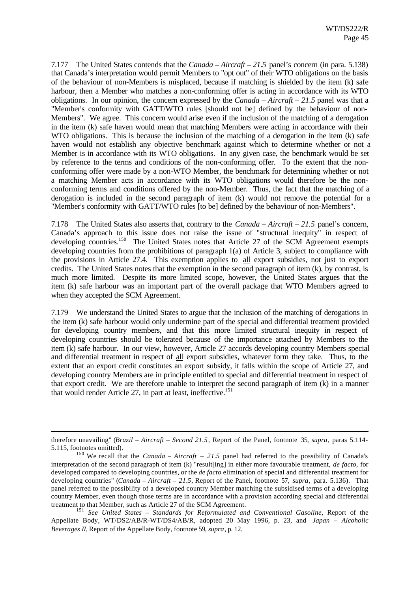7.177 The United States contends that the *Canada – Aircraft – 21.5* panel's concern (in para. 5.138) that Canada's interpretation would permit Members to "opt out" of their WTO obligations on the basis of the behaviour of non-Members is misplaced, because if matching is shielded by the item (k) safe harbour, then a Member who matches a non-conforming offer is acting in accordance with its WTO obligations. In our opinion, the concern expressed by the *Canada – Aircraft – 21.5* panel was that a "Member's conformity with GATT/WTO rules [should not be] defined by the behaviour of non-Members". We agree. This concern would arise even if the inclusion of the matching of a derogation in the item (k) safe haven would mean that matching Members were acting in accordance with their WTO obligations. This is because the inclusion of the matching of a derogation in the item (k) safe haven would not establish any objective benchmark against which to determine whether or not a Member is in accordance with its WTO obligations. In any given case, the benchmark would be set by reference to the terms and conditions of the non-conforming offer. To the extent that the nonconforming offer were made by a non-WTO Member, the benchmark for determining whether or not a matching Member acts in accordance with its WTO obligations would therefore be the nonconforming terms and conditions offered by the non-Member. Thus, the fact that the matching of a derogation is included in the second paragraph of item (k) would not remove the potential for a "Member's conformity with GATT/WTO rules [to be] defined by the behaviour of non-Members".

7.178 The United States also asserts that, contrary to the *Canada – Aircraft – 21.5* panel's concern, Canada's approach to this issue does not raise the issue of "structural inequity" in respect of developing countries.<sup>150</sup> The United States notes that Article 27 of the SCM Agreement exempts developing countries from the prohibitions of paragraph 1(a) of Article 3, subject to compliance with the provisions in Article 27.4. This exemption applies to all export subsidies, not just to export credits. The United States notes that the exemption in the second paragraph of item (k), by contrast, is much more limited. Despite its more limited scope, however, the United States argues that the item (k) safe harbour was an important part of the overall package that WTO Members agreed to when they accepted the SCM Agreement.

7.179 We understand the United States to argue that the inclusion of the matching of derogations in the item (k) safe harbour would only undermine part of the special and differential treatment provided for developing country members, and that this more limited structural inequity in respect of developing countries should be tolerated because of the importance attached by Members to the item (k) safe harbour. In our view, however, Article 27 accords developing country Members special and differential treatment in respect of all export subsidies, whatever form they take. Thus, to the extent that an export credit constitutes an export subsidy, it falls within the scope of Article 27, and developing country Members are in principle entitled to special and differential treatment in respect of that export credit. We are therefore unable to interpret the second paragraph of item (k) in a manner that would render Article 27, in part at least, ineffective.<sup>151</sup>

therefore unavailing" (*Brazil – Aircraft – Second 21.5*, Report of the Panel, footnote 35, *supra*, paras 5.114- 5.115, footnotes omitted).

<sup>&</sup>lt;sup>150</sup> We recall that the *Canada – Aircraft – 21.5* panel had referred to the possibility of Canada's interpretation of the second paragraph of item (k) "result[ing] in either more favourable treatment, *de facto*, for developed compared to developing countries, or the *de facto* elimination of special and differential treatment for developing countries" (*Canada – Aircraft – 21.5*, Report of the Panel, footnote 57, *supra*, para. 5.136). That panel referred to the possibility of a developed country Member matching the subsidised terms of a developing country Member, even though those terms are in accordance with a provision according special and differential treatment to that Member, such as Article 27 of the SCM Agreement.

<sup>151</sup> *See United States – Standards for Reformulated and Conventional Gasoline*, Report of the Appellate Body, WT/DS2/AB/R-WT/DS4/AB/R, adopted 20 May 1996, p. 23, and *Japan – Alcoholic Beverages II,* Report of the Appellate Body, footnote 59, *supra*, p. 12.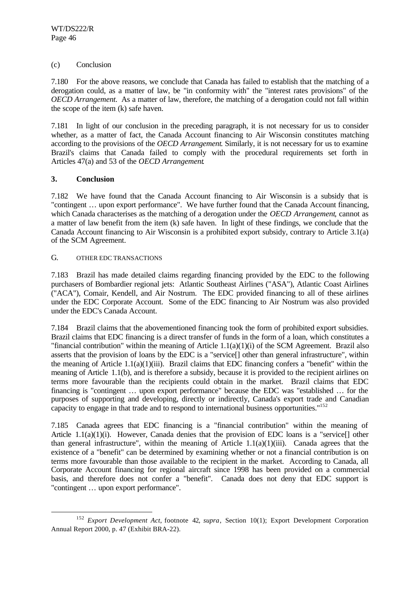#### (c) Conclusion

7.180 For the above reasons, we conclude that Canada has failed to establish that the matching of a derogation could, as a matter of law, be "in conformity with" the "interest rates provisions" of the *OECD Arrangement.* As a matter of law, therefore, the matching of a derogation could not fall within the scope of the item (k) safe haven.

7.181 In light of our conclusion in the preceding paragraph, it is not necessary for us to consider whether, as a matter of fact, the Canada Account financing to Air Wisconsin constitutes matching according to the provisions of the *OECD Arrangement*. Similarly, it is not necessary for us to examine Brazil's claims that Canada failed to comply with the procedural requirements set forth in Articles 47(a) and 53 of the *OECD Arrangement*.

## **3. Conclusion**

l

7.182 We have found that the Canada Account financing to Air Wisconsin is a subsidy that is "contingent … upon export performance". We have further found that the Canada Account financing, which Canada characterises as the matching of a derogation under the *OECD Arrangement*, cannot as a matter of law benefit from the item (k) safe haven. In light of these findings, we conclude that the Canada Account financing to Air Wisconsin is a prohibited export subsidy, contrary to Article 3.1(a) of the SCM Agreement.

## G. OTHER EDC TRANSACTIONS

7.183 Brazil has made detailed claims regarding financing provided by the EDC to the following purchasers of Bombardier regional jets: Atlantic Southeast Airlines ("ASA"), Atlantic Coast Airlines ("ACA"), Comair, Kendell, and Air Nostrum. The EDC provided financing to all of these airlines under the EDC Corporate Account. Some of the EDC financing to Air Nostrum was also provided under the EDC's Canada Account.

7.184 Brazil claims that the abovementioned financing took the form of prohibited export subsidies. Brazil claims that EDC financing is a direct transfer of funds in the form of a loan, which constitutes a "financial contribution" within the meaning of Article  $1.1(a)(1)(i)$  of the SCM Agreement. Brazil also asserts that the provision of loans by the EDC is a "service[] other than general infrastructure", within the meaning of Article 1.1(a)(1)(iii). Brazil claims that EDC financing confers a "benefit" within the meaning of Article 1.1(b), and is therefore a subsidy, because it is provided to the recipient airlines on terms more favourable than the recipients could obtain in the market. Brazil claims that EDC financing is "contingent … upon export performance" because the EDC was "established … for the purposes of supporting and developing, directly or indirectly, Canada's export trade and Canadian capacity to engage in that trade and to respond to international business opportunities."<sup>152</sup>

7.185 Canada agrees that EDC financing is a "financial contribution" within the meaning of Article 1.1(a)(1)(i). However, Canada denies that the provision of EDC loans is a "service<sup>[]</sup> other than general infrastructure", within the meaning of Article 1.1(a)(1)(iii). Canada agrees that the existence of a "benefit" can be determined by examining whether or not a financial contribution is on terms more favourable than those available to the recipient in the market. According to Canada, all Corporate Account financing for regional aircraft since 1998 has been provided on a commercial basis, and therefore does not confer a "benefit". Canada does not deny that EDC support is "contingent … upon export performance".

<sup>152</sup> *Export Development Act*, footnote 42, *supra*, Section 10(1); Export Development Corporation Annual Report 2000, p. 47 (Exhibit BRA-22).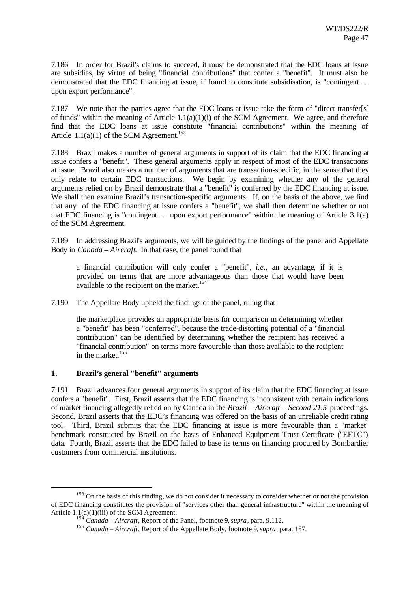7.186 In order for Brazil's claims to succeed, it must be demonstrated that the EDC loans at issue are subsidies, by virtue of being "financial contributions" that confer a "benefit". It must also be demonstrated that the EDC financing at issue, if found to constitute subsidisation, is "contingent … upon export performance".

7.187 We note that the parties agree that the EDC loans at issue take the form of "direct transfer[s] of funds" within the meaning of Article 1.1(a)(1)(i) of the SCM Agreement. We agree, and therefore find that the EDC loans at issue constitute "financial contributions" within the meaning of Article  $1.1(a)(1)$  of the SCM Agreement.<sup>153</sup>

7.188 Brazil makes a number of general arguments in support of its claim that the EDC financing at issue confers a "benefit". These general arguments apply in respect of most of the EDC transactions at issue. Brazil also makes a number of arguments that are transaction-specific, in the sense that they only relate to certain EDC transactions. We begin by examining whether any of the general arguments relied on by Brazil demonstrate that a "benefit" is conferred by the EDC financing at issue. We shall then examine Brazil's transaction-specific arguments. If, on the basis of the above, we find that any of the EDC financing at issue confers a "benefit", we shall then determine whether or not that EDC financing is "contingent … upon export performance" within the meaning of Article 3.1(a) of the SCM Agreement.

7.189 In addressing Brazil's arguments, we will be guided by the findings of the panel and Appellate Body in *Canada – Aircraft*. In that case, the panel found that

a financial contribution will only confer a "benefit", *i.e.*, an advantage, if it is provided on terms that are more advantageous than those that would have been available to the recipient on the market.<sup>154</sup>

7.190 The Appellate Body upheld the findings of the panel, ruling that

the marketplace provides an appropriate basis for comparison in determining whether a "benefit" has been "conferred", because the trade-distorting potential of a "financial contribution" can be identified by determining whether the recipient has received a "financial contribution" on terms more favourable than those available to the recipient in the market. $155$ 

#### **1. Brazil's general "benefit" arguments**

l

7.191 Brazil advances four general arguments in support of its claim that the EDC financing at issue confers a "benefit". First, Brazil asserts that the EDC financing is inconsistent with certain indications of market financing allegedly relied on by Canada in the *Brazil – Aircraft – Second 21.5* proceedings. Second, Brazil asserts that the EDC's financing was offered on the basis of an unreliable credit rating tool. Third, Brazil submits that the EDC financing at issue is more favourable than a "market" benchmark constructed by Brazil on the basis of Enhanced Equipment Trust Certificate ("EETC") data. Fourth, Brazil asserts that the EDC failed to base its terms on financing procured by Bombardier customers from commercial institutions.

<sup>&</sup>lt;sup>153</sup> On the basis of this finding, we do not consider it necessary to consider whether or not the provision of EDC financing constitutes the provision of "services other than general infrastructure" within the meaning of Article  $1.1(a)(1)(iii)$  of the SCM Agreement.

<sup>154</sup> *Canada – Aircraft*, Report of the Panel, footnote 9, *supra*, para. 9.112.

<sup>155</sup> *Canada – Aircraft*, Report of the Appellate Body, footnote 9, *supra*, para. 157.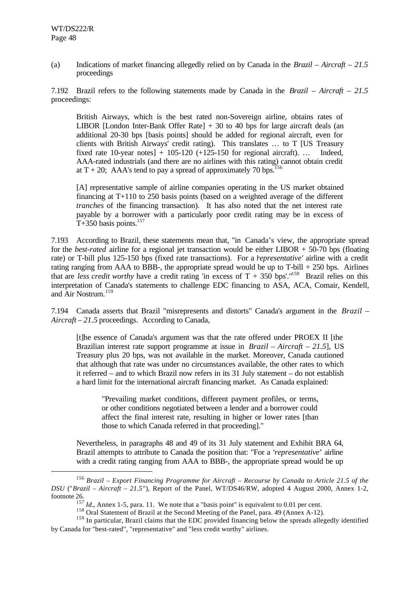l

(a) Indications of market financing allegedly relied on by Canada in the *Brazil – Aircraft – 21.5* proceedings

7.192 Brazil refers to the following statements made by Canada in the *Brazil – Aircraft – 21.5* proceedings:

British Airways, which is the best rated non-Sovereign airline, obtains rates of LIBOR [London Inter-Bank Offer Rate]  $+30$  to 40 bps for large aircraft deals (an additional 20-30 bps [basis points] should be added for regional aircraft, even for clients with British Airways' credit rating). This translates … to T [US Treasury fixed rate 10-year notes]  $+$  105-120 ( $+$ 125-150 for regional aircraft). ... Indeed, AAA-rated industrials (and there are no airlines with this rating) cannot obtain credit at  $T + 20$ ; AAA's tend to pay a spread of approximately 70 bps.<sup>156</sup>

[A] representative sample of airline companies operating in the US market obtained financing at T+110 to 250 basis points (based on a weighted average of the different *tranches* of the financing transaction). It has also noted that the net interest rate payable by a borrower with a particularly poor credit rating may be in excess of  $T+350$  basis points.<sup>157</sup>

7.193 According to Brazil, these statements mean that, "in Canada's view, the appropriate spread for the *best-rated* airline for a regional jet transaction would be either LIBOR + 50-70 bps (floating rate) or T-bill plus 125-150 bps (fixed rate transactions). For a '*representative'* airline with a credit rating ranging from AAA to BBB-, the appropriate spread would be up to T-bill + 250 bps. Airlines that are *less credit worthy* have a credit rating 'in excess of  $T + 350$  bps'."<sup>158</sup> Brazil relies on this interpretation of Canada's statements to challenge EDC financing to ASA, ACA, Comair, Kendell, and Air Nostrum.<sup>159</sup>

7.194 Canada asserts that Brazil "misrepresents and distorts" Canada's argument in the *Brazil – Aircraft – 21.5* proceedings. According to Canada,

[t]he essence of Canada's argument was that the rate offered under PROEX II [the Brazilian interest rate support programme at issue in *Brazil – Aircraft – 21.5*], US Treasury plus 20 bps, was not available in the market. Moreover, Canada cautioned that although that rate was under no circumstances available, the other rates to which it referred – and to which Brazil now refers in its 31 July statement – do not establish a hard limit for the international aircraft financing market. As Canada explained:

"Prevailing market conditions, different payment profiles, or terms, or other conditions negotiated between a lender and a borrower could affect the final interest rate, resulting in higher or lower rates [than those to which Canada referred in that proceeding]."

Nevertheless, in paragraphs 48 and 49 of its 31 July statement and Exhibit BRA 64, Brazil attempts to attribute to Canada the position that: "For a '*representative*' airline with a credit rating ranging from AAA to BBB-, the appropriate spread would be up

<sup>156</sup> *Brazil – Export Financing Programme for Aircraft – Recourse by Canada to Article 21.5 of the DSU* ("*Brazil – Aircraft – 21.5*"), Report of the Panel, WT/DS46/RW, adopted 4 August 2000, Annex 1-2, footnote 26.

<sup>&</sup>lt;sup>157</sup> *Id.*, Annex 1-5, para. 11. We note that a "basis point" is equivalent to 0.01 per cent.

<sup>&</sup>lt;sup>158</sup> Oral Statement of Brazil at the Second Meeting of the Panel, para. 49 (Annex A-12).

<sup>&</sup>lt;sup>159</sup> In particular, Brazil claims that the EDC provided financing below the spreads allegedly identified by Canada for "best-rated", "representative" and "less credit worthy" airlines.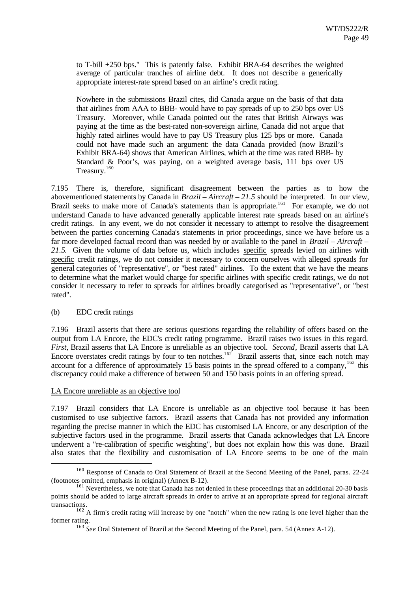to T-bill +250 bps." This is patently false. Exhibit BRA-64 describes the weighted average of particular tranches of airline debt. It does not describe a generically appropriate interest-rate spread based on an airline's credit rating.

Nowhere in the submissions Brazil cites, did Canada argue on the basis of that data that airlines from AAA to BBB- would have to pay spreads of up to 250 bps over US Treasury. Moreover, while Canada pointed out the rates that British Airways was paying at the time as the best-rated non-sovereign airline, Canada did not argue that highly rated airlines would have to pay US Treasury plus 125 bps or more. Canada could not have made such an argument: the data Canada provided (now Brazil's Exhibit BRA-64) shows that American Airlines, which at the time was rated BBB- by Standard & Poor's, was paying, on a weighted average basis, 111 bps over US Treasury.<sup>160</sup>

7.195 There is, therefore, significant disagreement between the parties as to how the abovementioned statements by Canada in *Brazil – Aircraft – 21.5* should be interpreted. In our view, Brazil seeks to make more of Canada's statements than is appropriate.<sup>161</sup> For example, we do not understand Canada to have advanced generally applicable interest rate spreads based on an airline's credit ratings. In any event, we do not consider it necessary to attempt to resolve the disagreement between the parties concerning Canada's statements in prior proceedings, since we have before us a far more developed factual record than was needed by or available to the panel in *Brazil – Aircraft – 21.5*. Given the volume of data before us, which includes specific spreads levied on airlines with specific credit ratings, we do not consider it necessary to concern ourselves with alleged spreads for general categories of "representative", or "best rated" airlines. To the extent that we have the means to determine what the market would charge for specific airlines with specific credit ratings, we do not consider it necessary to refer to spreads for airlines broadly categorised as "representative", or "best rated".

#### (b) EDC credit ratings

l

7.196 Brazil asserts that there are serious questions regarding the reliability of offers based on the output from LA Encore, the EDC's credit rating programme. Brazil raises two issues in this regard. *First*, Brazil asserts that LA Encore is unreliable as an objective tool. *Second*, Brazil asserts that LA Encore overstates credit ratings by four to ten notches.<sup>162</sup> Brazil asserts that, since each notch may account for a difference of approximately 15 basis points in the spread offered to a company,<sup>163</sup> this discrepancy could make a difference of between 50 and 150 basis points in an offering spread.

#### LA Encore unreliable as an objective tool

7.197 Brazil considers that LA Encore is unreliable as an objective tool because it has been customised to use subjective factors. Brazil asserts that Canada has not provided any information regarding the precise manner in which the EDC has customised LA Encore, or any description of the subjective factors used in the programme. Brazil asserts that Canada acknowledges that LA Encore underwent a "re-calibration of specific weighting", but does not explain how this was done. Brazil also states that the flexibility and customisation of LA Encore seems to be one of the main

<sup>&</sup>lt;sup>160</sup> Response of Canada to Oral Statement of Brazil at the Second Meeting of the Panel, paras. 22-24 (footnotes omitted, emphasis in original) (Annex B-12).

<sup>&</sup>lt;sup>161</sup> Nevertheless, we note that Canada has not denied in these proceedings that an additional 20-30 basis points should be added to large aircraft spreads in order to arrive at an appropriate spread for regional aircraft transactions.

 $162$  A firm's credit rating will increase by one "notch" when the new rating is one level higher than the former rating.

<sup>&</sup>lt;sup>163</sup> *See* Oral Statement of Brazil at the Second Meeting of the Panel, para. 54 (Annex A-12).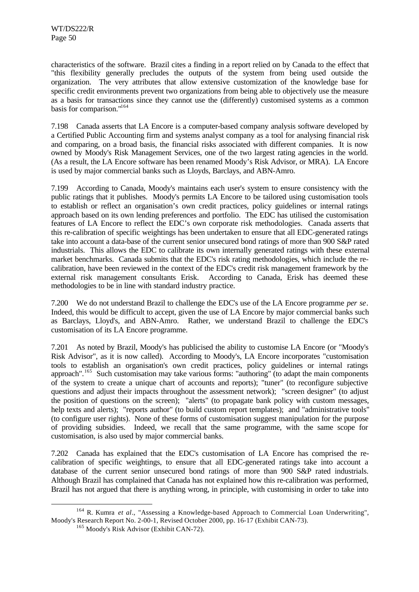characteristics of the software. Brazil cites a finding in a report relied on by Canada to the effect that "this flexibility generally precludes the outputs of the system from being used outside the organization. The very attributes that allow extensive customization of the knowledge base for specific credit environments prevent two organizations from being able to objectively use the measure as a basis for transactions since they cannot use the (differently) customised systems as a common basis for comparison."<sup>164</sup>

7.198 Canada asserts that LA Encore is a computer-based company analysis software developed by a Certified Public Accounting firm and systems analyst company as a tool for analysing financial risk and comparing, on a broad basis, the financial risks associated with different companies. It is now owned by Moody's Risk Management Services, one of the two largest rating agencies in the world. (As a result, the LA Encore software has been renamed Moody's Risk Advisor, or MRA). LA Encore is used by major commercial banks such as Lloyds, Barclays, and ABN-Amro.

7.199 According to Canada, Moody's maintains each user's system to ensure consistency with the public ratings that it publishes. Moody's permits LA Encore to be tailored using customisation tools to establish or reflect an organisation's own credit practices, policy guidelines or internal ratings approach based on its own lending preferences and portfolio. The EDC has utilised the customisation features of LA Encore to reflect the EDC's own corporate risk methodologies. Canada asserts that this re-calibration of specific weightings has been undertaken to ensure that all EDC-generated ratings take into account a data-base of the current senior unsecured bond ratings of more than 900 S&P rated industrials. This allows the EDC to calibrate its own internally generated ratings with these external market benchmarks. Canada submits that the EDC's risk rating methodologies, which include the recalibration, have been reviewed in the context of the EDC's credit risk management framework by the external risk management consultants Erisk. According to Canada, Erisk has deemed these methodologies to be in line with standard industry practice.

7.200 We do not understand Brazil to challenge the EDC's use of the LA Encore programme *per se*. Indeed, this would be difficult to accept, given the use of LA Encore by major commercial banks such as Barclays, Lloyd's, and ABN-Amro. Rather, we understand Brazil to challenge the EDC's customisation of its LA Encore programme.

7.201 As noted by Brazil, Moody's has publicised the ability to customise LA Encore (or "Moody's Risk Advisor", as it is now called). According to Moody's, LA Encore incorporates "customisation tools to establish an organisation's own credit practices, policy guidelines or internal ratings approach".<sup>165</sup> Such customisation may take various forms: "authoring" (to adapt the main components of the system to create a unique chart of accounts and reports); "tuner" (to reconfigure subjective questions and adjust their impacts throughout the assessment network); "screen designer" (to adjust the position of questions on the screen); "alerts" (to propagate bank policy with custom messages, help texts and alerts); "reports author" (to build custom report templates); and "administrative tools" (to configure user rights). None of these forms of customisation suggest manipulation for the purpose of providing subsidies. Indeed, we recall that the same programme, with the same scope for customisation, is also used by major commercial banks.

7.202 Canada has explained that the EDC's customisation of LA Encore has comprised the recalibration of specific weightings, to ensure that all EDC-generated ratings take into account a database of the current senior unsecured bond ratings of more than 900 S&P rated industrials. Although Brazil has complained that Canada has not explained how this re-calibration was performed, Brazil has not argued that there is anything wrong, in principle, with customising in order to take into

<sup>164</sup> R. Kumra *et al*., "Assessing a Knowledge-based Approach to Commercial Loan Underwriting", Moody's Research Report No. 2-00-1, Revised October 2000, pp. 16-17 (Exhibit CAN-73).

<sup>&</sup>lt;sup>165</sup> Moody's Risk Advisor (Exhibit CAN-72).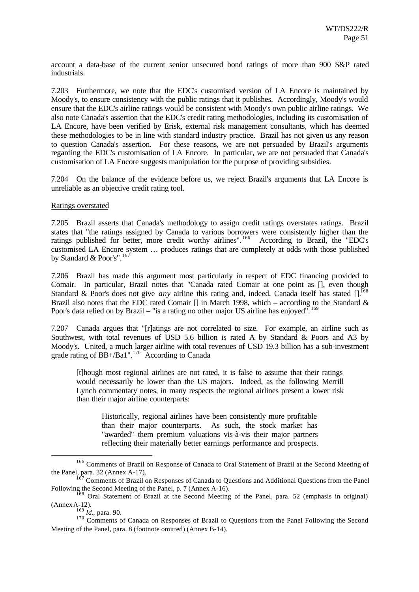account a data-base of the current senior unsecured bond ratings of more than 900 S&P rated industrials.

7.203 Furthermore, we note that the EDC's customised version of LA Encore is maintained by Moody's, to ensure consistency with the public ratings that it publishes. Accordingly, Moody's would ensure that the EDC's airline ratings would be consistent with Moody's own public airline ratings. We also note Canada's assertion that the EDC's credit rating methodologies, including its customisation of LA Encore, have been verified by Erisk, external risk management consultants, which has deemed these methodologies to be in line with standard industry practice. Brazil has not given us any reason to question Canada's assertion. For these reasons, we are not persuaded by Brazil's arguments regarding the EDC's customisation of LA Encore. In particular, we are not persuaded that Canada's customisation of LA Encore suggests manipulation for the purpose of providing subsidies.

7.204 On the balance of the evidence before us, we reject Brazil's arguments that LA Encore is unreliable as an objective credit rating tool.

#### Ratings overstated

7.205 Brazil asserts that Canada's methodology to assign credit ratings overstates ratings. Brazil states that "the ratings assigned by Canada to various borrowers were consistently higher than the ratings published for better, more credit worthy airlines".<sup>166</sup> According to Brazil, the "EDC's customised LA Encore system … produces ratings that are completely at odds with those published by Standard & Poor's".<sup>167</sup>

7.206 Brazil has made this argument most particularly in respect of EDC financing provided to Comair. In particular, Brazil notes that "Canada rated Comair at one point as [], even though Standard & Poor's does not give *any* airline this rating and, indeed, Canada itself has stated  $[1]$ .<sup>168</sup> Brazil also notes that the EDC rated Comair  $\Box$  in March 1998, which – according to the Standard & Poor's data relied on by Brazil – "is a rating no other major US airline has enjoyed". <sup>169</sup>

7.207 Canada argues that "[r]atings are not correlated to size. For example, an airline such as Southwest, with total revenues of USD 5.6 billion is rated A by Standard & Poors and A3 by Moody's. United, a much larger airline with total revenues of USD 19.3 billion has a sub-investment grade rating of BB+/Ba1".<sup>170</sup> According to Canada

[t]hough most regional airlines are not rated, it is false to assume that their ratings would necessarily be lower than the US majors. Indeed, as the following Merrill Lynch commentary notes, in many respects the regional airlines present a lower risk than their major airline counterparts:

Historically, regional airlines have been consistently more profitable than their major counterparts. As such, the stock market has "awarded" them premium valuations vis-à-vis their major partners reflecting their materially better earnings performance and prospects.

<sup>&</sup>lt;sup>166</sup> Comments of Brazil on Response of Canada to Oral Statement of Brazil at the Second Meeting of the Panel, para. 32 (Annex A-17).

 $167$  Comments of Brazil on Responses of Canada to Questions and Additional Questions from the Panel Following the Second Meeting of the Panel, p. 7 (Annex A-16).

<sup>&</sup>lt;sup>168</sup> Oral Statement of Brazil at the Second Meeting of the Panel, para. 52 (emphasis in original) (Annex A-12).

<sup>169</sup> *Id.*, para. 90.

 $170$  Comments of Canada on Responses of Brazil to Questions from the Panel Following the Second Meeting of the Panel, para. 8 (footnote omitted) (Annex B-14).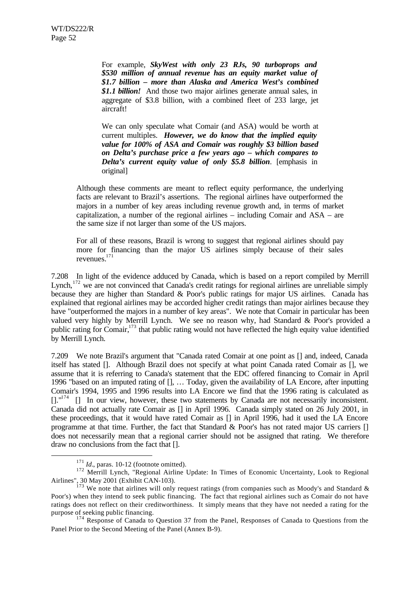For example, *SkyWest with only 23 RJs, 90 turboprops and \$530 million of annual revenue has an equity market value of \$1.7 billion – more than Alaska and America West's combined \$1.1 billion!* And those two major airlines generate annual sales, in aggregate of \$3.8 billion, with a combined fleet of 233 large, jet aircraft!

We can only speculate what Comair (and ASA) would be worth at current multiples. *However, we do know that the implied equity value for 100% of ASA and Comair was roughly \$3 billion based on Delta's purchase price a few years ago – which compares to Delta's current equity value of only \$5.8 billion*. [emphasis in original]

Although these comments are meant to reflect equity performance, the underlying facts are relevant to Brazil's assertions. The regional airlines have outperformed the majors in a number of key areas including revenue growth and, in terms of market capitalization, a number of the regional airlines – including Comair and ASA – are the same size if not larger than some of the US majors.

For all of these reasons, Brazil is wrong to suggest that regional airlines should pay more for financing than the major US airlines simply because of their sales revenues. 171

7.208 In light of the evidence adduced by Canada, which is based on a report compiled by Merrill Lynch,<sup>172</sup> we are not convinced that Canada's credit ratings for regional airlines are unreliable simply because they are higher than Standard & Poor's public ratings for major US airlines. Canada has explained that regional airlines may be accorded higher credit ratings than major airlines because they have "outperformed the majors in a number of key areas". We note that Comair in particular has been valued very highly by Merrill Lynch. We see no reason why, had Standard & Poor's provided a public rating for Comair,<sup>173</sup> that public rating would not have reflected the high equity value identified by Merrill Lynch.

7.209 We note Brazil's argument that "Canada rated Comair at one point as [] and, indeed, Canada itself has stated []. Although Brazil does not specify at what point Canada rated Comair as [], we assume that it is referring to Canada's statement that the EDC offered financing to Comair in April 1996 "based on an imputed rating of [], … Today, given the availability of LA Encore, after inputting Comair's 1994, 1995 and 1996 results into LA Encore we find that the 1996 rating is calculated as  $[1.1]$ ."<sup>174</sup> [] In our view, however, these two statements by Canada are not necessarily inconsistent. Canada did not actually rate Comair as [] in April 1996. Canada simply stated on 26 July 2001, in these proceedings, that it would have rated Comair as [] in April 1996, had it used the LA Encore programme at that time. Further, the fact that Standard & Poor's has not rated major US carriers [] does not necessarily mean that a regional carrier should not be assigned that rating. We therefore draw no conclusions from the fact that [].

<sup>&</sup>lt;sup>171</sup> *Id.*, paras. 10-12 (footnote omitted).

<sup>&</sup>lt;sup>172</sup> Merrill Lynch, "Regional Airline Update: In Times of Economic Uncertainty, Look to Regional Airlines", 30 May 2001 (Exhibit CAN-103).

<sup>&</sup>lt;sup>173</sup> We note that airlines will only request ratings (from companies such as Moody's and Standard & Poor's) when they intend to seek public financing. The fact that regional airlines such as Comair do not have ratings does not reflect on their creditworthiness. It simply means that they have not needed a rating for the purpose of seeking public financing.

<sup>&</sup>lt;sup>174</sup> Response of Canada to Question 37 from the Panel, Responses of Canada to Questions from the Panel Prior to the Second Meeting of the Panel (Annex B-9).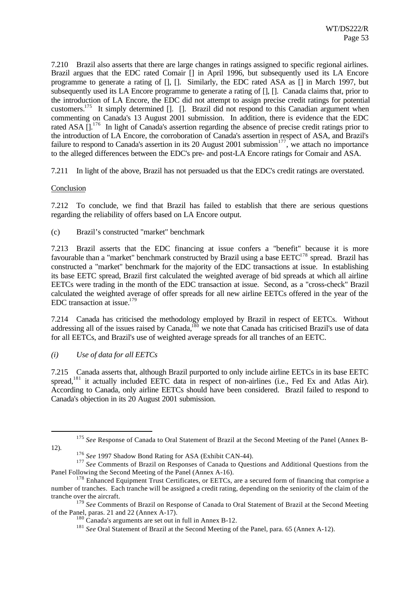7.210 Brazil also asserts that there are large changes in ratings assigned to specific regional airlines. Brazil argues that the EDC rated Comair [] in April 1996, but subsequently used its LA Encore programme to generate a rating of [], []. Similarly, the EDC rated ASA as [] in March 1997, but subsequently used its LA Encore programme to generate a rating of [], []. Canada claims that, prior to the introduction of LA Encore, the EDC did not attempt to assign precise credit ratings for potential customers.<sup>175</sup> It simply determined []. []. Brazil did not respond to this Canadian argument when commenting on Canada's 13 August 2001 submission. In addition, there is evidence that the EDC rated ASA  $\prod^{176}$  In light of Canada's assertion regarding the absence of precise credit ratings prior to the introduction of LA Encore, the corroboration of Canada's assertion in respect of ASA, and Brazil's failure to respond to Canada's assertion in its 20 August 2001 submission<sup>177</sup>, we attach no importance to the alleged differences between the EDC's pre- and post-LA Encore ratings for Comair and ASA.

7.211 In light of the above, Brazil has not persuaded us that the EDC's credit ratings are overstated.

## Conclusion

7.212 To conclude, we find that Brazil has failed to establish that there are serious questions regarding the reliability of offers based on LA Encore output.

(c) Brazil's constructed "market" benchmark

7.213 Brazil asserts that the EDC financing at issue confers a "benefit" because it is more favourable than a "market" benchmark constructed by Brazil using a base  $EETC^{178}$  spread. Brazil has constructed a "market" benchmark for the majority of the EDC transactions at issue. In establishing its base EETC spread, Brazil first calculated the weighted average of bid spreads at which all airline EETCs were trading in the month of the EDC transaction at issue. Second, as a "cross-check" Brazil calculated the weighted average of offer spreads for all new airline EETCs offered in the year of the EDC transaction at issue.<sup>179</sup>

7.214 Canada has criticised the methodology employed by Brazil in respect of EETCs. Without addressing all of the issues raised by Canada,<sup>180</sup> we note that Canada has criticised Brazil's use of data for all EETCs, and Brazil's use of weighted average spreads for all tranches of an EETC.

## *(i) Use of data for all EETCs*

7.215 Canada asserts that, although Brazil purported to only include airline EETCs in its base EETC spread, $181$  it actually included EETC data in respect of non-airlines (i.e., Fed Ex and Atlas Air). According to Canada, only airline EETCs should have been considered. Brazil failed to respond to Canada's objection in its 20 August 2001 submission.

<sup>&</sup>lt;sup>175</sup> See Response of Canada to Oral Statement of Brazil at the Second Meeting of the Panel (Annex B-

<sup>12).</sup>

<sup>&</sup>lt;sup>176</sup> See 1997 Shadow Bond Rating for ASA (Exhibit CAN-44).

<sup>&</sup>lt;sup>177</sup> See Comments of Brazil on Responses of Canada to Questions and Additional Questions from the Panel Following the Second Meeting of the Panel (Annex A-16).

 $178$  Enhanced Equipment Trust Certificates, or EETCs, are a secured form of financing that comprise a number of tranches. Each tranche will be assigned a credit rating, depending on the seniority of the claim of the tranche over the aircraft.

<sup>&</sup>lt;sup>179</sup> See Comments of Brazil on Response of Canada to Oral Statement of Brazil at the Second Meeting of the Panel, paras. 21 and 22 (Annex A-17).

 $^{180}$  Canada's arguments are set out in full in Annex B-12.

<sup>&</sup>lt;sup>181</sup> See Oral Statement of Brazil at the Second Meeting of the Panel, para. 65 (Annex A-12).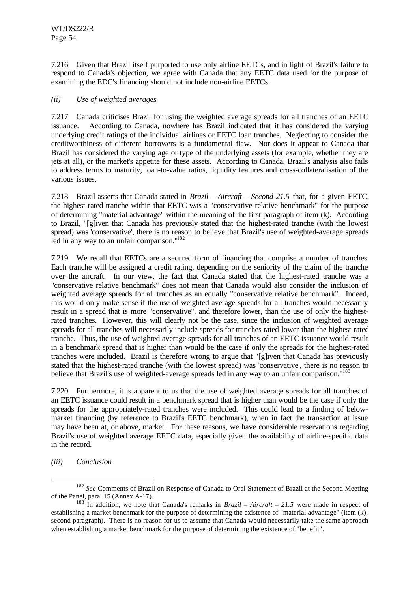7.216 Given that Brazil itself purported to use only airline EETCs, and in light of Brazil's failure to respond to Canada's objection, we agree with Canada that any EETC data used for the purpose of examining the EDC's financing should not include non-airline EETCs.

### *(ii) Use of weighted averages*

7.217 Canada criticises Brazil for using the weighted average spreads for all tranches of an EETC issuance. According to Canada, nowhere has Brazil indicated that it has considered the varying underlying credit ratings of the individual airlines or EETC loan tranches. Neglecting to consider the creditworthiness of different borrowers is a fundamental flaw. Nor does it appear to Canada that Brazil has considered the varying age or type of the underlying assets (for example, whether they are jets at all), or the market's appetite for these assets. According to Canada, Brazil's analysis also fails to address terms to maturity, loan-to-value ratios, liquidity features and cross-collateralisation of the various issues.

7.218 Brazil asserts that Canada stated in *Brazil – Aircraft – Second 21.5* that, for a given EETC, the highest-rated tranche within that EETC was a "conservative relative benchmark" for the purpose of determining "material advantage" within the meaning of the first paragraph of item (k). According to Brazil, "[g]iven that Canada has previously stated that the highest-rated tranche (with the lowest spread) was 'conservative', there is no reason to believe that Brazil's use of weighted-average spreads led in any way to an unfair comparison."<sup>182</sup>

7.219 We recall that EETCs are a secured form of financing that comprise a number of tranches. Each tranche will be assigned a credit rating, depending on the seniority of the claim of the tranche over the aircraft. In our view, the fact that Canada stated that the highest-rated tranche was a "conservative relative benchmark" does not mean that Canada would also consider the inclusion of weighted average spreads for all tranches as an equally "conservative relative benchmark". Indeed, this would only make sense if the use of weighted average spreads for all tranches would necessarily result in a spread that is more "conservative", and therefore lower, than the use of only the highestrated tranches. However, this will clearly not be the case, since the inclusion of weighted average spreads for all tranches will necessarily include spreads for tranches rated lower than the highest-rated tranche. Thus, the use of weighted average spreads for all tranches of an EETC issuance would result in a benchmark spread that is higher than would be the case if only the spreads for the highest-rated tranches were included. Brazil is therefore wrong to argue that "[g]iven that Canada has previously stated that the highest-rated tranche (with the lowest spread) was 'conservative', there is no reason to believe that Brazil's use of weighted-average spreads led in any way to an unfair comparison."<sup>183</sup>

7.220 Furthermore, it is apparent to us that the use of weighted average spreads for all tranches of an EETC issuance could result in a benchmark spread that is higher than would be the case if only the spreads for the appropriately-rated tranches were included. This could lead to a finding of belowmarket financing (by reference to Brazil's EETC benchmark), when in fact the transaction at issue may have been at, or above, market. For these reasons, we have considerable reservations regarding Brazil's use of weighted average EETC data, especially given the availability of airline-specific data in the record.

#### *(iii) Conclusion*

<sup>&</sup>lt;sup>182</sup> See Comments of Brazil on Response of Canada to Oral Statement of Brazil at the Second Meeting of the Panel, para. 15 (Annex A-17).

<sup>183</sup> In addition, we note that Canada's remarks in *Brazil – Aircraft – 21.5* were made in respect of establishing a market benchmark for the purpose of determining the existence of "material advantage" (item (k), second paragraph). There is no reason for us to assume that Canada would necessarily take the same approach when establishing a market benchmark for the purpose of determining the existence of "benefit".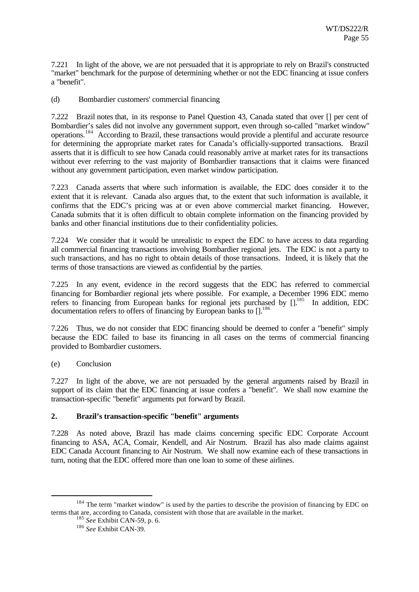7.221 In light of the above, we are not persuaded that it is appropriate to rely on Brazil's constructed "market" benchmark for the purpose of determining whether or not the EDC financing at issue confers a "benefit".

(d) Bombardier customers' commercial financing

7.222 Brazil notes that, in its response to Panel Question 43, Canada stated that over [] per cent of Bombardier's sales did not involve any government support, even through so-called "market window" operations.<sup>184</sup> According to Brazil, these transactions would provide a plentiful and accurate resource for determining the appropriate market rates for Canada's officially-supported transactions. Brazil asserts that it is difficult to see how Canada could reasonably arrive at market rates for its transactions without ever referring to the vast majority of Bombardier transactions that it claims were financed without any government participation, even market window participation.

7.223 Canada asserts that where such information is available, the EDC does consider it to the extent that it is relevant. Canada also argues that, to the extent that such information is available, it confirms that the EDC's pricing was at or even above commercial market financing. However, Canada submits that it is often difficult to obtain complete information on the financing provided by banks and other financial institutions due to their confidentiality policies.

7.224 We consider that it would be unrealistic to expect the EDC to have access to data regarding all commercial financing transactions involving Bombardier regional jets. The EDC is not a party to such transactions, and has no right to obtain details of those transactions. Indeed, it is likely that the terms of those transactions are viewed as confidential by the parties.

7.225 In any event, evidence in the record suggests that the EDC has referred to commercial financing for Bombardier regional jets where possible. For example, a December 1996 EDC memo refers to financing from European banks for regional jets purchased by  $[1]^{185}$  In addition, EDC documentation refers to offers of financing by European banks to  $\Pi$ <sup>186</sup>

7.226 Thus, we do not consider that EDC financing should be deemed to confer a "benefit" simply because the EDC failed to base its financing in all cases on the terms of commercial financing provided to Bombardier customers.

(e) Conclusion

l

7.227 In light of the above, we are not persuaded by the general arguments raised by Brazil in support of its claim that the EDC financing at issue confers a "benefit". We shall now examine the transaction-specific "benefit" arguments put forward by Brazil.

#### **2. Brazil's transaction-specific "benefit" arguments**

7.228 As noted above, Brazil has made claims concerning specific EDC Corporate Account financing to ASA, ACA, Comair, Kendell, and Air Nostrum. Brazil has also made claims against EDC Canada Account financing to Air Nostrum. We shall now examine each of these transactions in turn, noting that the EDC offered more than one loan to some of these airlines.

<sup>&</sup>lt;sup>184</sup> The term "market window" is used by the parties to describe the provision of financing by EDC on terms that are, according to Canada, consistent with those that are available in the market.

<sup>185</sup> *See* Exhibit CAN-59, p. 6.

<sup>186</sup> *See* Exhibit CAN-39.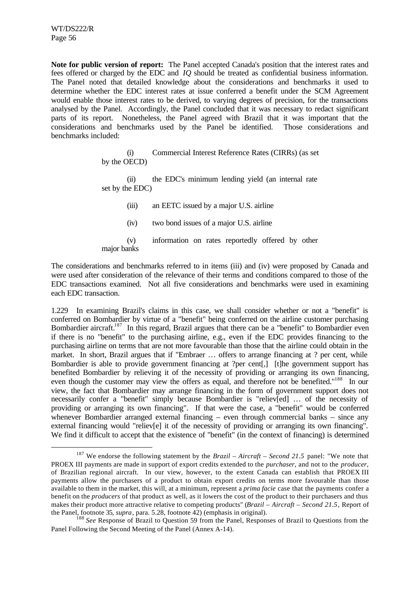l

**Note for public version of report:** The Panel accepted Canada's position that the interest rates and fees offered or charged by the EDC and *IQ* should be treated as confidential business information. The Panel noted that detailed knowledge about the considerations and benchmarks it used to determine whether the EDC interest rates at issue conferred a benefit under the SCM Agreement would enable those interest rates to be derived, to varying degrees of precision, for the transactions analysed by the Panel. Accordingly, the Panel concluded that it was necessary to redact significant parts of its report. Nonetheless, the Panel agreed with Brazil that it was important that the considerations and benchmarks used by the Panel be identified. Those considerations and benchmarks included:

> (i) Commercial Interest Reference Rates (CIRRs) (as set by the OECD)

> (ii) the EDC's minimum lending yield (an internal rate set by the EDC)

> > (iii) an EETC issued by a major U.S. airline

- (iv) two bond issues of a major U.S. airline
- (v) information on rates reportedly offered by other major banks

The considerations and benchmarks referred to in items (iii) and (iv) were proposed by Canada and were used after consideration of the relevance of their terms and conditions compared to those of the EDC transactions examined. Not all five considerations and benchmarks were used in examining each EDC transaction.

1.229 In examining Brazil's claims in this case, we shall consider whether or not a "benefit" is conferred on Bombardier by virtue of a "benefit" being conferred on the airline customer purchasing Bombardier aircraft.<sup>187</sup> In this regard, Brazil argues that there can be a "benefit" to Bombardier even if there is no "benefit" to the purchasing airline, e.g., even if the EDC provides financing to the purchasing airline on terms that are not more favourable than those that the airline could obtain in the market. In short, Brazil argues that if "Embraer … offers to arrange financing at ? per cent, while Bombardier is able to provide government financing at ?per cent[,] [t]he government support has benefited Bombardier by relieving it of the necessity of providing or arranging its own financing, even though the customer may view the offers as equal, and therefore not be benefited."<sup>188</sup> In our view, the fact that Bombardier may arrange financing in the form of government support does not necessarily confer a "benefit" simply because Bombardier is "reliev[ed] … of the necessity of providing or arranging its own financing". If that were the case, a "benefit" would be conferred whenever Bombardier arranged external financing – even through commercial banks – since any external financing would "relievel" it of the necessity of providing or arranging its own financing". We find it difficult to accept that the existence of "benefit" (in the context of financing) is determined

<sup>187</sup> We endorse the following statement by the *Brazil – Aircraft – Second 21.5* panel: "We note that PROEX III payments are made in support of export credits extended to the *purchaser*, and not to the *producer*, of Brazilian regional aircraft. In our view, however, to the extent Canada can establish that PROEX III payments allow the purchasers of a product to obtain export credits on terms more favourable than those available to them in the market, this will, at a minimum, represent a *prima facie* case that the payments confer a benefit on the *producers* of that product as well, as it lowers the cost of the product to their purchasers and thus makes their product more attractive relative to competing products" (*Brazil – Aircraft – Second 21.5*, Report of the Panel, footnote 35, *supra*, para. 5.28, footnote 42) (emphasis in original).

<sup>&</sup>lt;sup>188</sup> See Response of Brazil to Question 59 from the Panel, Responses of Brazil to Questions from the Panel Following the Second Meeting of the Panel (Annex A-14).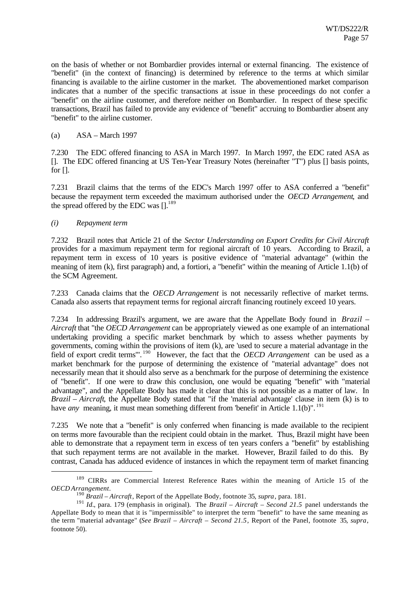on the basis of whether or not Bombardier provides internal or external financing. The existence of "benefit" (in the context of financing) is determined by reference to the terms at which similar financing is available to the airline customer in the market. The abovementioned market comparison indicates that a number of the specific transactions at issue in these proceedings do not confer a "benefit" on the airline customer, and therefore neither on Bombardier. In respect of these specific transactions, Brazil has failed to provide any evidence of "benefit" accruing to Bombardier absent any "benefit" to the airline customer.

#### $(a)$  ASA – March 1997

7.230 The EDC offered financing to ASA in March 1997. In March 1997, the EDC rated ASA as []. The EDC offered financing at US Ten-Year Treasury Notes (hereinafter "T") plus [] basis points, for  $\lceil \cdot \rceil$ .

7.231 Brazil claims that the terms of the EDC's March 1997 offer to ASA conferred a "benefit" because the repayment term exceeded the maximum authorised under the *OECD Arrangement*, and the spread offered by the EDC was  $[1]^{189}$ 

#### *(i) Repayment term*

l

7.232 Brazil notes that Article 21 of the *Sector Understanding on Export Credits for Civil Aircraft* provides for a maximum repayment term for regional aircraft of 10 years. According to Brazil, a repayment term in excess of 10 years is positive evidence of "material advantage" (within the meaning of item (k), first paragraph) and, a fortiori, a "benefit" within the meaning of Article 1.1(b) of the SCM Agreement.

7.233 Canada claims that the *OECD Arrangement* is not necessarily reflective of market terms. Canada also asserts that repayment terms for regional aircraft financing routinely exceed 10 years.

7.234 In addressing Brazil's argument, we are aware that the Appellate Body found in *Brazil – Aircraft* that "the *OECD Arrangement* can be appropriately viewed as one example of an international undertaking providing a specific market benchmark by which to assess whether payments by governments, coming within the provisions of item (k), are 'used to secure a material advantage in the field of export credit terms".<sup>190</sup> However, the fact that the *OECD Arrangement* can be used as a market benchmark for the purpose of determining the existence of "material advantage" does not necessarily mean that it should also serve as a benchmark for the purpose of determining the existence of "benefit". If one were to draw this conclusion, one would be equating "benefit" with "material advantage", and the Appellate Body has made it clear that this is not possible as a matter of law. In *Brazil – Aircraft*, the Appellate Body stated that "if the 'material advantage' clause in item (k) is to have *any* meaning, it must mean something different from 'benefit' in Article 1.1(b)".<sup>191</sup>

7.235 We note that a "benefit" is only conferred when financing is made available to the recipient on terms more favourable than the recipient could obtain in the market. Thus, Brazil might have been able to demonstrate that a repayment term in excess of ten years confers a "benefit" by establishing that such repayment terms are not available in the market. However, Brazil failed to do this. By contrast, Canada has adduced evidence of instances in which the repayment term of market financing

<sup>&</sup>lt;sup>189</sup> CIRRs are Commercial Interest Reference Rates within the meaning of Article 15 of the *OECD Arrangement*.

<sup>190</sup> *Brazil – Aircraft*, Report of the Appellate Body, footnote 35, *supra*, para. 181.

<sup>191</sup> *Id.*, para. 179 (emphasis in original). The *Brazil – Aircraft – Second 21.5* panel understands the Appellate Body to mean that it is "impermissible" to interpret the term "benefit" to have the same meaning as the term "material advantage" (*See Brazil – Aircraft – Second 21.5*, Report of the Panel, footnote 35, *supra*, footnote 50).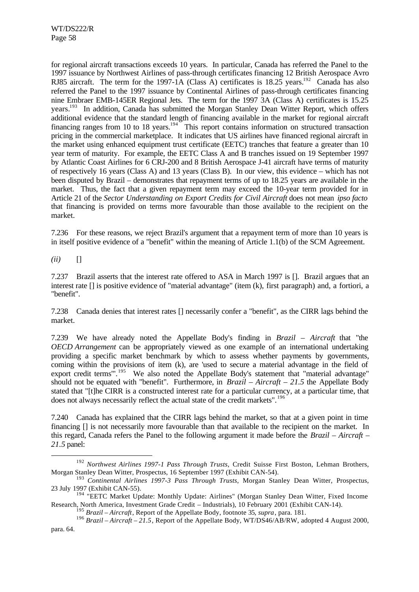for regional aircraft transactions exceeds 10 years. In particular, Canada has referred the Panel to the 1997 issuance by Northwest Airlines of pass-through certificates financing 12 British Aerospace Avro RJ85 aircraft. The term for the 1997-1A (Class A) certificates is  $18.25$  years.<sup>192</sup> Canada has also referred the Panel to the 1997 issuance by Continental Airlines of pass-through certificates financing nine Embraer EMB-145ER Regional Jets. The term for the 1997 3A (Class A) certificates is 15.25 years.<sup>193</sup> In addition, Canada has submitted the Morgan Stanley Dean Witter Report, which offers additional evidence that the standard length of financing available in the market for regional aircraft financing ranges from 10 to 18 years.<sup>194</sup> This report contains information on structured transaction pricing in the commercial marketplace. It indicates that US airlines have financed regional aircraft in the market using enhanced equipment trust certificate (EETC) tranches that feature a greater than 10 year term of maturity. For example, the EETC Class A and B tranches issued on 19 September 1997 by Atlantic Coast Airlines for 6 CRJ-200 and 8 British Aerospace J-41 aircraft have terms of maturity of respectively 16 years (Class A) and 13 years (Class B). In our view, this evidence – which has not been disputed by Brazil – demonstrates that repayment terms of up to 18.25 years are available in the market. Thus, the fact that a given repayment term may exceed the 10-year term provided for in Article 21 of the *Sector Understanding on Export Credits for Civil Aircraft* does not mean *ipso facto* that financing is provided on terms more favourable than those available to the recipient on the market.

7.236 For these reasons, we reject Brazil's argument that a repayment term of more than 10 years is in itself positive evidence of a "benefit" within the meaning of Article 1.1(b) of the SCM Agreement.

 $(ii)$   $[$ 

l

7.237 Brazil asserts that the interest rate offered to ASA in March 1997 is []. Brazil argues that an interest rate [] is positive evidence of "material advantage" (item (k), first paragraph) and, a fortiori, a "benefit".

7.238 Canada denies that interest rates [] necessarily confer a "benefit", as the CIRR lags behind the market.

7.239 We have already noted the Appellate Body's finding in *Brazil – Aircraft* that "the *OECD Arrangement* can be appropriately viewed as one example of an international undertaking providing a specific market benchmark by which to assess whether payments by governments, coming within the provisions of item (k), are 'used to secure a material advantage in the field of export credit terms<sup>". 195</sup> We also noted the Appellate Body's statement that "material advantage" should not be equated with "benefit". Furthermore, in *Brazil – Aircraft – 21.5* the Appellate Body stated that "[t]he CIRR is a constructed interest rate for a particular currency, at a particular time, that does not always necessarily reflect the actual state of the credit markets".<sup>196</sup>

7.240 Canada has explained that the CIRR lags behind the market, so that at a given point in time financing [] is not necessarily more favourable than that available to the recipient on the market. In this regard, Canada refers the Panel to the following argument it made before the *Brazil – Aircraft – 21.5* panel:

<sup>192</sup> *Northwest Airlines 1997-1 Pass Through Trusts*, Credit Suisse First Boston, Lehman Brothers, Morgan Stanley Dean Witter, Prospectus, 16 September 1997 (Exhibit CAN-54).

<sup>193</sup> *Continental Airlines 1997-3 Pass Through Trusts*, Morgan Stanley Dean Witter, Prospectus, 23 July 1997 (Exhibit CAN-55).

<sup>&</sup>lt;sup>194</sup> "EETC Market Update: Monthly Update: Airlines" (Morgan Stanley Dean Witter, Fixed Income Research, North America, Investment Grade Credit – Industrials), 10 February 2001 (Exhibit CAN-14).

<sup>195</sup> *Brazil – Aircraft*, Report of the Appellate Body, footnote 35, *supra*, para. 181.

<sup>&</sup>lt;sup>196</sup> Brazil – Aircraft – 21.5, Report of the Appellate Body, WT/DS46/AB/RW, adopted 4 August 2000, para. 64.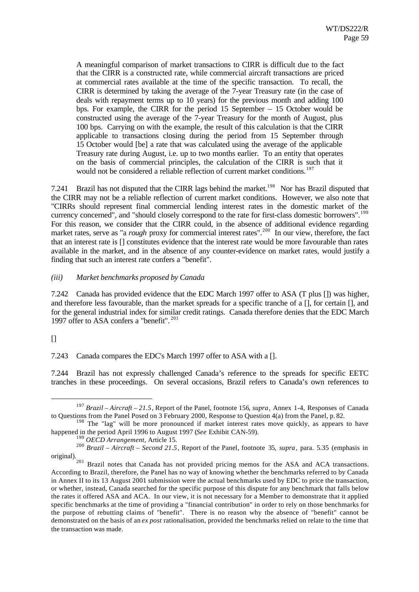A meaningful comparison of market transactions to CIRR is difficult due to the fact that the CIRR is a constructed rate, while commercial aircraft transactions are priced at commercial rates available at the time of the specific transaction. To recall, the CIRR is determined by taking the average of the 7-year Treasury rate (in the case of deals with repayment terms up to 10 years) for the previous month and adding 100 bps. For example, the CIRR for the period 15 September – 15 October would be constructed using the average of the 7-year Treasury for the month of August, plus 100 bps. Carrying on with the example, the result of this calculation is that the CIRR applicable to transactions closing during the period from 15 September through 15 October would [be] a rate that was calculated using the average of the applicable Treasury rate during August, i.e. up to two months earlier. To an entity that operates on the basis of commercial principles, the calculation of the CIRR is such that it would not be considered a reliable reflection of current market conditions.<sup>197</sup>

7.241 Brazil has not disputed that the CIRR lags behind the market.<sup>198</sup> Nor has Brazil disputed that the CIRR may not be a reliable reflection of current market conditions. However, we also note that "CIRRs should represent final commercial lending interest rates in the domestic market of the currency concerned", and "should closely correspond to the rate for first-class domestic borrowers".<sup>19</sup> For this reason, we consider that the CIRR could, in the absence of additional evidence regarding market rates, serve as "a *rough* proxy for commercial interest rates".<sup>200</sup> In our view, therefore, the fact that an interest rate is [] constitutes evidence that the interest rate would be more favourable than rates available in the market, and in the absence of any counter-evidence on market rates, would justify a finding that such an interest rate confers a "benefit".

#### *(iii) Market benchmarks proposed by Canada*

7.242 Canada has provided evidence that the EDC March 1997 offer to ASA (T plus []) was higher, and therefore less favourable, than the market spreads for a specific tranche of a [], for certain [], and for the general industrial index for similar credit ratings. Canada therefore denies that the EDC March 1997 offer to ASA confers a "benefit".<sup>201</sup>

### $\Box$

l

#### 7.243 Canada compares the EDC's March 1997 offer to ASA with a [].

7.244 Brazil has not expressly challenged Canada's reference to the spreads for specific EETC tranches in these proceedings. On several occasions, Brazil refers to Canada's own references to

<sup>197</sup> *Brazil – Aircraft – 21.5*, Report of the Panel, footnote 156, *supra*, Annex 1-4, Responses of Canada to Questions from the Panel Posed on 3 February 2000, Response to Question 4(a) from the Panel, p. 82.

<sup>&</sup>lt;sup>198</sup> The "lag" will be more pronounced if market interest rates move quickly, as appears to have happened in the period April 1996 to August 1997 (*See* Exhibit CAN-59).

<sup>199</sup> *OECD Arrangement*, Article 15.

<sup>200</sup> *Brazil – Aircraft – Second 21.5*, Report of the Panel, footnote 35, *supra*, para. 5.35 (emphasis in original).

 $201$  Brazil notes that Canada has not provided pricing memos for the ASA and ACA transactions. According to Brazil, therefore, the Panel has no way of knowing whether the benchmarks referred to by Canada in Annex II to its 13 August 2001 submission were the actual benchmarks used by EDC to price the transaction, or whether, instead, Canada searched for the specific purpose of this dispute for any benchmark that falls below the rates it offered ASA and ACA. In our view, it is not necessary for a Member to demonstrate that it applied specific benchmarks at the time of providing a "financial contribution" in order to rely on those benchmarks for the purpose of rebutting claims of "benefit". There is no reason why the absence of "benefit" cannot be demonstrated on the basis of an *ex post* rationalisation, provided the benchmarks relied on relate to the time that the transaction was made.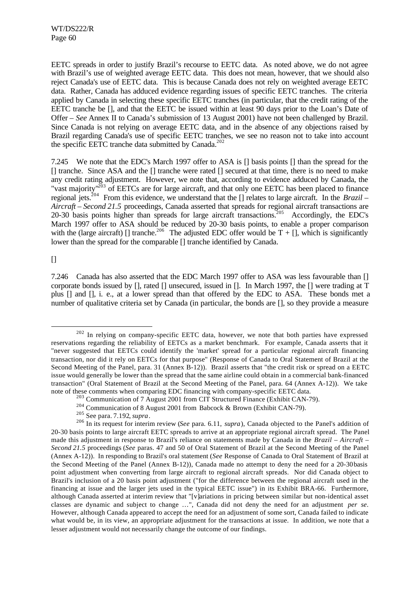EETC spreads in order to justify Brazil's recourse to EETC data. As noted above, we do not agree with Brazil's use of weighted average EETC data. This does not mean, however, that we should also reject Canada's use of EETC data. This is because Canada does not rely on weighted average EETC data. Rather, Canada has adduced evidence regarding issues of specific EETC tranches. The criteria applied by Canada in selecting these specific EETC tranches (in particular, that the credit rating of the EETC tranche be [], and that the EETC be issued within at least 90 days prior to the Loan's Date of Offer – *See* Annex II to Canada's submission of 13 August 2001) have not been challenged by Brazil. Since Canada is not relying on average EETC data, and in the absence of any objections raised by Brazil regarding Canada's use of specific EETC tranches, we see no reason not to take into account the specific EETC tranche data submitted by Canada. $^{202}$ 

7.245 We note that the EDC's March 1997 offer to ASA is [] basis points [] than the spread for the [] tranche. Since ASA and the [] tranche were rated [] secured at that time, there is no need to make any credit rating adjustment. However, we note that, according to evidence adduced by Canada, the "vast majority"<sup>203</sup> of EETCs are for large aircraft, and that only one EETC has been placed to finance regional jets.<sup>204</sup> From this evidence, we understand that the [] relates to large aircraft. In the *Brazil – Aircraft – Second 21.5* proceedings, Canada asserted that spreads for regional aircraft transactions are 20-30 basis points higher than spreads for large aircraft transactions.<sup>205</sup> Accordingly, the EDC's March 1997 offer to ASA should be reduced by 20-30 basis points, to enable a proper comparison with the (large aircraft) [] tranche.<sup>206</sup> The adjusted EDC offer would be  $T + []$ , which is significantly lower than the spread for the comparable [] tranche identified by Canada.

# $\prod$

l

7.246 Canada has also asserted that the EDC March 1997 offer to ASA was less favourable than [] corporate bonds issued by [], rated [] unsecured, issued in []. In March 1997, the [] were trading at T plus [] and [], i. e., at a lower spread than that offered by the EDC to ASA. These bonds met a number of qualitative criteria set by Canada (in particular, the bonds are [], so they provide a measure

<sup>&</sup>lt;sup>202</sup> In relying on company-specific EETC data, however, we note that both parties have expressed reservations regarding the reliability of EETCs as a market benchmark. For example, Canada asserts that it "never suggested that EETCs could identify the 'market' spread for a particular regional aircraft financing transaction, nor did it rely on EETCs for that purpose" (Response of Canada to Oral Statement of Brazil at the Second Meeting of the Panel, para. 31 (Annex B-12)). Brazil asserts that "the credit risk or spread on a EETC issue would generally be lower than the spread that the same airline could obtain in a commercial bank-financed transaction" (Oral Statement of Brazil at the Second Meeting of the Panel, para. 64 (Annex A-12)). We take note of these comments when comparing EDC financing with company-specific EETC data.

<sup>&</sup>lt;sup>203</sup> Communication of 7 August 2001 from CIT Structured Finance (Exhibit CAN-79).

<sup>&</sup>lt;sup>204</sup> Communication of 8 August 2001 from Babcock & Brown (Exhibit CAN-79).

<sup>205</sup> See para. 7.192, *supra*.

<sup>206</sup> In its request for interim review (*See* para. 6.11, *supra*), Canada objected to the Panel's addition of 20-30 basis points to large aircraft EETC spreads to arrive at an appropriate regional aircraft spread. The Panel made this adjustment in response to Brazil's reliance on statements made by Canada in the *Brazil – Aircraft – Second 21.5* proceedings (*See* paras. 47 and 50 of Oral Statement of Brazil at the Second Meeting of the Panel (Annex A-12)). In responding to Brazil's oral statement (*See* Response of Canada to Oral Statement of Brazil at the Second Meeting of the Panel (Annex B-12)), Canada made no attempt to deny the need for a 20-30 basis point adjustment when converting from large aircraft to regional aircraft spreads. Nor did Canada object to Brazil's inclusion of a 20 basis point adjustment ("for the difference between the regional aircraft used in the financing at issue and the larger jets used in the typical EETC issue") in its Exhibit BRA-66. Furthermore, although Canada asserted at interim review that "[v]ariations in pricing between similar but non-identical asset classes are dynamic and subject to change …", Canada did not deny the need for an adjustment *per se*. However, although Canada appeared to accept the need for an adjustment of some sort, Canada failed to indicate what would be, in its view, an appropriate adjustment for the transactions at issue. In addition, we note that a lesser adjustment would not necessarily change the outcome of our findings.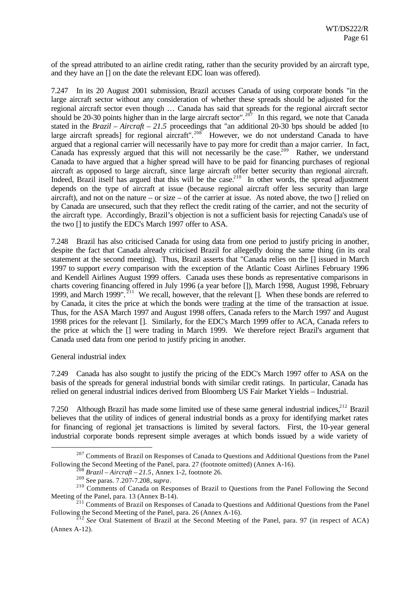of the spread attributed to an airline credit rating, rather than the security provided by an aircraft type, and they have an [] on the date the relevant EDC loan was offered).

7.247 In its 20 August 2001 submission, Brazil accuses Canada of using corporate bonds "in the large aircraft sector without any consideration of whether these spreads should be adjusted for the regional aircraft sector even though … Canada has said that spreads for the regional aircraft sector should be 20-30 points higher than in the large aircraft sector".<sup>207</sup> In this regard, we note that Canada stated in the *Brazil – Aircraft – 21.5* proceedings that "an additional 20-30 bps should be added [to large aircraft spreads] for regional aircraft".<sup>208</sup> However, we do not understand Canada to have argued that a regional carrier will necessarily have to pay more for credit than a major carrier. In fact, Canada has expressly argued that this will not necessarily be the case.<sup>209</sup> Rather, we understand Canada to have argued that a higher spread will have to be paid for financing purchases of regional aircraft as opposed to large aircraft, since large aircraft offer better security than regional aircraft. Indeed, Brazil itself has argued that this will be the case.<sup>210</sup> In other words, the spread adjustment depends on the type of aircraft at issue (because regional aircraft offer less security than large aircraft), and not on the nature – or size – of the carrier at issue. As noted above, the two  $\Box$  relied on by Canada are unsecured, such that they reflect the credit rating of the carrier, and not the security of the aircraft type. Accordingly, Brazil's objection is not a sufficient basis for rejecting Canada's use of the two [] to justify the EDC's March 1997 offer to ASA.

7.248 Brazil has also criticised Canada for using data from one period to justify pricing in another, despite the fact that Canada already criticised Brazil for allegedly doing the same thing (in its oral statement at the second meeting). Thus, Brazil asserts that "Canada relies on the [] issued in March 1997 to support *every* comparison with the exception of the Atlantic Coast Airlines February 1996 and Kendell Airlines August 1999 offers. Canada uses these bonds as representative comparisons in charts covering financing offered in July 1996 (a year before []), March 1998, August 1998, February 1999, and March 1999".<sup>211</sup> We recall, however, that the relevant []. When these bonds are referred to by Canada, it cites the price at which the bonds were trading at the time of the transaction at issue. Thus, for the ASA March 1997 and August 1998 offers, Canada refers to the March 1997 and August 1998 prices for the relevant []. Similarly, for the EDC's March 1999 offer to ACA, Canada refers to the price at which the [] were trading in March 1999. We therefore reject Brazil's argument that Canada used data from one period to justify pricing in another.

General industrial index

l

7.249 Canada has also sought to justify the pricing of the EDC's March 1997 offer to ASA on the basis of the spreads for general industrial bonds with similar credit ratings. In particular, Canada has relied on general industrial indices derived from Bloomberg US Fair Market Yields – Industrial.

7.250 Although Brazil has made some limited use of these same general industrial indices,<sup>212</sup> Brazil believes that the utility of indices of general industrial bonds as a proxy for identifying market rates for financing of regional jet transactions is limited by several factors. First, the 10-year general industrial corporate bonds represent simple averages at which bonds issued by a wide variety of

<sup>&</sup>lt;sup>207</sup> Comments of Brazil on Responses of Canada to Questions and Additional Questions from the Panel Following the Second Meeting of the Panel, para. 27 (footnote omitted) (Annex A-16).

 $^{208}$  *Brazil – Aircraft – 21.5*, Annex 1-2, footnote 26.

<sup>209</sup> See paras. 7.207-7.208, *supra*.

<sup>&</sup>lt;sup>210</sup> Comments of Canada on Responses of Brazil to Questions from the Panel Following the Second Meeting of the Panel, para. 13 (Annex B-14).

<sup>&</sup>lt;sup>211</sup> Comments of Brazil on Responses of Canada to Questions and Additional Questions from the Panel Following the Second Meeting of the Panel, para. 26 (Annex A-16).

<sup>&</sup>lt;sup>212</sup> See Oral Statement of Brazil at the Second Meeting of the Panel, para. 97 (in respect of ACA) (Annex A-12).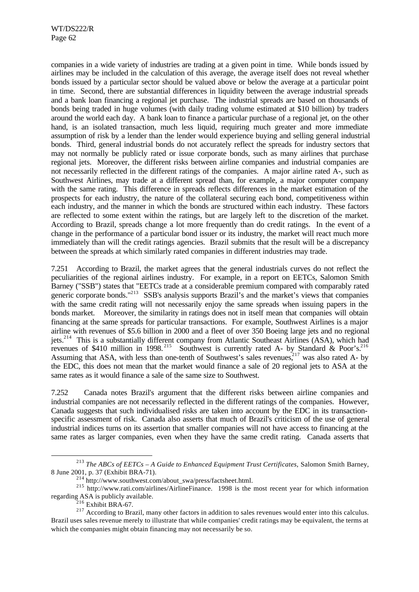companies in a wide variety of industries are trading at a given point in time. While bonds issued by airlines may be included in the calculation of this average, the average itself does not reveal whether bonds issued by a particular sector should be valued above or below the average at a particular point in time. Second, there are substantial differences in liquidity between the average industrial spreads and a bank loan financing a regional jet purchase. The industrial spreads are based on thousands of bonds being traded in huge volumes (with daily trading volume estimated at \$10 billion) by traders around the world each day. A bank loan to finance a particular purchase of a regional jet, on the other hand, is an isolated transaction, much less liquid, requiring much greater and more immediate assumption of risk by a lender than the lender would experience buying and selling general industrial bonds. Third, general industrial bonds do not accurately reflect the spreads for industry sectors that may not normally be publicly rated or issue corporate bonds, such as many airlines that purchase regional jets. Moreover, the different risks between airline companies and industrial companies are not necessarily reflected in the different ratings of the companies. A major airline rated A-, such as Southwest Airlines, may trade at a different spread than, for example, a major computer company with the same rating. This difference in spreads reflects differences in the market estimation of the prospects for each industry, the nature of the collateral securing each bond, competitiveness within each industry, and the manner in which the bonds are structured within each industry. These factors are reflected to some extent within the ratings, but are largely left to the discretion of the market. According to Brazil, spreads change a lot more frequently than do credit ratings. In the event of a change in the performance of a particular bond issuer or its industry, the market will react much more immediately than will the credit ratings agencies. Brazil submits that the result will be a discrepancy between the spreads at which similarly rated companies in different industries may trade.

7.251 According to Brazil, the market agrees that the general industrials curves do not reflect the peculiarities of the regional airlines industry. For example, in a report on EETCs, Salomon Smith Barney ("SSB") states that "EETCs trade at a considerable premium compared with comparably rated generic corporate bonds."<sup>213</sup> SSB's analysis supports Brazil's and the market's views that companies with the same credit rating will not necessarily enjoy the same spreads when issuing papers in the bonds market. Moreover, the similarity in ratings does not in itself mean that companies will obtain financing at the same spreads for particular transactions. For example, Southwest Airlines is a major airline with revenues of \$5.6 billion in 2000 and a fleet of over 350 Boeing large jets and no regional jets.<sup>214</sup> This is a substantially different company from Atlantic Southeast Airlines (ASA), which had revenues of \$410 million in 1998.<sup>215</sup> Southwest is currently rated A- by Standard  $\&$  Poor's.<sup>216</sup> Assuming that ASA, with less than one-tenth of Southwest's sales revenues,<sup>217</sup> was also rated A- by the EDC, this does not mean that the market would finance a sale of 20 regional jets to ASA at the same rates as it would finance a sale of the same size to Southwest.

7.252 Canada notes Brazil's argument that the different risks between airline companies and industrial companies are not necessarily reflected in the different ratings of the companies. However, Canada suggests that such individualised risks are taken into account by the EDC in its transactionspecific assessment of risk. Canada also asserts that much of Brazil's criticism of the use of general industrial indices turns on its assertion that smaller companies will not have access to financing at the same rates as larger companies, even when they have the same credit rating. Canada asserts that

<sup>213</sup> *The ABCs of EETCs – A Guide to Enhanced Equipment Trust Certificates*, Salomon Smith Barney, 8 June 2001, p. 37 (Exhibit BRA-71).

<sup>214</sup> http://www.southwest.com/about\_swa/press/factsheet.html.

<sup>&</sup>lt;sup>215</sup> http://www.rati.com/airlines/AirlineFinance. 1998 is the most recent year for which information regarding ASA is publicly available.

 $216$  Exhibit BRA-67.

<sup>&</sup>lt;sup>217</sup> According to Brazil, many other factors in addition to sales revenues would enter into this calculus. Brazil uses sales revenue merely to illustrate that while companies' credit ratings may be equivalent, the terms at which the companies might obtain financing may not necessarily be so.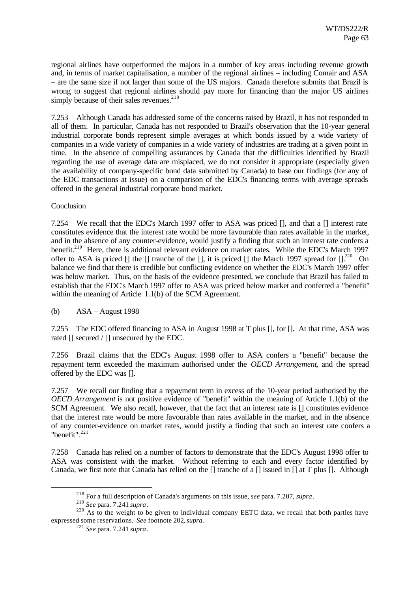regional airlines have outperformed the majors in a number of key areas including revenue growth and, in terms of market capitalisation, a number of the regional airlines – including Comair and ASA – are the same size if not larger than some of the US majors. Canada therefore submits that Brazil is wrong to suggest that regional airlines should pay more for financing than the major US airlines simply because of their sales revenues.<sup>218</sup>

7.253 Although Canada has addressed some of the concerns raised by Brazil, it has not responded to all of them. In particular, Canada has not responded to Brazil's observation that the 10-year general industrial corporate bonds represent simple averages at which bonds issued by a wide variety of companies in a wide variety of companies in a wide variety of industries are trading at a given point in time. In the absence of compelling assurances by Canada that the difficulties identified by Brazil regarding the use of average data are misplaced, we do not consider it appropriate (especially given the availability of company-specific bond data submitted by Canada) to base our findings (for any of the EDC transactions at issue) on a comparison of the EDC's financing terms with average spreads offered in the general industrial corporate bond market.

Conclusion

7.254 We recall that the EDC's March 1997 offer to ASA was priced [], and that a [] interest rate constitutes evidence that the interest rate would be more favourable than rates available in the market, and in the absence of any counter-evidence, would justify a finding that such an interest rate confers a benefit.<sup>219</sup> Here, there is additional relevant evidence on market rates. While the EDC's March 1997 offer to ASA is priced  $\lceil \rceil$  the  $\lceil \rceil$  tranche of the  $\lceil \rceil$ , it is priced  $\lceil \rceil$  the March 1997 spread for  $\lceil \rceil^{220}$  On balance we find that there is credible but conflicting evidence on whether the EDC's March 1997 offer was below market. Thus, on the basis of the evidence presented, we conclude that Brazil has failed to establish that the EDC's March 1997 offer to ASA was priced below market and conferred a "benefit" within the meaning of Article 1.1(b) of the SCM Agreement.

#### (b) ASA – August 1998

7.255 The EDC offered financing to ASA in August 1998 at T plus [], for []. At that time, ASA was rated [] secured / [] unsecured by the EDC.

7.256 Brazil claims that the EDC's August 1998 offer to ASA confers a "benefit" because the repayment term exceeded the maximum authorised under the *OECD Arrangement*, and the spread offered by the EDC was [].

7.257 We recall our finding that a repayment term in excess of the 10-year period authorised by the *OECD Arrangement* is not positive evidence of "benefit" within the meaning of Article 1.1(b) of the SCM Agreement. We also recall, however, that the fact that an interest rate is [] constitutes evidence that the interest rate would be more favourable than rates available in the market, and in the absence of any counter-evidence on market rates, would justify a finding that such an interest rate confers a "benefit". $221$ 

7.258 Canada has relied on a number of factors to demonstrate that the EDC's August 1998 offer to ASA was consistent with the market. Without referring to each and every factor identified by Canada, we first note that Canada has relied on the  $\lceil \cdot \rceil$  tranche of a  $\lceil \cdot \rceil$  issued in  $\lceil \cdot \rceil$  at T plus  $\lceil \cdot \rceil$ . Although

<sup>218</sup> For a full description of Canada's arguments on this issue, *see* para. 7.207, *supra*.

<sup>219</sup> *See* para. 7.241 *supra*.

<sup>&</sup>lt;sup>220</sup> As to the weight to be given to individual company EETC data, we recall that both parties have expressed some reservations. *See* footnote 202, *supra*.

<sup>221</sup> *See* para. 7.241 *supra*.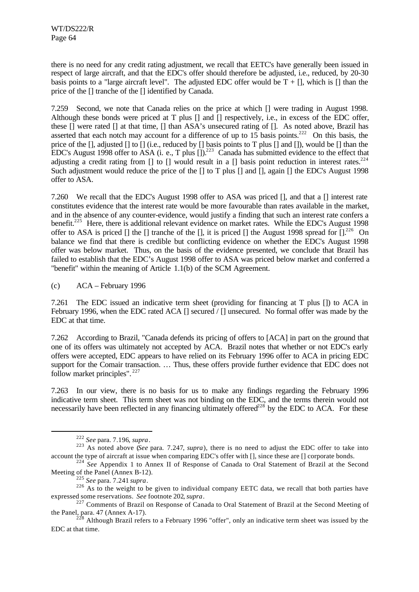there is no need for any credit rating adjustment, we recall that EETC's have generally been issued in respect of large aircraft, and that the EDC's offer should therefore be adjusted, i.e., reduced, by 20-30 basis points to a "large aircraft level". The adjusted EDC offer would be  $T + []$ , which is  $[]$  than the price of the [] tranche of the [] identified by Canada.

7.259 Second, we note that Canada relies on the price at which [] were trading in August 1998. Although these bonds were priced at T plus [] and [] respectively, i.e., in excess of the EDC offer, these [] were rated [] at that time, [] than ASA's unsecured rating of []. As noted above, Brazil has asserted that each notch may account for a difference of up to  $15$  basis points.<sup>222</sup> On this basis, the price of the [], adjusted [] to [] (i.e., reduced by [] basis points to T plus [] and []), would be [] than the EDC's August 1998 offer to ASA (i. e., T plus  $\left[ \right]$ ).<sup>223</sup> Canada has submitted evidence to the effect that adjusting a credit rating from  $[]$  to  $[]$  would result in a  $[]$  basis point reduction in interest rates.<sup>224</sup> Such adjustment would reduce the price of the  $\Box$  to T plus  $\Box$  and  $\Box$ , again  $\Box$  the EDC's August 1998 offer to ASA.

7.260 We recall that the EDC's August 1998 offer to ASA was priced [], and that a [] interest rate constitutes evidence that the interest rate would be more favourable than rates available in the market, and in the absence of any counter-evidence, would justify a finding that such an interest rate confers a benefit.<sup>225</sup> Here, there is additional relevant evidence on market rates. While the EDC's August 1998 offer to ASA is priced  $\lceil \rceil$  the  $\lceil \rceil$  tranche of the  $\lceil \rceil$ , it is priced  $\lceil \rceil$  the August 1998 spread for  $\lceil \rceil^{226}$  On balance we find that there is credible but conflicting evidence on whether the EDC's August 1998 offer was below market. Thus, on the basis of the evidence presented, we conclude that Brazil has failed to establish that the EDC's August 1998 offer to ASA was priced below market and conferred a "benefit" within the meaning of Article 1.1(b) of the SCM Agreement.

(c) ACA – February 1996

7.261 The EDC issued an indicative term sheet (providing for financing at T plus []) to ACA in February 1996, when the EDC rated ACA [] secured / [] unsecured. No formal offer was made by the EDC at that time.

7.262 According to Brazil, "Canada defends its pricing of offers to [ACA] in part on the ground that one of its offers was ultimately not accepted by ACA. Brazil notes that whether or not EDC's early offers were accepted, EDC appears to have relied on its February 1996 offer to ACA in pricing EDC support for the Comair transaction. … Thus, these offers provide further evidence that EDC does not follow market principles". <sup>227</sup>

7.263 In our view, there is no basis for us to make any findings regarding the February 1996 indicative term sheet. This term sheet was not binding on the EDC, and the terms therein would not necessarily have been reflected in any financing ultimately offered $^{228}$  by the EDC to ACA. For these

<sup>222</sup> *See* para. 7.196, *supra*.

<sup>223</sup> As noted above (*See* para. 7.247, *supra*), there is no need to adjust the EDC offer to take into account the type of aircraft at issue when comparing EDC's offer with [], since these are [] corporate bonds.

<sup>&</sup>lt;sup>224</sup> See Appendix 1 to Annex II of Response of Canada to Oral Statement of Brazil at the Second Meeting of the Panel (Annex B-12).

<sup>225</sup> *See* para. 7.241 *supra*.

<sup>&</sup>lt;sup>226</sup> As to the weight to be given to individual company EETC data, we recall that both parties have expressed some reservations. *See* footnote 202, *supra*.

<sup>&</sup>lt;sup>227</sup> Comments of Brazil on Response of Canada to Oral Statement of Brazil at the Second Meeting of the Panel, para. 47 (Annex A-17).

<sup>228</sup> Although Brazil refers to a February 1996 "offer", only an indicative term sheet was issued by the EDC at that time.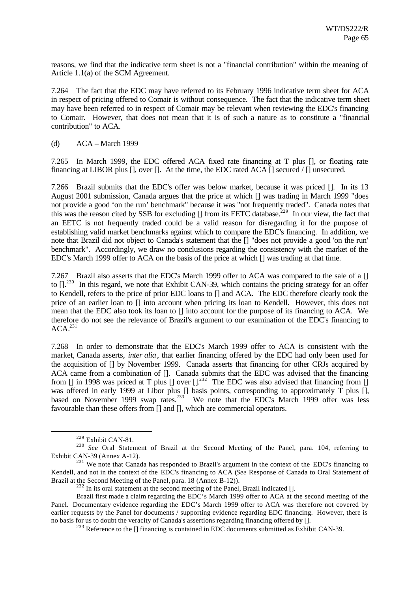reasons, we find that the indicative term sheet is not a "financial contribution" within the meaning of Article 1.1(a) of the SCM Agreement.

7.264 The fact that the EDC may have referred to its February 1996 indicative term sheet for ACA in respect of pricing offered to Comair is without consequence. The fact that the indicative term sheet may have been referred to in respect of Comair may be relevant when reviewing the EDC's financing to Comair. However, that does not mean that it is of such a nature as to constitute a "financial contribution" to ACA.

(d) ACA – March 1999

7.265 In March 1999, the EDC offered ACA fixed rate financing at T plus [], or floating rate financing at LIBOR plus  $\lceil \cdot \rceil$ . At the time, the EDC rated ACA  $\lceil \cdot \rceil$  secured  $\lceil \cdot \rceil$  unsecured.

7.266 Brazil submits that the EDC's offer was below market, because it was priced []. In its 13 August 2001 submission, Canada argues that the price at which [] was trading in March 1999 "does not provide a good 'on the run' benchmark" because it was "not frequently traded". Canada notes that this was the reason cited by SSB for excluding  $[]$  from its EETC database.<sup>229</sup> In our view, the fact that an EETC is not frequently traded could be a valid reason for disregarding it for the purpose of establishing valid market benchmarks against which to compare the EDC's financing. In addition, we note that Brazil did not object to Canada's statement that the [] "does not provide a good 'on the run' benchmark". Accordingly, we draw no conclusions regarding the consistency with the market of the EDC's March 1999 offer to ACA on the basis of the price at which [] was trading at that time.

7.267 Brazil also asserts that the EDC's March 1999 offer to ACA was compared to the sale of a [] to [].<sup>230</sup> In this regard, we note that Exhibit CAN-39, which contains the pricing strategy for an offer to Kendell, refers to the price of prior EDC loans to [] and ACA. The EDC therefore clearly took the price of an earlier loan to [] into account when pricing its loan to Kendell. However, this does not mean that the EDC also took its loan to [] into account for the purpose of its financing to ACA. We therefore do not see the relevance of Brazil's argument to our examination of the EDC's financing to  $ACA.<sup>231</sup>$ 

7.268 In order to demonstrate that the EDC's March 1999 offer to ACA is consistent with the market, Canada asserts, *inter alia*, that earlier financing offered by the EDC had only been used for the acquisition of [] by November 1999. Canada asserts that financing for other CRJs acquired by ACA came from a combination of []. Canada submits that the EDC was advised that the financing from [] in 1998 was priced at T plus [] over  $\left[\right]$ <sup>232</sup> The EDC was also advised that financing from [] was offered in early 1999 at Libor plus [] basis points, corresponding to approximately T plus [], based on November 1999 swap rates.<sup>233</sup> We note that the EDC's March 1999 offer was less favourable than these offers from [] and [], which are commercial operators.

<sup>229</sup> Exhibit CAN-81.

<sup>&</sup>lt;sup>230</sup> See Oral Statement of Brazil at the Second Meeting of the Panel, para. 104, referring to Exhibit CAN-39 (Annex A-12).

 $^{231}$  We note that Canada has responded to Brazil's argument in the context of the EDC's financing to Kendell, and not in the context of the EDC's financing to ACA (*See* Response of Canada to Oral Statement of Brazil at the Second Meeting of the Panel, para. 18 (Annex B-12)).

 $^{232}$  In its oral statement at the second meeting of the Panel, Brazil indicated [].

Brazil first made a claim regarding the EDC's March 1999 offer to ACA at the second meeting of the Panel. Documentary evidence regarding the EDC's March 1999 offer to ACA was therefore not covered by earlier requests by the Panel for documents / supporting evidence regarding EDC financing. However, there is no basis for us to doubt the veracity of Canada's assertions regarding financing offered by [].

<sup>&</sup>lt;sup>233</sup> Reference to the [] financing is contained in EDC documents submitted as Exhibit CAN-39.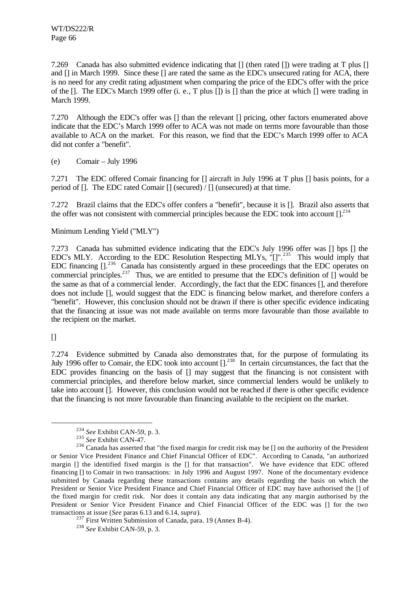7.269 Canada has also submitted evidence indicating that [] (then rated []) were trading at T plus [] and  $\Box$  in March 1999. Since these  $\Box$  are rated the same as the EDC's unsecured rating for ACA, there is no need for any credit rating adjustment when comparing the price of the EDC's offer with the price of the []. The EDC's March 1999 offer (i. e., T plus []) is [] than the price at which [] were trading in March 1999.

7.270 Although the EDC's offer was [] than the relevant [] pricing, other factors enumerated above indicate that the EDC's March 1999 offer to ACA was not made on terms more favourable than those available to ACA on the market. For this reason, we find that the EDC's March 1999 offer to ACA did not confer a "benefit".

(e) Comair – July 1996

7.271 The EDC offered Comair financing for [] aircraft in July 1996 at T plus [] basis points, for a period of []. The EDC rated Comair [] (secured) / [] (unsecured) at that time.

7.272 Brazil claims that the EDC's offer confers a "benefit", because it is []. Brazil also asserts that the offer was not consistent with commercial principles because the EDC took into account  $[1]^{234}$ 

# Minimum Lending Yield ("MLY")

7.273 Canada has submitted evidence indicating that the EDC's July 1996 offer was [] bps [] the EDC's MLY. According to the EDC Resolution Respecting MLYs, " $[]$ ".<sup>235</sup> This would imply that EDC financing  $[1]^{236}$  Canada has consistently argued in these proceedings that the EDC operates on commercial principles.<sup>237</sup> Thus, we are entitled to presume that the EDC's definition of  $\prod$  would be the same as that of a commercial lender. Accordingly, the fact that the EDC finances [], and therefore does not include [], would suggest that the EDC is financing below market, and therefore confers a "benefit". However, this conclusion should not be drawn if there is other specific evidence indicating that the financing at issue was not made available on terms more favourable than those available to the recipient on the market.

# $\prod$

l

7.274 Evidence submitted by Canada also demonstrates that, for the purpose of formulating its July 1996 offer to Comair, the EDC took into account  $[]^{238}$ . In certain circumstances, the fact that the EDC provides financing on the basis of [] may suggest that the financing is not consistent with commercial principles, and therefore below market, since commercial lenders would be unlikely to take into account []. However, this conclusion would not be reached if there is other specific evidence that the financing is not more favourable than financing available to the recipient on the market.

<sup>234</sup> *See* Exhibit CAN-59, p. 3.

<sup>235</sup> *See* Exhibit CAN-47.

<sup>&</sup>lt;sup>236</sup> Canada has asserted that "the fixed margin for credit risk may be [] on the authority of the President or Senior Vice President Finance and Chief Financial Officer of EDC". According to Canada, "an authorized margin [] the identified fixed margin is the [] for that transaction". We have evidence that EDC offered financing [] to Comair in two transactions: in July 1996 and August 1997. None of the documentary evidence submitted by Canada regarding these transactions contains any details regarding the basis on which the President or Senior Vice President Finance and Chief Financial Officer of EDC may have authorised the [] of the fixed margin for credit risk. Nor does it contain any data indicating that any margin authorised by the President or Senior Vice President Finance and Chief Financial Officer of the EDC was [] for the two transactions at issue (*See* paras 6.13 and 6.14, *supra*).

<sup>&</sup>lt;sup>237</sup> First Written Submission of Canada, para. 19 (Annex B-4).

<sup>238</sup> *See* Exhibit CAN-59, p. 3.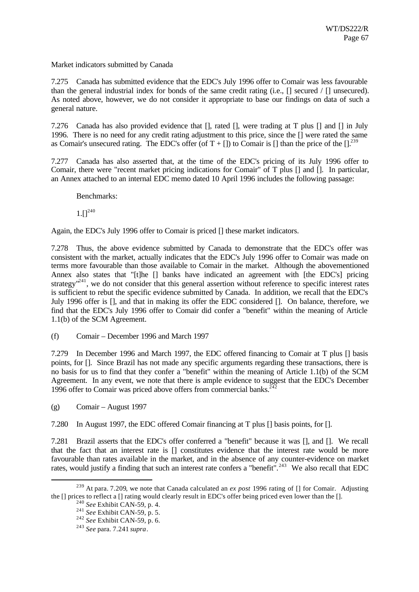Market indicators submitted by Canada

7.275 Canada has submitted evidence that the EDC's July 1996 offer to Comair was less favourable than the general industrial index for bonds of the same credit rating (i.e.,  $\iint$  secured /  $\iint$  unsecured). As noted above, however, we do not consider it appropriate to base our findings on data of such a general nature.

7.276 Canada has also provided evidence that [], rated [], were trading at T plus [] and [] in July 1996. There is no need for any credit rating adjustment to this price, since the [] were rated the same as Comair's unsecured rating. The EDC's offer (of  $T + []$ ) to Comair is  $[]$  than the price of the  $[]^{239}$ 

7.277 Canada has also asserted that, at the time of the EDC's pricing of its July 1996 offer to Comair, there were "recent market pricing indications for Comair" of T plus [] and []. In particular, an Annex attached to an internal EDC memo dated 10 April 1996 includes the following passage:

Benchmarks:

 $1.[\]^{240}$ 

Again, the EDC's July 1996 offer to Comair is priced [] these market indicators.

7.278 Thus, the above evidence submitted by Canada to demonstrate that the EDC's offer was consistent with the market, actually indicates that the EDC's July 1996 offer to Comair was made on terms more favourable than those available to Comair in the market. Although the abovementioned Annex also states that "[t]he [] banks have indicated an agreement with [the EDC's] pricing strategy<sup>"241</sup>, we do not consider that this general assertion without reference to specific interest rates is sufficient to rebut the specific evidence submitted by Canada. In addition, we recall that the EDC's July 1996 offer is [], and that in making its offer the EDC considered []. On balance, therefore, we find that the EDC's July 1996 offer to Comair did confer a "benefit" within the meaning of Article 1.1(b) of the SCM Agreement.

(f) Comair – December 1996 and March 1997

7.279 In December 1996 and March 1997, the EDC offered financing to Comair at T plus [] basis points, for []. Since Brazil has not made any specific arguments regarding these transactions, there is no basis for us to find that they confer a "benefit" within the meaning of Article 1.1(b) of the SCM Agreement. In any event, we note that there is ample evidence to suggest that the EDC's December 1996 offer to Comair was priced above offers from commercial banks.<sup>241</sup>

(g) Comair – August 1997

l

7.280 In August 1997, the EDC offered Comair financing at T plus [] basis points, for [].

7.281 Brazil asserts that the EDC's offer conferred a "benefit" because it was [], and []. We recall that the fact that an interest rate is [] constitutes evidence that the interest rate would be more favourable than rates available in the market, and in the absence of any counter-evidence on market rates, would justify a finding that such an interest rate confers a "benefit".<sup>243</sup> We also recall that EDC

<sup>239</sup> At para. 7.209, we note that Canada calculated an *ex post* 1996 rating of [] for Comair. Adjusting the [] prices to reflect a [] rating would clearly result in EDC's offer being priced even lower than the [].

<sup>240</sup> *See* Exhibit CAN-59, p. 4.

<sup>241</sup> *See* Exhibit CAN-59, p. 5.

<sup>242</sup> *See* Exhibit CAN-59, p. 6.

<sup>243</sup> *See* para. 7.241 *supra*.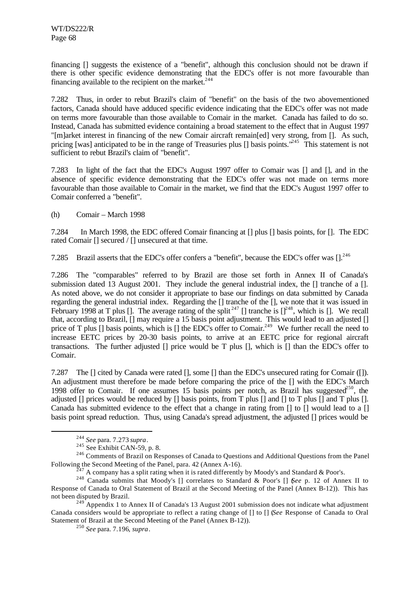financing [] suggests the existence of a "benefit", although this conclusion should not be drawn if there is other specific evidence demonstrating that the EDC's offer is not more favourable than financing available to the recipient on the market. $244$ 

7.282 Thus, in order to rebut Brazil's claim of "benefit" on the basis of the two abovementioned factors, Canada should have adduced specific evidence indicating that the EDC's offer was not made on terms more favourable than those available to Comair in the market. Canada has failed to do so. Instead, Canada has submitted evidence containing a broad statement to the effect that in August 1997 "[m]arket interest in financing of the new Comair aircraft remain[ed] very strong, from []. As such, pricing [was] anticipated to be in the range of Treasuries plus [] basis points."<sup>245</sup> This statement is not sufficient to rebut Brazil's claim of "benefit".

7.283 In light of the fact that the EDC's August 1997 offer to Comair was [] and [], and in the absence of specific evidence demonstrating that the EDC's offer was not made on terms more favourable than those available to Comair in the market, we find that the EDC's August 1997 offer to Comair conferred a "benefit".

(h) Comair – March 1998

7.284 In March 1998, the EDC offered Comair financing at [] plus [] basis points, for []. The EDC rated Comair [] secured / [] unsecured at that time.

7.285 Brazil asserts that the EDC's offer confers a "benefit", because the EDC's offer was  $\prod^{246}$ 

7.286 The "comparables" referred to by Brazil are those set forth in Annex II of Canada's submission dated 13 August 2001. They include the general industrial index, the [] tranche of a []. As noted above, we do not consider it appropriate to base our findings on data submitted by Canada regarding the general industrial index. Regarding the [] tranche of the [], we note that it was issued in February 1998 at T plus []. The average rating of the split<sup>247</sup> [] tranche is  $[$ <sup>248</sup>, which is []. We recall that, according to Brazil, [] may require a 15 basis point adjustment. This would lead to an adjusted [] price of T plus  $\Box$  basis points, which is  $\Box$  the EDC's offer to Comair.<sup>249</sup> We further recall the need to increase EETC prices by 20-30 basis points, to arrive at an EETC price for regional aircraft transactions. The further adjusted [] price would be T plus [], which is [] than the EDC's offer to Comair.

7.287 The [] cited by Canada were rated [], some [] than the EDC's unsecured rating for Comair ([]). An adjustment must therefore be made before comparing the price of the [] with the EDC's March 1998 offer to Comair. If one assumes 15 basis points per notch, as Brazil has suggested<sup>250</sup>, the adjusted  $\Box$  prices would be reduced by  $\Box$  basis points, from  $\Box$  plus  $\Box$  and  $\Box$  plus  $\Box$  and  $\Box$  plus  $\Box$ . Canada has submitted evidence to the effect that a change in rating from [] to [] would lead to a [] basis point spread reduction. Thus, using Canada's spread adjustment, the adjusted [] prices would be

<sup>244</sup> *See* para. 7.273 *supra*.

 $245$  See Exhibit CAN-59, p. 8.

<sup>&</sup>lt;sup>246</sup> Comments of Brazil on Responses of Canada to Questions and Additional Questions from the Panel Following the Second Meeting of the Panel, para. 42 (Annex A-16).

 $^{247}$  A company has a split rating when it is rated differently by Moody's and Standard & Poor's.

<sup>248</sup> Canada submits that Moody's [] correlates to Standard & Poor's [] (*See* p. 12 of Annex II to Response of Canada to Oral Statement of Brazil at the Second Meeting of the Panel (Annex B-12)). This has not been disputed by Brazil.

 $249$ <sup>Appendix 1 to Annex II of Canada's 13 August 2001 submission does not indicate what adjustment</sup> Canada considers would be appropriate to reflect a rating change of [] to [] (*See* Response of Canada to Oral Statement of Brazil at the Second Meeting of the Panel (Annex B-12)).

<sup>250</sup> *See* para. 7.196, *supra*.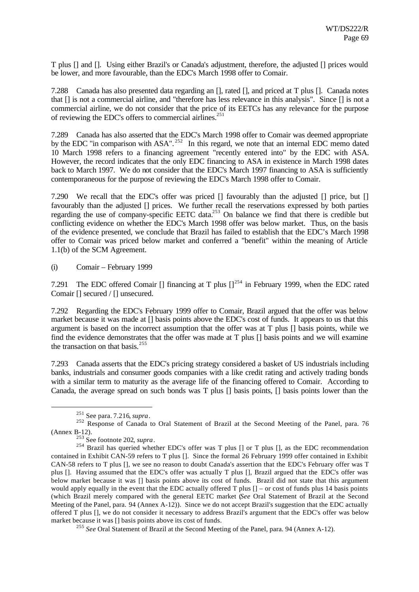T plus [] and []. Using either Brazil's or Canada's adjustment, therefore, the adjusted [] prices would be lower, and more favourable, than the EDC's March 1998 offer to Comair.

7.288 Canada has also presented data regarding an [], rated [], and priced at T plus []. Canada notes that [] is not a commercial airline, and "therefore has less relevance in this analysis". Since [] is not a commercial airline, we do not consider that the price of its EETCs has any relevance for the purpose of reviewing the EDC's offers to commercial airlines.<sup>251</sup>

7.289 Canada has also asserted that the EDC's March 1998 offer to Comair was deemed appropriate by the EDC "in comparison with ASA".<sup>252</sup> In this regard, we note that an internal EDC memo dated 10 March 1998 refers to a financing agreement "recently entered into" by the EDC with ASA. However, the record indicates that the only EDC financing to ASA in existence in March 1998 dates back to March 1997. We do not consider that the EDC's March 1997 financing to ASA is sufficiently contemporaneous for the purpose of reviewing the EDC's March 1998 offer to Comair.

7.290 We recall that the EDC's offer was priced [] favourably than the adjusted [] price, but [] favourably than the adjusted [] prices. We further recall the reservations expressed by both parties regarding the use of company-specific EETC data.<sup>253</sup> On balance we find that there is credible but conflicting evidence on whether the EDC's March 1998 offer was below market. Thus, on the basis of the evidence presented, we conclude that Brazil has failed to establish that the EDC's March 1998 offer to Comair was priced below market and conferred a "benefit" within the meaning of Article 1.1(b) of the SCM Agreement.

(i) Comair – February 1999

7.291 The EDC offered Comair  $\prod$  financing at T plus  $\prod^{254}$  in February 1999, when the EDC rated Comair [] secured / [] unsecured.

7.292 Regarding the EDC's February 1999 offer to Comair, Brazil argued that the offer was below market because it was made at [] basis points above the EDC's cost of funds. It appears to us that this argument is based on the incorrect assumption that the offer was at T plus [] basis points, while we find the evidence demonstrates that the offer was made at T plus [] basis points and we will examine the transaction on that basis. $^{255}$ 

7.293 Canada asserts that the EDC's pricing strategy considered a basket of US industrials including banks, industrials and consumer goods companies with a like credit rating and actively trading bonds with a similar term to maturity as the average life of the financing offered to Comair. According to Canada, the average spread on such bonds was T plus [] basis points, [] basis points lower than the

l

<sup>255</sup> See Oral Statement of Brazil at the Second Meeting of the Panel, para. 94 (Annex A-12).

<sup>251</sup> See para. 7.216, *supra*.

<sup>&</sup>lt;sup>252</sup> Response of Canada to Oral Statement of Brazil at the Second Meeting of the Panel, para. 76 (Annex B-12).

<sup>253</sup> See footnote 202, *supra*.

 $254$  Brazil has queried whether EDC's offer was T plus [] or T plus [], as the EDC recommendation contained in Exhibit CAN-59 refers to T plus []. Since the formal 26 February 1999 offer contained in Exhibit CAN-58 refers to T plus [], we see no reason to doubt Canada's assertion that the EDC's February offer was T plus []. Having assumed that the EDC's offer was actually T plus [], Brazil argued that the EDC's offer was below market because it was [] basis points above its cost of funds. Brazil did not state that this argument would apply equally in the event that the EDC actually offered T plus  $[]$  – or cost of funds plus 14 basis points (which Brazil merely compared with the general EETC market (*See* Oral Statement of Brazil at the Second Meeting of the Panel, para. 94 (Annex A-12)). Since we do not accept Brazil's suggestion that the EDC actually offered T plus [], we do not consider it necessary to address Brazil's argument that the EDC's offer was below market because it was [] basis points above its cost of funds.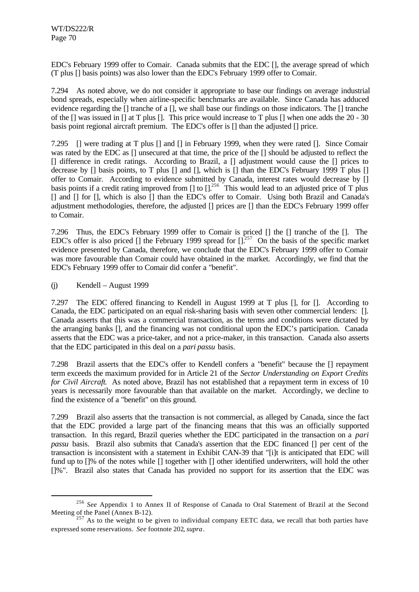EDC's February 1999 offer to Comair. Canada submits that the EDC [], the average spread of which (T plus [] basis points) was also lower than the EDC's February 1999 offer to Comair.

7.294 As noted above, we do not consider it appropriate to base our findings on average industrial bond spreads, especially when airline-specific benchmarks are available. Since Canada has adduced evidence regarding the  $\lceil \cdot \rceil$  tranche of a  $\lceil \cdot \rceil$ , we shall base our findings on those indicators. The  $\lceil \cdot \rceil$  tranche of the [] was issued in [] at T plus []. This price would increase to T plus [] when one adds the 20 - 30 basis point regional aircraft premium. The EDC's offer is [] than the adjusted [] price.

7.295 [] were trading at T plus [] and [] in February 1999, when they were rated []. Since Comair was rated by the EDC as  $\Box$  unsecured at that time, the price of the  $\Box$  should be adjusted to reflect the [] difference in credit ratings. According to Brazil, a [] adjustment would cause the [] prices to decrease by [] basis points, to T plus [] and [], which is [] than the EDC's February 1999 T plus [] offer to Comair. According to evidence submitted by Canada, interest rates would decrease by [] basis points if a credit rating improved from  $[]$  to  $[]^{256}$ . This would lead to an adjusted price of T plus [] and [] for [], which is also [] than the EDC's offer to Comair. Using both Brazil and Canada's adjustment methodologies, therefore, the adjusted [] prices are [] than the EDC's February 1999 offer to Comair.

7.296 Thus, the EDC's February 1999 offer to Comair is priced [] the [] tranche of the []. The EDC's offer is also priced [] the February 1999 spread for  $\int_{257}^{257}$  On the basis of the specific market evidence presented by Canada, therefore, we conclude that the EDC's February 1999 offer to Comair was more favourable than Comair could have obtained in the market. Accordingly, we find that the EDC's February 1999 offer to Comair did confer a "benefit".

(j) Kendell – August 1999

l

7.297 The EDC offered financing to Kendell in August 1999 at T plus [], for []. According to Canada, the EDC participated on an equal risk-sharing basis with seven other commercial lenders: []. Canada asserts that this was a commercial transaction, as the terms and conditions were dictated by the arranging banks [], and the financing was not conditional upon the EDC's participation. Canada asserts that the EDC was a price-taker, and not a price-maker, in this transaction. Canada also asserts that the EDC participated in this deal on a *pari passu* basis.

7.298 Brazil asserts that the EDC's offer to Kendell confers a "benefit" because the [] repayment term exceeds the maximum provided for in Article 21 of the *Sector Understanding on Export Credits for Civil Aircraft*. As noted above, Brazil has not established that a repayment term in excess of 10 years is necessarily more favourable than that available on the market. Accordingly, we decline to find the existence of a "benefit" on this ground.

7.299 Brazil also asserts that the transaction is not commercial, as alleged by Canada, since the fact that the EDC provided a large part of the financing means that this was an officially supported transaction. In this regard, Brazil queries whether the EDC participated in the transaction on a *pari passu* basis. Brazil also submits that Canada's assertion that the EDC financed [] per cent of the transaction is inconsistent with a statement in Exhibit CAN-39 that "[i]t is anticipated that EDC will fund up to []% of the notes while [] together with [] other identified underwriters, will hold the other []%". Brazil also states that Canada has provided no support for its assertion that the EDC was

<sup>256</sup> *See* Appendix 1 to Annex II of Response of Canada to Oral Statement of Brazil at the Second Meeting of the Panel (Annex B-12).

 $257$  As to the weight to be given to individual company EETC data, we recall that both parties have expressed some reservations. *See* footnote 202, *supra*.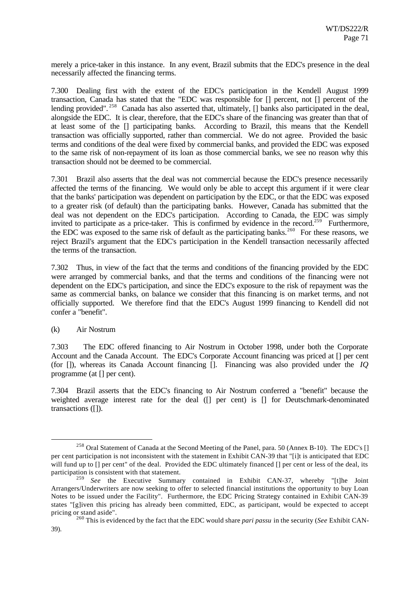merely a price-taker in this instance. In any event, Brazil submits that the EDC's presence in the deal necessarily affected the financing terms.

7.300 Dealing first with the extent of the EDC's participation in the Kendell August 1999 transaction, Canada has stated that the "EDC was responsible for [] percent, not [] percent of the lending provided".<sup>258</sup> Canada has also asserted that, ultimately, [] banks also participated in the deal, alongside the EDC. It is clear, therefore, that the EDC's share of the financing was greater than that of at least some of the [] participating banks. According to Brazil, this means that the Kendell transaction was officially supported, rather than commercial. We do not agree. Provided the basic terms and conditions of the deal were fixed by commercial banks, and provided the EDC was exposed to the same risk of non-repayment of its loan as those commercial banks, we see no reason why this transaction should not be deemed to be commercial.

7.301 Brazil also asserts that the deal was not commercial because the EDC's presence necessarily affected the terms of the financing. We would only be able to accept this argument if it were clear that the banks' participation was dependent on participation by the EDC, or that the EDC was exposed to a greater risk (of default) than the participating banks. However, Canada has submitted that the deal was not dependent on the EDC's participation. According to Canada, the EDC was simply invited to participate as a price-taker. This is confirmed by evidence in the record.<sup>259</sup> Furthermore, the EDC was exposed to the same risk of default as the participating banks.<sup>260</sup> For these reasons, we reject Brazil's argument that the EDC's participation in the Kendell transaction necessarily affected the terms of the transaction.

7.302 Thus, in view of the fact that the terms and conditions of the financing provided by the EDC were arranged by commercial banks, and that the terms and conditions of the financing were not dependent on the EDC's participation, and since the EDC's exposure to the risk of repayment was the same as commercial banks, on balance we consider that this financing is on market terms, and not officially supported. We therefore find that the EDC's August 1999 financing to Kendell did not confer a "benefit".

### (k) Air Nostrum

7.303 The EDC offered financing to Air Nostrum in October 1998, under both the Corporate Account and the Canada Account. The EDC's Corporate Account financing was priced at [] per cent (for []), whereas its Canada Account financing []. Financing was also provided under the *IQ* programme (at [] per cent).

7.304 Brazil asserts that the EDC's financing to Air Nostrum conferred a "benefit" because the weighted average interest rate for the deal ([] per cent) is [] for Deutschmark-denominated transactions ([]).

<sup>&</sup>lt;sup>258</sup> Oral Statement of Canada at the Second Meeting of the Panel, para. 50 (Annex B-10). The EDC's [] per cent participation is not inconsistent with the statement in Exhibit CAN-39 that "[i]t is anticipated that EDC will fund up to  $\lceil$  per cent" of the deal. Provided the EDC ultimately financed  $\lceil$  per cent or less of the deal, its participation is consistent with that statement.

<sup>259</sup> *See* the Executive Summary contained in Exhibit CAN-37, whereby "[t]he Joint Arrangers/Underwriters are now seeking to offer to selected financial institutions the opportunity to buy Loan Notes to be issued under the Facility". Furthermore, the EDC Pricing Strategy contained in Exhibit CAN-39 states "[g]iven this pricing has already been committed, EDC, as participant, would be expected to accept pricing or stand aside".

<sup>260</sup> This is evidenced by the fact that the EDC would share *pari passu* in the security (*See* Exhibit CAN-39).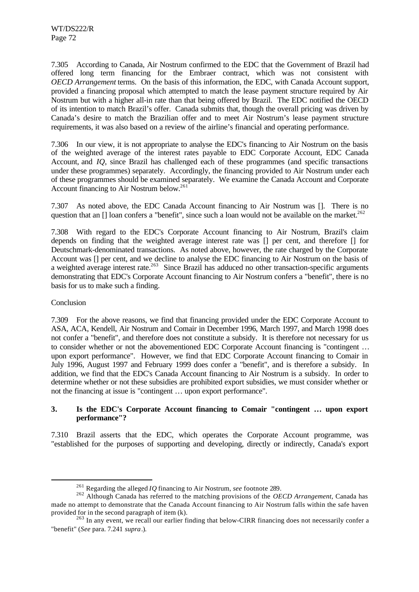7.305 According to Canada, Air Nostrum confirmed to the EDC that the Government of Brazil had offered long term financing for the Embraer contract, which was not consistent with *OECD Arrangement* terms. On the basis of this information, the EDC, with Canada Account support, provided a financing proposal which attempted to match the lease payment structure required by Air Nostrum but with a higher all-in rate than that being offered by Brazil. The EDC notified the OECD of its intention to match Brazil's offer. Canada submits that, though the overall pricing was driven by Canada's desire to match the Brazilian offer and to meet Air Nostrum's lease payment structure requirements, it was also based on a review of the airline's financial and operating performance.

7.306 In our view, it is not appropriate to analyse the EDC's financing to Air Nostrum on the basis of the weighted average of the interest rates payable to EDC Corporate Account, EDC Canada Account, and *IQ*, since Brazil has challenged each of these programmes (and specific transactions under these programmes) separately. Accordingly, the financing provided to Air Nostrum under each of these programmes should be examined separately. We examine the Canada Account and Corporate Account financing to Air Nostrum below.<sup>261</sup>

7.307 As noted above, the EDC Canada Account financing to Air Nostrum was []. There is no question that an  $[]$  loan confers a "benefit", since such a loan would not be available on the market.<sup>262</sup>

7.308 With regard to the EDC's Corporate Account financing to Air Nostrum, Brazil's claim depends on finding that the weighted average interest rate was [] per cent, and therefore [] for Deutschmark-denominated transactions. As noted above, however, the rate charged by the Corporate Account was [] per cent, and we decline to analyse the EDC financing to Air Nostrum on the basis of a weighted average interest rate.<sup>263</sup> Since Brazil has adduced no other transaction-specific arguments demonstrating that EDC's Corporate Account financing to Air Nostrum confers a "benefit", there is no basis for us to make such a finding.

### Conclusion

l

7.309 For the above reasons, we find that financing provided under the EDC Corporate Account to ASA, ACA, Kendell, Air Nostrum and Comair in December 1996, March 1997, and March 1998 does not confer a "benefit", and therefore does not constitute a subsidy. It is therefore not necessary for us to consider whether or not the abovementioned EDC Corporate Account financing is "contingent … upon export performance". However, we find that EDC Corporate Account financing to Comair in July 1996, August 1997 and February 1999 does confer a "benefit", and is therefore a subsidy. In addition, we find that the EDC's Canada Account financing to Air Nostrum is a subsidy. In order to determine whether or not these subsidies are prohibited export subsidies, we must consider whether or not the financing at issue is "contingent … upon export performance".

## **3. Is the EDC's Corporate Account financing to Comair "contingent … upon export performance"?**

7.310 Brazil asserts that the EDC, which operates the Corporate Account programme, was "established for the purposes of supporting and developing, directly or indirectly, Canada's export

<sup>261</sup> Regarding the alleged *IQ* financing to Air Nostrum, *see* footnote 289.

<sup>262</sup> Although Canada has referred to the matching provisions of the *OECD Arrangement*, Canada has made no attempt to demonstrate that the Canada Account financing to Air Nostrum falls within the safe haven provided for in the second paragraph of item (k).

<sup>&</sup>lt;sup>263</sup> In any event, we recall our earlier finding that below-CIRR financing does not necessarily confer a "benefit" (*See* para. 7.241 *supra*.).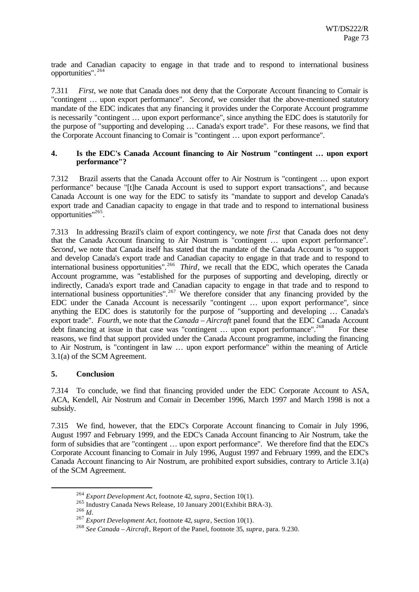trade and Canadian capacity to engage in that trade and to respond to international business opportunities". <sup>264</sup>

7.311 *First*, we note that Canada does not deny that the Corporate Account financing to Comair is "contingent … upon export performance". *Second*, we consider that the above-mentioned statutory mandate of the EDC indicates that any financing it provides under the Corporate Account programme is necessarily "contingent … upon export performance", since anything the EDC does is statutorily for the purpose of "supporting and developing … Canada's export trade". For these reasons, we find that the Corporate Account financing to Comair is "contingent … upon export performance".

### **4. Is the EDC's Canada Account financing to Air Nostrum "contingent … upon export performance"?**

7.312 Brazil asserts that the Canada Account offer to Air Nostrum is "contingent … upon export performance" because "[t]he Canada Account is used to support export transactions", and because Canada Account is one way for the EDC to satisfy its "mandate to support and develop Canada's export trade and Canadian capacity to engage in that trade and to respond to international business opportunities"<sup>265</sup> .

7.313 In addressing Brazil's claim of export contingency, we note *first* that Canada does not deny that the Canada Account financing to Air Nostrum is "contingent … upon export performance". *Second*, we note that Canada itself has stated that the mandate of the Canada Account is "to support and develop Canada's export trade and Canadian capacity to engage in that trade and to respond to international business opportunities".<sup>266</sup> Third, we recall that the EDC, which operates the Canada Account programme, was "established for the purposes of supporting and developing, directly or indirectly, Canada's export trade and Canadian capacity to engage in that trade and to respond to international business opportunities".<sup>267</sup> We therefore consider that any financing provided by the EDC under the Canada Account is necessarily "contingent … upon export performance", since anything the EDC does is statutorily for the purpose of "supporting and developing … Canada's export trade". *Fourth,* we note that the *Canada – Aircraft* panel found that the EDC Canada Account debt financing at issue in that case was "contingent  $\ldots$  upon export performance".<sup>268</sup> For these reasons, we find that support provided under the Canada Account programme, including the financing to Air Nostrum, is "contingent in law … upon export performance" within the meaning of Article 3.1(a) of the SCM Agreement.

### **5. Conclusion**

7.314 To conclude, we find that financing provided under the EDC Corporate Account to ASA, ACA, Kendell, Air Nostrum and Comair in December 1996, March 1997 and March 1998 is not a subsidy.

7.315 We find, however, that the EDC's Corporate Account financing to Comair in July 1996, August 1997 and February 1999, and the EDC's Canada Account financing to Air Nostrum, take the form of subsidies that are "contingent … upon export performance". We therefore find that the EDC's Corporate Account financing to Comair in July 1996, August 1997 and February 1999, and the EDC's Canada Account financing to Air Nostrum, are prohibited export subsidies, contrary to Article 3.1(a) of the SCM Agreement.

<sup>264</sup> *Export Development Act*, footnote 42, *supra*, Section 10(1).

<sup>265</sup> Industry Canada News Release, 10 January 2001(Exhibit BRA-3).

<sup>266</sup> *Id*.

<sup>267</sup> *Export Development Act*, footnote 42, *supra*, Section 10(1).

<sup>268</sup> *See Canada – Aircraft*, Report of the Panel, footnote 35, *supra*, para. 9.230.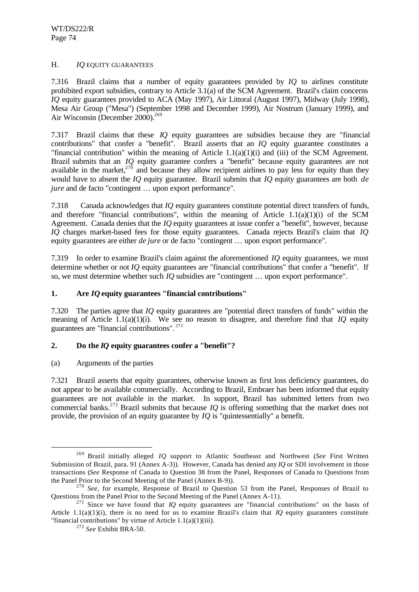## H. *IQ* EQUITY GUARANTEES

7.316 Brazil claims that a number of equity guarantees provided by *IQ* to airlines constitute prohibited export subsidies, contrary to Article 3.1(a) of the SCM Agreement. Brazil's claim concerns *IQ* equity guarantees provided to ACA (May 1997), Air Littoral (August 1997), Midway (July 1998), Mesa Air Group ("Mesa") (September 1998 and December 1999), Air Nostrum (January 1999), and Air Wisconsin (December 2000).<sup>269</sup>

7.317 Brazil claims that these *IQ* equity guarantees are subsidies because they are "financial contributions" that confer a "benefit". Brazil asserts that an *IQ* equity guarantee constitutes a "financial contribution" within the meaning of Article  $1.1(a)(1)(i)$  and  $(iii)$  of the SCM Agreement. Brazil submits that an *IQ* equity guarantee confers a "benefit" because equity guarantees are not available in the market,<sup>270</sup> and because they allow recipient airlines to pay less for equity than they would have to absent the *IQ* equity guarantee. Brazil submits that *IQ* equity guarantees are both *de jure* and de facto "contingent ... upon export performance".

7.318 Canada acknowledges that *IQ* equity guarantees constitute potential direct transfers of funds, and therefore "financial contributions", within the meaning of Article  $1.1(a)(1)(i)$  of the SCM Agreement. Canada denies that the *IQ* equity guarantees at issue confer a "benefit", however, because *IQ* charges market-based fees for those equity guarantees. Canada rejects Brazil's claim that *IQ* equity guarantees are either *de jure* or de facto "contingent … upon export performance".

7.319 In order to examine Brazil's claim against the aforementioned *IQ* equity guarantees, we must determine whether or not *IQ* equity guarantees are "financial contributions" that confer a "benefit". If so, we must determine whether such *IQ* subsidies are "contingent … upon export performance".

## **1. Are** *IQ* **equity guarantees "financial contributions"**

7.320 The parties agree that *IQ* equity guarantees are "potential direct transfers of funds" within the meaning of Article 1.1(a)(1)(i). We see no reason to disagree, and therefore find that *IQ* equity guarantees are "financial contributions". <sup>271</sup>

### **2. Do the** *IQ* **equity guarantees confer a "benefit"?**

# (a) Arguments of the parties

l

7.321 Brazil asserts that equity guarantees, otherwise known as first loss deficiency guarantees, do not appear to be available commercially. According to Brazil, Embraer has been informed that equity guarantees are not available in the market. In support, Brazil has submitted letters from two commercial banks.<sup>272</sup> Brazil submits that because  $IQ$  is offering something that the market does not provide, the provision of an equity guarantee by *IQ* is "quintessentially" a benefit.

<sup>269</sup> Brazil initially alleged *IQ* support to Atlantic Southeast and Northwest (*See* First Written Submission of Brazil, para. 91 (Annex A-3)). However, Canada has denied any *IQ* or SDI involvement in those transactions (*See* Response of Canada to Question 38 from the Panel, Responses of Canada to Questions from the Panel Prior to the Second Meeting of the Panel (Annex B-9)).

<sup>270</sup> *See*, for example, Response of Brazil to Question 53 from the Panel, Responses of Brazil to Questions from the Panel Prior to the Second Meeting of the Panel (Annex A-11).

<sup>&</sup>lt;sup>271</sup> Since we have found that *IO* equity guarantees are "financial contributions" on the basis of Article 1.1(a)(1)(i), there is no need for us to examine Brazil's claim that *IO* equity guarantees constitute "financial contributions" by virtue of Article  $1.1(a)(1)(iii)$ .

<sup>272</sup> *See* Exhibit BRA-50.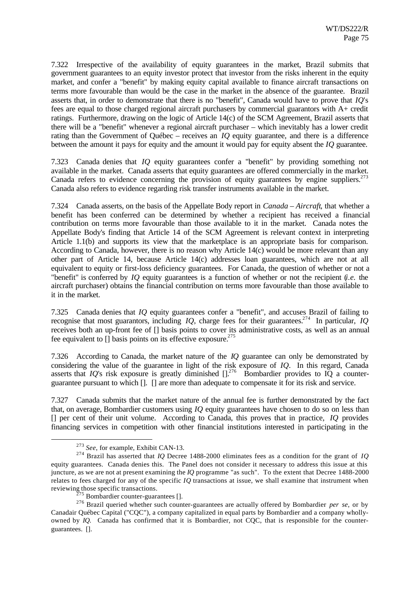7.322 Irrespective of the availability of equity guarantees in the market, Brazil submits that government guarantees to an equity investor protect that investor from the risks inherent in the equity market, and confer a "benefit" by making equity capital available to finance aircraft transactions on terms more favourable than would be the case in the market in the absence of the guarantee. Brazil asserts that, in order to demonstrate that there is no "benefit", Canada would have to prove that *IQ*'s fees are equal to those charged regional aircraft purchasers by commercial guarantors with A+ credit ratings. Furthermore, drawing on the logic of Article 14(c) of the SCM Agreement, Brazil asserts that there will be a "benefit" whenever a regional aircraft purchaser – which inevitably has a lower credit rating than the Government of Québec – receives an *IQ* equity guarantee, and there is a difference between the amount it pays for equity and the amount it would pay for equity absent the *IQ* guarantee.

7.323 Canada denies that *IQ* equity guarantees confer a "benefit" by providing something not available in the market. Canada asserts that equity guarantees are offered commercially in the market. Canada refers to evidence concerning the provision of equity guarantees by engine suppliers.<sup>273</sup> Canada also refers to evidence regarding risk transfer instruments available in the market.

7.324 Canada asserts, on the basis of the Appellate Body report in *Canada – Aircraft*, that whether a benefit has been conferred can be determined by whether a recipient has received a financial contribution on terms more favourable than those available to it in the market. Canada notes the Appellate Body's finding that Article 14 of the SCM Agreement is relevant context in interpreting Article 1.1(b) and supports its view that the marketplace is an appropriate basis for comparison. According to Canada, however, there is no reason why Article 14(c) would be more relevant than any other part of Article 14, because Article 14(c) addresses loan guarantees, which are not at all equivalent to equity or first-loss deficiency guarantees. For Canada, the question of whether or not a "benefit" is conferred by *IQ* equity guarantees is a function of whether or not the recipient (*i.e.* the aircraft purchaser) obtains the financial contribution on terms more favourable than those available to it in the market.

7.325 Canada denies that *IQ* equity guarantees confer a "benefit", and accuses Brazil of failing to recognise that most guarantors, including *IO*, charge fees for their guarantees.<sup>274</sup> In particular, *IO* receives both an up-front fee of [] basis points to cover its administrative costs, as well as an annual fee equivalent to  $\overline{1}$  basis points on its effective exposure.<sup>275</sup>

7.326 According to Canada, the market nature of the *IQ* guarantee can only be demonstrated by considering the value of the guarantee in light of the risk exposure of *IQ*. In this regard, Canada asserts that  $IQ$ 's risk exposure is greatly diminished  $[]^{276}$  Bombardier provides to IQ a counterguarantee pursuant to which []. [] are more than adequate to compensate it for its risk and service.

7.327 Canada submits that the market nature of the annual fee is further demonstrated by the fact that, on average, Bombardier customers using *IQ* equity guarantees have chosen to do so on less than [] per cent of their unit volume. According to Canada, this proves that in practice, *IQ* provides financing services in competition with other financial institutions interested in participating in the

<sup>273</sup> *See*, for example, Exhibit CAN-13.

<sup>274</sup> Brazil has asserted that *IQ* Decree 1488-2000 eliminates fees as a condition for the grant of *IQ* equity guarantees. Canada denies this. The Panel does not consider it necessary to address this issue at this juncture, as we are not at present examining the *IQ* programme "as such". To the extent that Decree 1488-2000 relates to fees charged for any of the specific *IQ* transactions at issue, we shall examine that instrument when reviewing those specific transactions.

 $^{275}$  Bombardier counter-guarantees [].

<sup>276</sup> Brazil queried whether such counter-guarantees are actually offered by Bombardier *per se*, or by Canadair Québec Capital ("CQC"), a company capitalized in equal parts by Bombardier and a company whollyowned by *IQ*. Canada has confirmed that it is Bombardier, not CQC, that is responsible for the counterguarantees. [].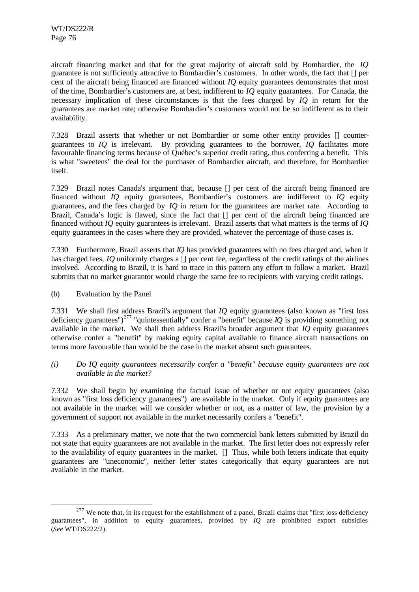aircraft financing market and that for the great majority of aircraft sold by Bombardier, the *IQ* guarantee is not sufficiently attractive to Bombardier's customers. In other words, the fact that [] per cent of the aircraft being financed are financed without *IQ* equity guarantees demonstrates that most of the time, Bombardier's customers are, at best, indifferent to *IQ* equity guarantees. For Canada, the necessary implication of these circumstances is that the fees charged by *IQ* in return for the guarantees are market rate; otherwise Bombardier's customers would not be so indifferent as to their availability.

7.328 Brazil asserts that whether or not Bombardier or some other entity provides [] counterguarantees to *IQ* is irrelevant. By providing guarantees to the borrower, *IQ* facilitates more favourable financing terms because of Québec's superior credit rating, thus conferring a benefit. This is what "sweetens" the deal for the purchaser of Bombardier aircraft, and therefore, for Bombardier itself.

7.329 Brazil notes Canada's argument that, because [] per cent of the aircraft being financed are financed without *IQ* equity guarantees, Bombardier's customers are indifferent to *IQ* equity guarantees, and the fees charged by *IQ* in return for the guarantees are market rate. According to Brazil, Canada's logic is flawed, since the fact that [] per cent of the aircraft being financed are financed without *IQ* equity guarantees is irrelevant. Brazil asserts that what matters is the terms of *IQ* equity guarantees in the cases where they are provided, whatever the percentage of those cases is.

7.330 Furthermore, Brazil asserts that *IQ* has provided guarantees with no fees charged and, when it has charged fees, *IQ* uniformly charges a [] per cent fee, regardless of the credit ratings of the airlines involved. According to Brazil, it is hard to trace in this pattern any effort to follow a market. Brazil submits that no market guarantor would charge the same fee to recipients with varying credit ratings.

### (b) Evaluation by the Panel

l

7.331 We shall first address Brazil's argument that *IQ* equity guarantees (also known as "first loss deficiency guarantees")<sup>277</sup> "quintessentially" confer a "benefit" because *IQ* is providing something not available in the market. We shall then address Brazil's broader argument that *IQ* equity guarantees otherwise confer a "benefit" by making equity capital available to finance aircraft transactions on terms more favourable than would be the case in the market absent such guarantees.

### *(i) Do IQ equity guarantees necessarily confer a "benefit" because equity guarantees are not available in the market?*

7.332 We shall begin by examining the factual issue of whether or not equity guarantees (also known as "first loss deficiency guarantees") are available in the market. Only if equity guarantees are not available in the market will we consider whether or not, as a matter of law, the provision by a government of support not available in the market necessarily confers a "benefit".

7.333 As a preliminary matter, we note that the two commercial bank letters submitted by Brazil do not state that equity guarantees are not available in the market. The first letter does not expressly refer to the availability of equity guarantees in the market. [] Thus, while both letters indicate that equity guarantees are "uneconomic", neither letter states categorically that equity guarantees are not available in the market.

 $277$  We note that, in its request for the establishment of a panel, Brazil claims that "first loss deficiency guarantees", in addition to equity guarantees, provided by *IQ* are prohibited export subsidies (*See* WT/DS222/2).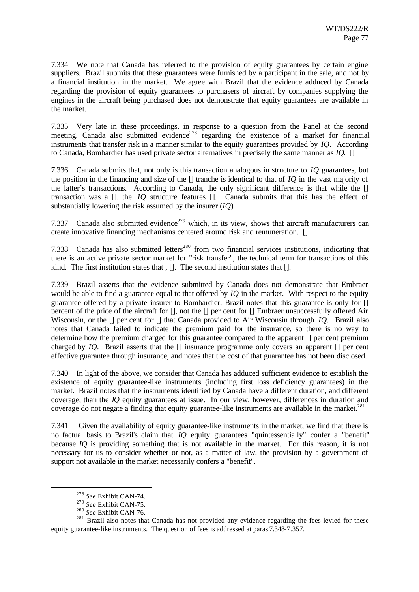7.334 We note that Canada has referred to the provision of equity guarantees by certain engine suppliers. Brazil submits that these guarantees were furnished by a participant in the sale, and not by a financial institution in the market. We agree with Brazil that the evidence adduced by Canada regarding the provision of equity guarantees to purchasers of aircraft by companies supplying the engines in the aircraft being purchased does not demonstrate that equity guarantees are available in the market.

7.335 Very late in these proceedings, in response to a question from the Panel at the second meeting, Canada also submitted evidence<sup>278</sup> regarding the existence of a market for financial instruments that transfer risk in a manner similar to the equity guarantees provided by *IQ*. According to Canada, Bombardier has used private sector alternatives in precisely the same manner as *IQ*. []

7.336 Canada submits that, not only is this transaction analogous in structure to *IQ* guarantees, but the position in the financing and size of the [] tranche is identical to that of *IQ* in the vast majority of the latter's transactions. According to Canada, the only significant difference is that while the [] transaction was a [], the *IQ* structure features []. Canada submits that this has the effect of substantially lowering the risk assumed by the insurer (*IQ*).

7.337 Canada also submitted evidence<sup>279</sup> which, in its view, shows that aircraft manufacturers can create innovative financing mechanisms centered around risk and remuneration. []

7.338 Canada has also submitted letters<sup>280</sup> from two financial services institutions, indicating that there is an active private sector market for "risk transfer", the technical term for transactions of this kind. The first institution states that , []. The second institution states that [].

7.339 Brazil asserts that the evidence submitted by Canada does not demonstrate that Embraer would be able to find a guarantee equal to that offered by *IQ* in the market. With respect to the equity guarantee offered by a private insurer to Bombardier, Brazil notes that this guarantee is only for [] percent of the price of the aircraft for [], not the [] per cent for [] Embraer unsuccessfully offered Air Wisconsin, or the [] per cent for [] that Canada provided to Air Wisconsin through *IQ*. Brazil also notes that Canada failed to indicate the premium paid for the insurance, so there is no way to determine how the premium charged for this guarantee compared to the apparent [] per cent premium charged by *IQ*. Brazil asserts that the [] insurance programme only covers an apparent [] per cent effective guarantee through insurance, and notes that the cost of that guarantee has not been disclosed.

7.340 In light of the above, we consider that Canada has adduced sufficient evidence to establish the existence of equity guarantee-like instruments (including first loss deficiency guarantees) in the market. Brazil notes that the instruments identified by Canada have a different duration, and different coverage, than the *IQ* equity guarantees at issue. In our view, however, differences in duration and coverage do not negate a finding that equity guarantee-like instruments are available in the market.<sup>281</sup>

7.341 Given the availability of equity guarantee-like instruments in the market, we find that there is no factual basis to Brazil's claim that *IQ* equity guarantees "quintessentially" confer a "benefit" because *IQ* is providing something that is not available in the market. For this reason, it is not necessary for us to consider whether or not, as a matter of law, the provision by a government of support not available in the market necessarily confers a "benefit".

<sup>278</sup> *See* Exhibit CAN-74.

<sup>279</sup> *See* Exhibit CAN-75.

<sup>&</sup>lt;sup>280</sup> *See* Exhibit CAN-76.

<sup>&</sup>lt;sup>281</sup> Brazil also notes that Canada has not provided any evidence regarding the fees levied for these equity guarantee-like instruments. The question of fees is addressed at paras 7.348-7.357.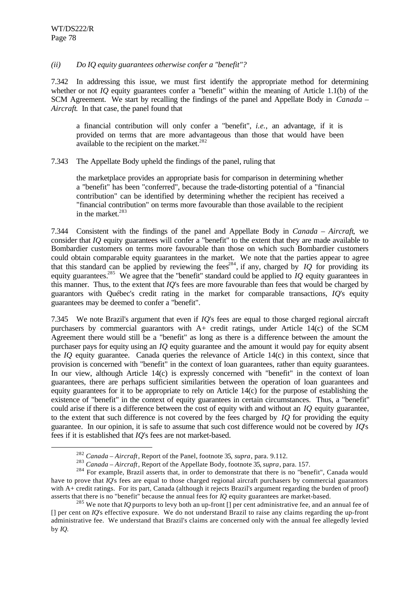l

## *(ii) Do IQ equity guarantees otherwise confer a "benefit"?*

7.342 In addressing this issue, we must first identify the appropriate method for determining whether or not *IQ* equity guarantees confer a "benefit" within the meaning of Article 1.1(b) of the SCM Agreement. We start by recalling the findings of the panel and Appellate Body in *Canada – Aircraft*. In that case, the panel found that

a financial contribution will only confer a "benefit", *i.e.*, an advantage, if it is provided on terms that are more advantageous than those that would have been available to the recipient on the market. $282$ 

# 7.343 The Appellate Body upheld the findings of the panel, ruling that

the marketplace provides an appropriate basis for comparison in determining whether a "benefit" has been "conferred", because the trade-distorting potential of a "financial contribution" can be identified by determining whether the recipient has received a "financial contribution" on terms more favourable than those available to the recipient in the market.<sup>283</sup>

7.344 Consistent with the findings of the panel and Appellate Body in *Canada – Aircraft*, we consider that *IQ* equity guarantees will confer a "benefit" to the extent that they are made available to Bombardier customers on terms more favourable than those on which such Bombardier customers could obtain comparable equity guarantees in the market. We note that the parties appear to agree that this standard can be applied by reviewing the fees<sup>284</sup>, if any, charged by *IQ* for providing its equity guarantees.<sup>285</sup> We agree that the "benefit" standard could be applied to *IO* equity guarantees in this manner. Thus, to the extent that *IQ*'s fees are more favourable than fees that would be charged by guarantors with Québec's credit rating in the market for comparable transactions, *IQ*'s equity guarantees may be deemed to confer a "benefit".

7.345 We note Brazil's argument that even if *IQ*'s fees are equal to those charged regional aircraft purchasers by commercial guarantors with A+ credit ratings, under Article 14(c) of the SCM Agreement there would still be a "benefit" as long as there is a difference between the amount the purchaser pays for equity using an *IQ* equity guarantee and the amount it would pay for equity absent the *IQ* equity guarantee. Canada queries the relevance of Article 14(c) in this context, since that provision is concerned with "benefit" in the context of loan guarantees, rather than equity guarantees. In our view, although Article 14(c) is expressly concerned with "benefit" in the context of loan guarantees, there are perhaps sufficient similarities between the operation of loan guarantees and equity guarantees for it to be appropriate to rely on Article 14(c) for the purpose of establishing the existence of "benefit" in the context of equity guarantees in certain circumstances. Thus, a "benefit" could arise if there is a difference between the cost of equity with and without an *IQ* equity guarantee, to the extent that such difference is not covered by the fees charged by *IQ* for providing the equity guarantee. In our opinion, it is safe to assume that such cost difference would not be covered by *IQ*'s fees if it is established that *IQ*'s fees are not market-based.

<sup>282</sup> *Canada – Aircraft*, Report of the Panel, footnote 35, *supra*, para. 9.112.

<sup>283</sup> *Canada – Aircraft*, Report of the Appellate Body, footnote 35, *supra*, para. 157.

<sup>&</sup>lt;sup>284</sup> For example, Brazil asserts that, in order to demonstrate that there is no "benefit", Canada would have to prove that *IQ*'s fees are equal to those charged regional aircraft purchasers by commercial guarantors with A+ credit ratings. For its part, Canada (although it rejects Brazil's argument regarding the burden of proof) asserts that there is no "benefit" because the annual fees for *IQ* equity guarantees are market-based.

<sup>285</sup> We note that *IQ* purports to levy both an up-front [] per cent administrative fee, and an annual fee of [] per cent on *IQ*'s effective exposure. We do not understand Brazil to raise any claims regarding the up-front administrative fee. We understand that Brazil's claims are concerned only with the annual fee allegedly levied by *IQ*.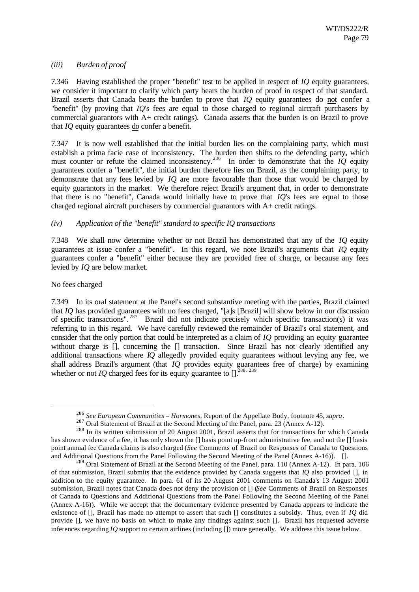## *(iii) Burden of proof*

7.346 Having established the proper "benefit" test to be applied in respect of *IQ* equity guarantees, we consider it important to clarify which party bears the burden of proof in respect of that standard. Brazil asserts that Canada bears the burden to prove that *IQ* equity guarantees do not confer a "benefit" (by proving that *IQ*'s fees are equal to those charged to regional aircraft purchasers by commercial guarantors with A+ credit ratings). Canada asserts that the burden is on Brazil to prove that *IQ* equity guarantees do confer a benefit.

7.347 It is now well established that the initial burden lies on the complaining party, which must establish a prima facie case of inconsistency. The burden then shifts to the defending party, which must counter or refute the claimed inconsistency.<sup>286</sup> In order to demonstrate that the *IQ* equity guarantees confer a "benefit", the initial burden therefore lies on Brazil, as the complaining party, to demonstrate that any fees levied by *IQ* are more favourable than those that would be charged by equity guarantors in the market. We therefore reject Brazil's argument that, in order to demonstrate that there is no "benefit", Canada would initially have to prove that *IQ*'s fees are equal to those charged regional aircraft purchasers by commercial guarantors with A+ credit ratings.

### *(iv) Application of the "benefit" standard to specific IQ transactions*

7.348 We shall now determine whether or not Brazil has demonstrated that any of the *IQ* equity guarantees at issue confer a "benefit". In this regard, we note Brazil's arguments that *IQ* equity guarantees confer a "benefit" either because they are provided free of charge, or because any fees levied by *IQ* are below market.

### No fees charged

l

7.349 In its oral statement at the Panel's second substantive meeting with the parties, Brazil claimed that *IQ* has provided guarantees with no fees charged, "[a]s [Brazil] will show below in our discussion of specific transactions". <sup>287</sup> Brazil did not indicate precisely which specific transaction(s) it was referring to in this regard. We have carefully reviewed the remainder of Brazil's oral statement, and consider that the only portion that could be interpreted as a claim of *IQ* providing an equity guarantee without charge is [], concerning the [] transaction. Since Brazil has not clearly identified any additional transactions where *IQ* allegedly provided equity guarantees without levying any fee, we shall address Brazil's argument (that *IQ* provides equity guarantees free of charge) by examining whether or not *IQ* charged fees for its equity guarantee to  $\prod^{288, 289}$ 

<sup>286</sup> *See European Communities – Hormones*, Report of the Appellate Body, footnote 45, *supra*.

<sup>&</sup>lt;sup>287</sup> Oral Statement of Brazil at the Second Meeting of the Panel, para. 23 (Annex A-12).

<sup>&</sup>lt;sup>288</sup> In its written submission of 20 August 2001, Brazil asserts that for transactions for which Canada has shown evidence of a fee, it has only shown the [] basis point up-front administrative fee, and not the [] basis point annual fee Canada claims is also charged (*See* Comments of Brazil on Responses of Canada to Questions and Additional Questions from the Panel Following the Second Meeting of the Panel (Annex A-16)). [].

 $^{289}$  Oral Statement of Brazil at the Second Meeting of the Panel, para. 110 (Annex A-12). In para. 106 of that submission, Brazil submits that the evidence provided by Canada suggests that *IQ* also provided [], in addition to the equity guarantee. In para. 61 of its 20 August 2001 comments on Canada's 13 August 2001 submission, Brazil notes that Canada does not deny the provision of [] (*See* Comments of Brazil on Responses of Canada to Questions and Additional Questions from the Panel Following the Second Meeting of the Panel (Annex A-16)). While we accept that the documentary evidence presented by Canada appears to indicate the existence of [], Brazil has made no attempt to assert that such [] constitutes a subsidy. Thus, even if *IQ* did provide [], we have no basis on which to make any findings against such []. Brazil has requested adverse inferences regarding *IQ* support to certain airlines (including []) more generally. We address this issue below.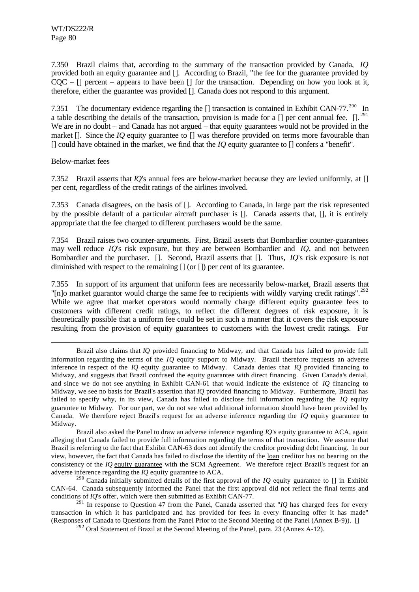7.350 Brazil claims that, according to the summary of the transaction provided by Canada, *IQ* provided both an equity guarantee and []. According to Brazil, "the fee for the guarantee provided by  $CQC - []$  percent – appears to have been  $[]$  for the transaction. Depending on how you look at it, therefore, either the guarantee was provided []. Canada does not respond to this argument.

7.351 The documentary evidence regarding the [] transaction is contained in Exhibit CAN-77.<sup>290</sup> In a table describing the details of the transaction, provision is made for a  $[]$  per cent annual fee.  $[]$ . <sup>291</sup> We are in no doubt – and Canada has not argued – that equity guarantees would not be provided in the market []. Since the *IQ* equity guarantee to [] was therefore provided on terms more favourable than [] could have obtained in the market, we find that the *IQ* equity guarantee to [] confers a "benefit".

## Below-market fees

l

7.352 Brazil asserts that *IQ*'s annual fees are below-market because they are levied uniformly, at [] per cent, regardless of the credit ratings of the airlines involved.

7.353 Canada disagrees, on the basis of []. According to Canada, in large part the risk represented by the possible default of a particular aircraft purchaser is []. Canada asserts that, [], it is entirely appropriate that the fee charged to different purchasers would be the same.

7.354 Brazil raises two counter-arguments. First, Brazil asserts that Bombardier counter-guarantees may well reduce *IQ*'s risk exposure, but they are between Bombardier and *IQ*, and not between Bombardier and the purchaser. []. Second, Brazil asserts that []. Thus, *IQ*'s risk exposure is not diminished with respect to the remaining [] (or []) per cent of its guarantee.

7.355 In support of its argument that uniform fees are necessarily below-market, Brazil asserts that "[n]o market guarantor would charge the same fee to recipients with wildly varying credit ratings".  $292$ While we agree that market operators would normally charge different equity guarantee fees to customers with different credit ratings, to reflect the different degrees of risk exposure, it is theoretically possible that a uniform fee could be set in such a manner that it covers the risk exposure resulting from the provision of equity guarantees to customers with the lowest credit ratings. For

<sup>290</sup> Canada initially submitted details of the first approval of the *IQ* equity guarantee to  $\Box$  in Exhibit CAN-64. Canada subsequently informed the Panel that the first approval did not reflect the final terms and conditions of *IQ*'s offer, which were then submitted as Exhibit CAN-77.

Brazil also claims that *IQ* provided financing to Midway, and that Canada has failed to provide full information regarding the terms of the *IQ* equity support to Midway. Brazil therefore requests an adverse inference in respect of the *IQ* equity guarantee to Midway. Canada denies that *IQ* provided financing to Midway, and suggests that Brazil confused the equity guarantee with direct financing. Given Canada's denial, and since we do not see anything in Exhibit CAN-61 that would indicate the existence of *IQ* financing to Midway, we see no basis for Brazil's assertion that *IQ* provided financing to Midway. Furthermore, Brazil has failed to specify why, in its view, Canada has failed to disclose full information regarding the *IQ* equity guarantee to Midway. For our part, we do not see what additional information should have been provided by Canada. We therefore reject Brazil's request for an adverse inference regarding the *IQ* equity guarantee to Midway.

Brazil also asked the Panel to draw an adverse inference regarding *IQ*'s equity guarantee to ACA, again alleging that Canada failed to provide full information regarding the terms of that transaction. We assume that Brazil is referring to the fact that Exhibit CAN-63 does not identify the creditor providing debt financing. In our view, however, the fact that Canada has failed to disclose the identity of the loan creditor has no bearing on the consistency of the *IQ* equity guarantee with the SCM Agreement. We therefore reject Brazil's request for an adverse inference regarding the *IQ* equity guarantee to ACA.

<sup>291</sup> In response to Question 47 from the Panel, Canada asserted that "*IQ* has charged fees for every transaction in which it has participated and has provided for fees in every financing offer it has made" (Responses of Canada to Questions from the Panel Prior to the Second Meeting of the Panel (Annex B-9)). []

<sup>&</sup>lt;sup>292</sup> Oral Statement of Brazil at the Second Meeting of the Panel, para. 23 (Annex A-12).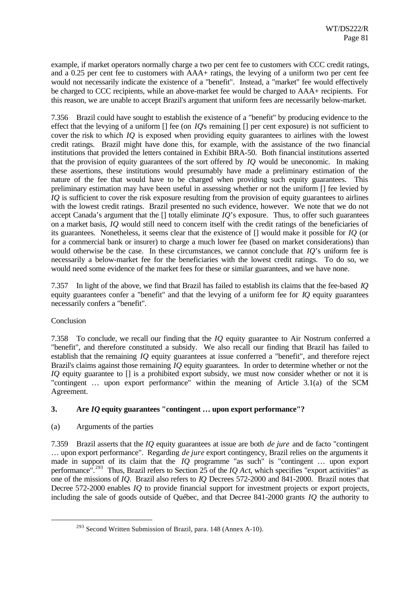example, if market operators normally charge a two per cent fee to customers with CCC credit ratings, and a 0.25 per cent fee to customers with AAA+ ratings, the levying of a uniform two per cent fee would not necessarily indicate the existence of a "benefit". Instead, a "market" fee would effectively be charged to CCC recipients, while an above-market fee would be charged to AAA+ recipients. For this reason, we are unable to accept Brazil's argument that uniform fees are necessarily below-market.

7.356 Brazil could have sought to establish the existence of a "benefit" by producing evidence to the effect that the levying of a uniform [] fee (on *IQ*'s remaining [] per cent exposure) is not sufficient to cover the risk to which *IQ* is exposed when providing equity guarantees to airlines with the lowest credit ratings. Brazil might have done this, for example, with the assistance of the two financial institutions that provided the letters contained in Exhibit BRA-50. Both financial institutions asserted that the provision of equity guarantees of the sort offered by *IQ* would be uneconomic. In making these assertions, these institutions would presumably have made a preliminary estimation of the nature of the fee that would have to be charged when providing such equity guarantees. This preliminary estimation may have been useful in assessing whether or not the uniform [] fee levied by *IQ* is sufficient to cover the risk exposure resulting from the provision of equity guarantees to airlines with the lowest credit ratings. Brazil presented no such evidence, however. We note that we do not accept Canada's argument that the [] totally eliminate *IQ*'s exposure. Thus, to offer such guarantees on a market basis, *IQ* would still need to concern itself with the credit ratings of the beneficiaries of its guarantees. Nonetheless, it seems clear that the existence of [] would make it possible for *IQ* (or for a commercial bank or insurer) to charge a much lower fee (based on market considerations) than would otherwise be the case. In these circumstances, we cannot conclude that *IQ*'s uniform fee is necessarily a below-market fee for the beneficiaries with the lowest credit ratings. To do so, we would need some evidence of the market fees for these or similar guarantees, and we have none.

7.357 In light of the above, we find that Brazil has failed to establish its claims that the fee-based *IQ* equity guarantees confer a "benefit" and that the levying of a uniform fee for *IQ* equity guarantees necessarily confers a "benefit".

# Conclusion

l

7.358 To conclude, we recall our finding that the *IQ* equity guarantee to Air Nostrum conferred a "benefit", and therefore constituted a subsidy. We also recall our finding that Brazil has failed to establish that the remaining *IQ* equity guarantees at issue conferred a "benefit", and therefore reject Brazil's claims against those remaining *IQ* equity guarantees. In order to determine whether or not the *IQ* equity guarantee to  $\Box$  is a prohibited export subsidy, we must now consider whether or not it is "contingent … upon export performance" within the meaning of Article 3.1(a) of the SCM Agreement.

# **3. Are** *IQ* **equity guarantees "contingent … upon export performance"?**

# (a) Arguments of the parties

7.359 Brazil asserts that the *IQ* equity guarantees at issue are both *de jure* and de facto "contingent … upon export performance". Regarding *de jure* export contingency, Brazil relies on the arguments it made in support of its claim that the *IQ* programme "as such" is "contingent … upon export performance".<sup>293</sup> Thus, Brazil refers to Section 25 of the *IQ Act*, which specifies "export activities" as one of the missions of *IQ*. Brazil also refers to *IQ* Decrees 572-2000 and 841-2000. Brazil notes that Decree 572-2000 enables *IQ* to provide financial support for investment projects or export projects, including the sale of goods outside of Québec, and that Decree 841-2000 grants *IQ* the authority to

<sup>293</sup> Second Written Submission of Brazil, para. 148 (Annex A-10).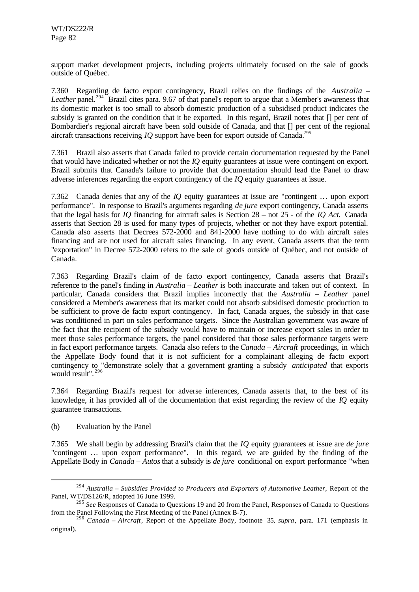support market development projects, including projects ultimately focused on the sale of goods outside of Québec.

7.360 Regarding de facto export contingency, Brazil relies on the findings of the *Australia –* Leather panel.<sup>294</sup> Brazil cites para. 9.67 of that panel's report to argue that a Member's awareness that its domestic market is too small to absorb domestic production of a subsidised product indicates the subsidy is granted on the condition that it be exported. In this regard, Brazil notes that [] per cent of Bombardier's regional aircraft have been sold outside of Canada, and that [] per cent of the regional aircraft transactions receiving *IO* support have been for export outside of Canada.<sup>295</sup>

7.361 Brazil also asserts that Canada failed to provide certain documentation requested by the Panel that would have indicated whether or not the *IQ* equity guarantees at issue were contingent on export. Brazil submits that Canada's failure to provide that documentation should lead the Panel to draw adverse inferences regarding the export contingency of the *IQ* equity guarantees at issue.

7.362 Canada denies that any of the *IQ* equity guarantees at issue are "contingent … upon export performance". In response to Brazil's arguments regarding *de jure* export contingency, Canada asserts that the legal basis for *IQ* financing for aircraft sales is Section 28 – not 25 - of the *IQ Act*. Canada asserts that Section 28 is used for many types of projects, whether or not they have export potential. Canada also asserts that Decrees 572-2000 and 841-2000 have nothing to do with aircraft sales financing and are not used for aircraft sales financing. In any event, Canada asserts that the term "exportation" in Decree 572-2000 refers to the sale of goods outside of Québec, and not outside of Canada.

7.363 Regarding Brazil's claim of de facto export contingency, Canada asserts that Brazil's reference to the panel's finding in *Australia – Leather* is both inaccurate and taken out of context. In particular, Canada considers that Brazil implies incorrectly that the *Australia – Leather* panel considered a Member's awareness that its market could not absorb subsidised domestic production to be sufficient to prove de facto export contingency. In fact, Canada argues, the subsidy in that case was conditioned in part on sales performance targets. Since the Australian government was aware of the fact that the recipient of the subsidy would have to maintain or increase export sales in order to meet those sales performance targets, the panel considered that those sales performance targets were in fact export performance targets. Canada also refers to the *Canada – Aircraft* proceedings, in which the Appellate Body found that it is not sufficient for a complainant alleging de facto export contingency to "demonstrate solely that a government granting a subsidy *anticipated* that exports would result". $^{296}$ 

7.364 Regarding Brazil's request for adverse inferences, Canada asserts that, to the best of its knowledge, it has provided all of the documentation that exist regarding the review of the *IQ* equity guarantee transactions.

(b) Evaluation by the Panel

l

7.365 We shall begin by addressing Brazil's claim that the *IQ* equity guarantees at issue are *de jure* "contingent … upon export performance". In this regard, we are guided by the finding of the Appellate Body in *Canada – Autos* that a subsidy is *de jure* conditional on export performance "when

<sup>294</sup> *Australia – Subsidies Provided to Producers and Exporters of Automotive Leather*, Report of the Panel, WT/DS126/R, adopted 16 June 1999.

<sup>295</sup> *See* Responses of Canada to Questions 19 and 20 from the Panel, Responses of Canada to Questions from the Panel Following the First Meeting of the Panel (Annex B-7).

<sup>296</sup> *Canada – Aircraft*, Report of the Appellate Body, footnote 35, *supra*, para. 171 (emphasis in original).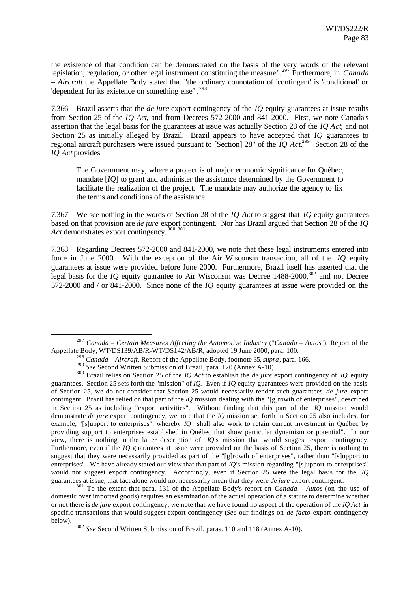the existence of that condition can be demonstrated on the basis of the very words of the relevant legislation, regulation, or other legal instrument constituting the measure".<sup>297</sup> Furthermore, in *Canada – Aircraft* the Appellate Body stated that "the ordinary connotation of 'contingent' is 'conditional' or 'dependent for its existence on something else'".<sup>298</sup>

7.366 Brazil asserts that the *de jure* export contingency of the *IQ* equity guarantees at issue results from Section 25 of the *IQ Act*, and from Decrees 572-2000 and 841-2000. First, we note Canada's assertion that the legal basis for the guarantees at issue was actually Section 28 of the *IQ Act*, and not Section 25 as initially alleged by Brazil. Brazil appears to have accepted that "*IQ* guarantees to regional aircraft purchasers were issued pursuant to [Section] 28" of the *IQ Act*.<sup>299</sup> Section 28 of the *IQ Act* provides

The Government may, where a project is of major economic significance for Québec, mandate [*IQ*] to grant and administer the assistance determined by the Government to facilitate the realization of the project. The mandate may authorize the agency to fix the terms and conditions of the assistance.

7.367 We see nothing in the words of Section 28 of the *IQ Act* to suggest that *IQ* equity guarantees based on that provision are *de jure* export contingent. Nor has Brazil argued that Section 28 of the *IQ* Act demonstrates export contingency.<sup>300</sup> <sup>301</sup>

7.368 Regarding Decrees 572-2000 and 841-2000, we note that these legal instruments entered into force in June 2000. With the exception of the Air Wisconsin transaction, all of the *IQ* equity guarantees at issue were provided before June 2000. Furthermore, Brazil itself has asserted that the legal basis for the *IQ* equity guarantee to Air Wisconsin was Decree 1488-2000,<sup>302</sup> and not Decree 572-2000 and / or 841-2000. Since none of the *IQ* equity guarantees at issue were provided on the

<sup>297</sup> *Canada – Certain Measures Affecting the Automotive Industry* ("*Canada – Autos*"), Report of the Appellate Body, WT/DS139/AB/R-WT/DS142/AB/R, adopted 19 June 2000, para. 100.

<sup>298</sup> *Canada – Aircraft,* Report of the Appellate Body, footnote 35, *supra*, para. 166.

<sup>299</sup> *See* Second Written Submission of Brazil, para. 120 (Annex A-10).

<sup>300</sup> Brazil relies on Section 25 of the *IQ Act* to establish the *de jure* export contingency of *IQ* equity guarantees. Section 25 sets forth the "mission" of *IQ*. Even if *IQ* equity guarantees were provided on the basis of Section 25, we do not consider that Section 25 would necessarily render such guarantees *de jure* export contingent. Brazil has relied on that part of the *IQ* mission dealing with the "[g]rowth of enterprises", described in Section 25 as including "export activities". Without finding that this part of the *IQ* mission would demonstrate *de jure* export contingency, we note that the *IQ* mission set forth in Section 25 also includes, for example, "[s]upport to enterprises", whereby *IQ* "shall also work to retain current investment in Québec by providing support to enterprises established in Québec that show particular dynamism or potential". In our view, there is nothing in the latter description of *IQ*'s mission that would suggest export contingency. Furthermore, even if the *IQ* guarantees at issue were provided on the basis of Section 25, there is nothing to suggest that they were necessarily provided as part of the "[g]rowth of enterprises", rather than "[s]upport to enterprises". We have already stated our view that that part of *IQ*'s mission regarding "[s]upport to enterprises" would not suggest export contingency. Accordingly, even if Section 25 were the legal basis for the *IQ* guarantees at issue, that fact alone would not necessarily mean that they were *de jure* export contingent.

<sup>301</sup> To the extent that para. 131 of the Appellate Body's report on *Canada – Autos* (on the use of domestic over imported goods) requires an examination of the actual operation of a statute to determine whether or not there is *de jure* export contingency, we note that we have found no aspect of the operation of the *IQ Act* in specific transactions that would suggest export contingency (*See* our findings on *de facto* export contingency below).

<sup>302</sup> *See* Second Written Submission of Brazil, paras. 110 and 118 (Annex A-10).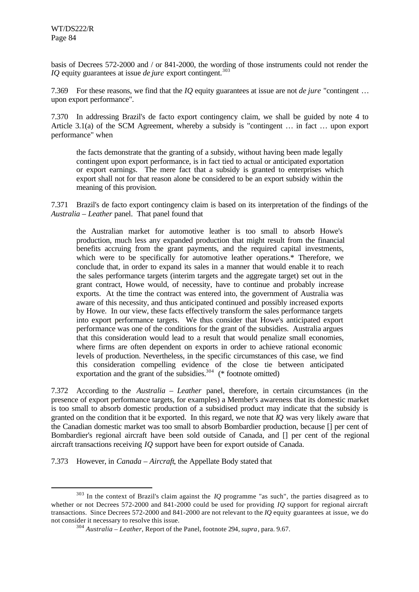l

basis of Decrees 572-2000 and / or 841-2000, the wording of those instruments could not render the *IQ* equity guarantees at issue *de jure* export contingent.<sup>303</sup>

7.369 For these reasons, we find that the *IQ* equity guarantees at issue are not *de jure* "contingent … upon export performance".

7.370 In addressing Brazil's de facto export contingency claim, we shall be guided by note 4 to Article 3.1(a) of the SCM Agreement, whereby a subsidy is "contingent … in fact … upon export performance" when

the facts demonstrate that the granting of a subsidy, without having been made legally contingent upon export performance, is in fact tied to actual or anticipated exportation or export earnings. The mere fact that a subsidy is granted to enterprises which export shall not for that reason alone be considered to be an export subsidy within the meaning of this provision.

7.371 Brazil's de facto export contingency claim is based on its interpretation of the findings of the *Australia – Leather* panel. That panel found that

the Australian market for automotive leather is too small to absorb Howe's production, much less any expanded production that might result from the financial benefits accruing from the grant payments, and the required capital investments, which were to be specifically for automotive leather operations.\* Therefore, we conclude that, in order to expand its sales in a manner that would enable it to reach the sales performance targets (interim targets and the aggregate target) set out in the grant contract, Howe would, of necessity, have to continue and probably increase exports. At the time the contract was entered into, the government of Australia was aware of this necessity, and thus anticipated continued and possibly increased exports by Howe. In our view, these facts effectively transform the sales performance targets into export performance targets. We thus consider that Howe's anticipated export performance was one of the conditions for the grant of the subsidies. Australia argues that this consideration would lead to a result that would penalize small economies, where firms are often dependent on exports in order to achieve rational economic levels of production. Nevertheless, in the specific circumstances of this case, we find this consideration compelling evidence of the close tie between anticipated exportation and the grant of the subsidies.<sup>304</sup> (\* footnote omitted)

7.372 According to the *Australia – Leather* panel, therefore, in certain circumstances (in the presence of export performance targets, for examples) a Member's awareness that its domestic market is too small to absorb domestic production of a subsidised product may indicate that the subsidy is granted on the condition that it be exported. In this regard, we note that *IQ* was very likely aware that the Canadian domestic market was too small to absorb Bombardier production, because [] per cent of Bombardier's regional aircraft have been sold outside of Canada, and [] per cent of the regional aircraft transactions receiving *IQ* support have been for export outside of Canada.

7.373 However, in *Canada – Aircraft*, the Appellate Body stated that

<sup>303</sup> In the context of Brazil's claim against the *IQ* programme "as such", the parties disagreed as to whether or not Decrees 572-2000 and 841-2000 could be used for providing *IQ* support for regional aircraft transactions. Since Decrees 572-2000 and 841-2000 are not relevant to the *IQ* equity guarantees at issue, we do not consider it necessary to resolve this issue.

<sup>304</sup> *Australia – Leather*, Report of the Panel, footnote 294, *supra*, para. 9.67.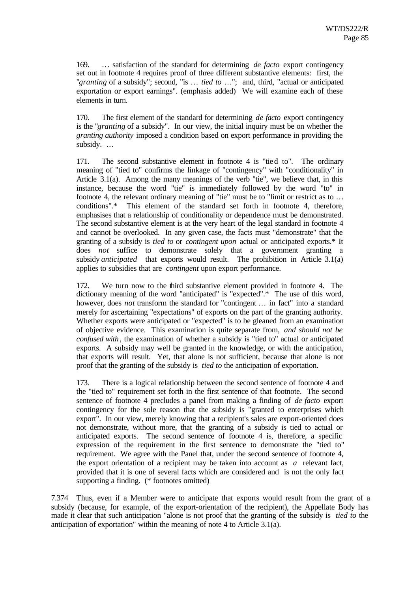169. … satisfaction of the standard for determining *de facto* export contingency set out in footnote 4 requires proof of three different substantive elements: first, the "*granting* of a subsidy"; second, "is … *tied to* …"; and, third, "actual or anticipated exportation or export earnings". (emphasis added) We will examine each of these elements in turn.

170. The first element of the standard for determining *de facto* export contingency is the "*granting* of a subsidy". In our view, the initial inquiry must be on whether the *granting authority* imposed a condition based on export performance in providing the subsidy. …

171. The second substantive element in footnote 4 is "tied to". The ordinary meaning of "tied to" confirms the linkage of "contingency" with "conditionality" in Article 3.1(a). Among the many meanings of the verb "tie", we believe that, in this instance, because the word "tie" is immediately followed by the word "to" in footnote 4, the relevant ordinary meaning of "tie" must be to "limit or restrict as to … conditions".\* This element of the standard set forth in footnote 4, therefore, emphasises that a relationship of conditionality or dependence must be demonstrated. The second substantive element is at the very heart of the legal standard in footnote 4 and cannot be overlooked. In any given case, the facts must "demonstrate" that the granting of a subsidy is *tied to* or *contingent upon* actual or anticipated exports.\* It does *not* suffice to demonstrate solely that a government granting a subsidy *anticipated* that exports would result. The prohibition in Article 3.1(a) applies to subsidies that are *contingent* upon export performance.

172. We turn now to the third substantive element provided in footnote 4. The dictionary meaning of the word "anticipated" is "expected".\* The use of this word, however, does *not* transform the standard for "contingent … in fact" into a standard merely for ascertaining "expectations" of exports on the part of the granting authority. Whether exports were anticipated or "expected" is to be gleaned from an examination of objective evidence. This examination is quite separate from, *and should not be confused with*, the examination of whether a subsidy is "tied to" actual or anticipated exports. A subsidy may well be granted in the knowledge, or with the anticipation, that exports will result. Yet, that alone is not sufficient, because that alone is not proof that the granting of the subsidy is *tied to* the anticipation of exportation.

173. There is a logical relationship between the second sentence of footnote 4 and the "tied to" requirement set forth in the first sentence of that footnote. The second sentence of footnote 4 precludes a panel from making a finding of *de facto* export contingency for the sole reason that the subsidy is "granted to enterprises which export". In our view, merely knowing that a recipient's sales are export-oriented does not demonstrate, without more, that the granting of a subsidy is tied to actual or anticipated exports. The second sentence of footnote 4 is, therefore, a specific expression of the requirement in the first sentence to demonstrate the "tied to" requirement. We agree with the Panel that, under the second sentence of footnote 4, the export orientation of a recipient may be taken into account as *a* relevant fact, provided that it is one of several facts which are considered and is not the only fact supporting a finding. (\* footnotes omitted)

7.374 Thus, even if a Member were to anticipate that exports would result from the grant of a subsidy (because, for example, of the export-orientation of the recipient), the Appellate Body has made it clear that such anticipation "alone is not proof that the granting of the subsidy is *tied to* the anticipation of exportation" within the meaning of note 4 to Article 3.1(a).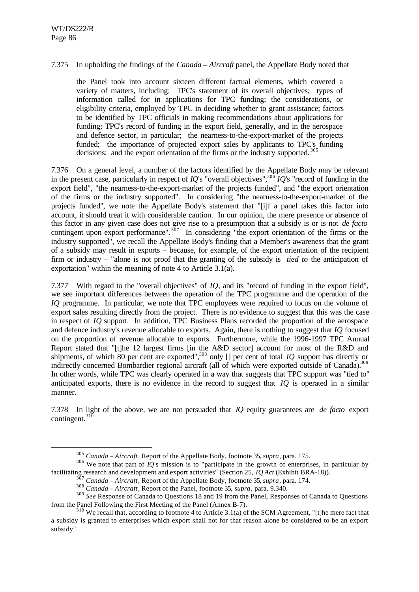l

## 7.375 In upholding the findings of the *Canada – Aircraft* panel, the Appellate Body noted that

the Panel took into account sixteen different factual elements, which covered a variety of matters, including: TPC's statement of its overall objectives; types of information called for in applications for TPC funding; the considerations, or eligibility criteria, employed by TPC in deciding whether to grant assistance; factors to be identified by TPC officials in making recommendations about applications for funding; TPC's record of funding in the export field, generally, and in the aerospace and defence sector, in particular; the nearness-to-the-export-market of the projects funded; the importance of projected export sales by applicants to TPC's funding decisions; and the export orientation of the firms or the industry supported.<sup>305</sup>

7.376 On a general level, a number of the factors identified by the Appellate Body may be relevant in the present case, particularly in respect of *IQ*'s "overall objectives",<sup>306</sup> *IQ*'s "record of funding in the export field", "the nearness-to-the-export-market of the projects funded", and "the export orientation of the firms or the industry supported". In considering "the nearness-to-the-export-market of the projects funded", we note the Appellate Body's statement that "[i]f a panel takes this factor into account, it should treat it with considerable caution. In our opinion, the mere presence or absence of this factor in any given case does not give rise to a presumption that a subsidy is or is not *de facto* contingent upon export performance".  $307$  In considering "the export orientation of the firms or the industry supported", we recall the Appellate Body's finding that a Member's awareness that the grant of a subsidy may result in exports – because, for example, of the export orientation of the recipient firm or industry – "alone is not proof that the granting of the subsidy is *tied to* the anticipation of exportation" within the meaning of note 4 to Article 3.1(a).

7.377 With regard to the "overall objectives" of *IQ*, and its "record of funding in the export field", we see important differences between the operation of the TPC programme and the operation of the *IQ* programme. In particular, we note that TPC employees were required to focus on the volume of export sales resulting directly from the project. There is no evidence to suggest that this was the case in respect of *IQ* support. In addition, TPC Business Plans recorded the proportion of the aerospace and defence industry's revenue allocable to exports. Again, there is nothing to suggest that *IQ* focused on the proportion of revenue allocable to exports. Furthermore, while the 1996-1997 TPC Annual Report stated that "[t]he 12 largest firms [in the A&D sector] account for most of the R&D and shipments, of which 80 per cent are exported",<sup>308</sup> only [] per cent of total *IQ* support has directly or indirectly concerned Bombardier regional aircraft (all of which were exported outside of Canada).<sup>309</sup> In other words, while TPC was clearly operated in a way that suggests that TPC support was "tied to" anticipated exports, there is no evidence in the record to suggest that *IQ* is operated in a similar manner.

7.378 In light of the above, we are not persuaded that *IQ* equity guarantees are *de facto* export contingent. $310$ 

<sup>305</sup> *Canada – Aircraft*, Report of the Appellate Body, footnote 35, *supra*, para. 175.

<sup>&</sup>lt;sup>306</sup> We note that part of *IQ*'s mission is to "participate in the growth of enterprises, in particular by facilitating research and development and export activities" (Section 25, *IQ Act* (Exhibit BRA-18)).

<sup>307</sup> *Canada – Aircraft*, Report of the Appellate Body, footnote 35, *supra*, para. 174.

<sup>308</sup> *Canada – Aircraft*, Report of the Panel, footnote 35, *supra*, para. 9.340.

<sup>309</sup> *See* Response of Canada to Questions 18 and 19 from the Panel, Responses of Canada to Questions from the Panel Following the First Meeting of the Panel (Annex B-7).

<sup>&</sup>lt;sup>310</sup> We recall that, according to footnote 4 to Article 3.1(a) of the SCM Agreement, "[t]he mere fact that a subsidy is granted to enterprises which export shall not for that reason alone be considered to be an export subsidy".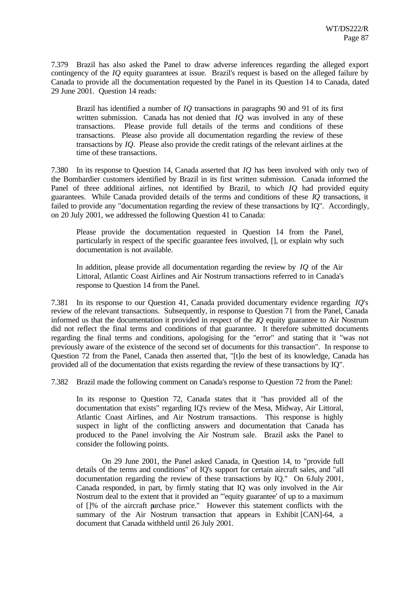7.379 Brazil has also asked the Panel to draw adverse inferences regarding the alleged export contingency of the *IQ* equity guarantees at issue. Brazil's request is based on the alleged failure by Canada to provide all the documentation requested by the Panel in its Question 14 to Canada, dated 29 June 2001. Question 14 reads:

Brazil has identified a number of *IQ* transactions in paragraphs 90 and 91 of its first written submission. Canada has not denied that *IQ* was involved in any of these transactions. Please provide full details of the terms and conditions of these transactions. Please also provide all documentation regarding the review of these transactions by *IQ*. Please also provide the credit ratings of the relevant airlines at the time of these transactions.

7.380 In its response to Question 14, Canada asserted that *IQ* has been involved with only two of the Bombardier customers identified by Brazil in its first written submission. Canada informed the Panel of three additional airlines, not identified by Brazil, to which *IQ* had provided equity guarantees. While Canada provided details of the terms and conditions of these *IQ* transactions, it failed to provide any "documentation regarding the review of these transactions by IQ". Accordingly, on 20 July 2001, we addressed the following Question 41 to Canada:

Please provide the documentation requested in Question 14 from the Panel, particularly in respect of the specific guarantee fees involved, [], or explain why such documentation is not available.

In addition, please provide all documentation regarding the review by *IQ* of the Air Littoral, Atlantic Coast Airlines and Air Nostrum transactions referred to in Canada's response to Question 14 from the Panel.

7.381 In its response to our Question 41, Canada provided documentary evidence regarding *IQ*'s review of the relevant transactions. Subsequently, in response to Question 71 from the Panel, Canada informed us that the documentation it provided in respect of the *IQ* equity guarantee to Air Nostrum did not reflect the final terms and conditions of that guarantee. It therefore submitted documents regarding the final terms and conditions, apologising for the "error" and stating that it "was not previously aware of the existence of the second set of documents for this transaction". In response to Question 72 from the Panel, Canada then asserted that, "[t]o the best of its knowledge, Canada has provided all of the documentation that exists regarding the review of these transactions by IQ".

7.382 Brazil made the following comment on Canada's response to Question 72 from the Panel:

In its response to Question 72, Canada states that it "has provided all of the documentation that exists" regarding IQ's review of the Mesa, Midway, Air Littoral, Atlantic Coast Airlines, and Air Nostrum transactions. This response is highly suspect in light of the conflicting answers and documentation that Canada has produced to the Panel involving the Air Nostrum sale. Brazil asks the Panel to consider the following points.

On 29 June 2001, the Panel asked Canada, in Question 14, to "provide full details of the terms and conditions" of IQ's support for certain aircraft sales, and "all documentation regarding the review of these transactions by IQ." On 6 July 2001, Canada responded, in part, by firmly stating that IQ was only involved in the Air Nostrum deal to the extent that it provided an "'equity guarantee' of up to a maximum of []% of the aircraft purchase price." However this statement conflicts with the summary of the Air Nostrum transaction that appears in Exhibit [CAN]-64, a document that Canada withheld until 26 July 2001.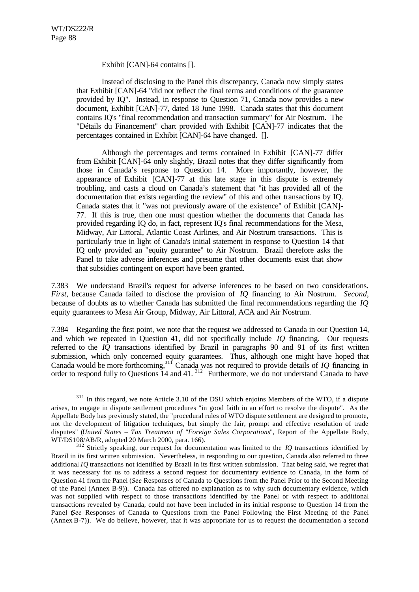l

### Exhibit [CAN]-64 contains [].

Instead of disclosing to the Panel this discrepancy, Canada now simply states that Exhibit [CAN]-64 "did not reflect the final terms and conditions of the guarantee provided by IQ". Instead, in response to Question 71, Canada now provides a new document, Exhibit [CAN]-77, dated 18 June 1998. Canada states that this document contains IQ's "final recommendation and transaction summary" for Air Nostrum. The "Détails du Financement" chart provided with Exhibit [CAN]-77 indicates that the percentages contained in Exhibit [CAN]-64 have changed. [].

Although the percentages and terms contained in Exhibit [CAN]-77 differ from Exhibit [CAN]-64 only slightly, Brazil notes that they differ significantly from those in Canada's response to Question 14. More importantly, however, the appearance of Exhibit [CAN]-77 at this late stage in this dispute is extremely troubling, and casts a cloud on Canada's statement that "it has provided all of the documentation that exists regarding the review" of this and other transactions by IQ. Canada states that it "was not previously aware of the existence" of Exhibit [CAN]- 77. If this is true, then one must question whether the documents that Canada has provided regarding IQ do, in fact, represent IQ's final recommendations for the Mesa, Midway, Air Littoral, Atlantic Coast Airlines, and Air Nostrum transactions. This is particularly true in light of Canada's initial statement in response to Question 14 that IQ only provided an "equity guarantee" to Air Nostrum. Brazil therefore asks the Panel to take adverse inferences and presume that other documents exist that show that subsidies contingent on export have been granted.

7.383 We understand Brazil's request for adverse inferences to be based on two considerations. *First*, because Canada failed to disclose the provision of *IQ* financing to Air Nostrum. *Second*, because of doubts as to whether Canada has submitted the final recommendations regarding the *IQ* equity guarantees to Mesa Air Group, Midway, Air Littoral, ACA and Air Nostrum.

7.384 Regarding the first point, we note that the request we addressed to Canada in our Question 14, and which we repeated in Question 41, did not specifically include *IQ* financing. Our requests referred to the *IQ* transactions identified by Brazil in paragraphs 90 and 91 of its first written submission, which only concerned equity guarantees. Thus, although one might have hoped that Canada would be more forthcoming,<sup>311</sup> Canada was not required to provide details of *IQ* financing in order to respond fully to Questions 14 and 41.<sup>312</sup> Furthermore, we do not understand Canada to have

<sup>&</sup>lt;sup>311</sup> In this regard, we note Article 3.10 of the DSU which enjoins Members of the WTO, if a dispute arises, to engage in dispute settlement procedures "in good faith in an effort to resolve the dispute". As the Appellate Body has previously stated, the "procedural rules of WTO dispute settlement are designed to promote, not the development of litigation techniques, but simply the fair, prompt and effective resolution of trade disputes" (*United States – Tax Treatment of "Foreign Sales Corporations*", Report of the Appellate Body, WT/DS108/AB/R, adopted 20 March 2000, para. 166).

<sup>312</sup> Strictly speaking, our request for documentation was limited to the *IQ* transactions identified by Brazil in its first written submission. Nevertheless, in responding to our question, Canada also referred to three additional *IQ* transactions not identified by Brazil in its first written submission. That being said, we regret that it was necessary for us to address a second request for documentary evidence to Canada, in the form of Question 41 from the Panel (*See* Responses of Canada to Questions from the Panel Prior to the Second Meeting of the Panel (Annex B-9)). Canada has offered no explanation as to why such documentary evidence, which was not supplied with respect to those transactions identified by the Panel or with respect to additional transactions revealed by Canada, could not have been included in its initial response to Question 14 from the Panel (*See* Responses of Canada to Questions from the Panel Following the First Meeting of the Panel (Annex B-7)). We do believe, however, that it was appropriate for us to request the documentation a second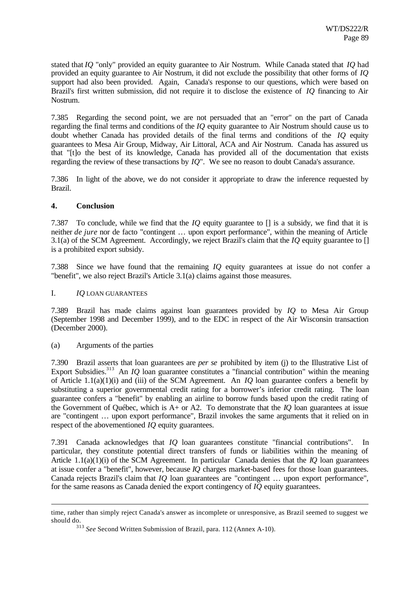stated that *IQ* "only" provided an equity guarantee to Air Nostrum. While Canada stated that *IQ* had provided an equity guarantee to Air Nostrum, it did not exclude the possibility that other forms of *IQ* support had also been provided. Again, Canada's response to our questions, which were based on Brazil's first written submission, did not require it to disclose the existence of *IQ* financing to Air Nostrum.

7.385 Regarding the second point, we are not persuaded that an "error" on the part of Canada regarding the final terms and conditions of the *IQ* equity guarantee to Air Nostrum should cause us to doubt whether Canada has provided details of the final terms and conditions of the *IQ* equity guarantees to Mesa Air Group, Midway, Air Littoral, ACA and Air Nostrum. Canada has assured us that "[t]o the best of its knowledge, Canada has provided all of the documentation that exists regarding the review of these transactions by *IQ*". We see no reason to doubt Canada's assurance.

7.386 In light of the above, we do not consider it appropriate to draw the inference requested by Brazil.

## **4. Conclusion**

7.387 To conclude, while we find that the *IQ* equity guarantee to [] is a subsidy, we find that it is neither *de jure* nor de facto "contingent … upon export performance", within the meaning of Article 3.1(a) of the SCM Agreement. Accordingly, we reject Brazil's claim that the *IQ* equity guarantee to [] is a prohibited export subsidy.

7.388 Since we have found that the remaining *IQ* equity guarantees at issue do not confer a "benefit", we also reject Brazil's Article 3.1(a) claims against those measures.

### I. *IQ* LOAN GUARANTEES

7.389 Brazil has made claims against loan guarantees provided by *IQ* to Mesa Air Group (September 1998 and December 1999), and to the EDC in respect of the Air Wisconsin transaction (December 2000).

(a) Arguments of the parties

l

7.390 Brazil asserts that loan guarantees are *per se* prohibited by item (j) to the Illustrative List of Export Subsidies.<sup>313</sup> An *IQ* loan guarantee constitutes a "financial contribution" within the meaning of Article 1.1(a)(1)(i) and (iii) of the SCM Agreement. An *IQ* loan guarantee confers a benefit by substituting a superior governmental credit rating for a borrower's inferior credit rating. The loan guarantee confers a "benefit" by enabling an airline to borrow funds based upon the credit rating of the Government of Québec, which is A+ or A2. To demonstrate that the *IQ* loan guarantees at issue are "contingent … upon export performance", Brazil invokes the same arguments that it relied on in respect of the abovementioned *IQ* equity guarantees.

7.391 Canada acknowledges that *IQ* loan guarantees constitute "financial contributions". In particular, they constitute potential direct transfers of funds or liabilities within the meaning of Article 1.1(a)(1)(i) of the SCM Agreement. In particular Canada denies that the *IQ* loan guarantees at issue confer a "benefit", however, because *IQ* charges market-based fees for those loan guarantees. Canada rejects Brazil's claim that *IQ* loan guarantees are "contingent … upon export performance", for the same reasons as Canada denied the export contingency of *IQ* equity guarantees.

time, rather than simply reject Canada's answer as incomplete or unresponsive, as Brazil seemed to suggest we should do.

<sup>313</sup> *See* Second Written Submission of Brazil, para. 112 (Annex A-10).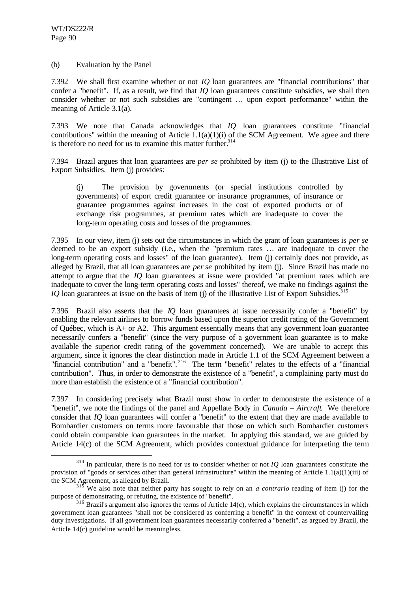l

(b) Evaluation by the Panel

7.392 We shall first examine whether or not *IQ* loan guarantees are "financial contributions" that confer a "benefit". If, as a result, we find that *IQ* loan guarantees constitute subsidies, we shall then consider whether or not such subsidies are "contingent … upon export performance" within the meaning of Article 3.1(a).

7.393 We note that Canada acknowledges that *IQ* loan guarantees constitute "financial contributions" within the meaning of Article  $1.1(a)(1)(i)$  of the SCM Agreement. We agree and there is therefore no need for us to examine this matter further.<sup>314</sup>

7.394 Brazil argues that loan guarantees are *per se* prohibited by item (j) to the Illustrative List of Export Subsidies. Item (j) provides:

(j) The provision by governments (or special institutions controlled by governments) of export credit guarantee or insurance programmes, of insurance or guarantee programmes against increases in the cost of exported products or of exchange risk programmes, at premium rates which are inadequate to cover the long-term operating costs and losses of the programmes.

7.395 In our view, item (j) sets out the circumstances in which the grant of loan guarantees is *per se* deemed to be an export subsidy (i.e., when the "premium rates … are inadequate to cover the long-term operating costs and losses" of the loan guarantee). Item (j) certainly does not provide, as alleged by Brazil, that all loan guarantees are *per se* prohibited by item (j). Since Brazil has made no attempt to argue that the *IQ* loan guarantees at issue were provided "at premium rates which are inadequate to cover the long-term operating costs and losses" thereof, we make no findings against the *IQ* loan guarantees at issue on the basis of item (j) of the Illustrative List of Export Subsidies.<sup>315</sup>

7.396 Brazil also asserts that the *IQ* loan guarantees at issue necessarily confer a "benefit" by enabling the relevant airlines to borrow funds based upon the superior credit rating of the Government of Québec, which is A+ or A2. This argument essentially means that any government loan guarantee necessarily confers a "benefit" (since the very purpose of a government loan guarantee is to make available the superior credit rating of the government concerned). We are unable to accept this argument, since it ignores the clear distinction made in Article 1.1 of the SCM Agreement between a "financial contribution" and a "benefit".<sup>316</sup> The term "benefit" relates to the effects of a "financial contribution". Thus, in order to demonstrate the existence of a "benefit", a complaining party must do more than establish the existence of a "financial contribution".

7.397 In considering precisely what Brazil must show in order to demonstrate the existence of a "benefit", we note the findings of the panel and Appellate Body in *Canada – Aircraft*. We therefore consider that *IQ* loan guarantees will confer a "benefit" to the extent that they are made available to Bombardier customers on terms more favourable that those on which such Bombardier customers could obtain comparable loan guarantees in the market. In applying this standard, we are guided by Article 14(c) of the SCM Agreement, which provides contextual guidance for interpreting the term

 $314$  In particular, there is no need for us to consider whether or not *IQ* loan guarantees constitute the provision of "goods or services other than general infrastructure" within the meaning of Article  $1.1(a)(1)(iii)$  of the SCM Agreement, as alleged by Brazil.

<sup>315</sup> We also note that neither party has sought to rely on an *a contrario* reading of item (j) for the purpose of demonstrating, or refuting, the existence of "benefit".

 $316$  Brazil's argument also ignores the terms of Article 14(c), which explains the circumstances in which government loan guarantees "shall not be considered as conferring a benefit" in the context of countervailing duty investigations. If all government loan guarantees necessarily conferred a "benefit", as argued by Brazil, the Article 14(c) guideline would be meaningless.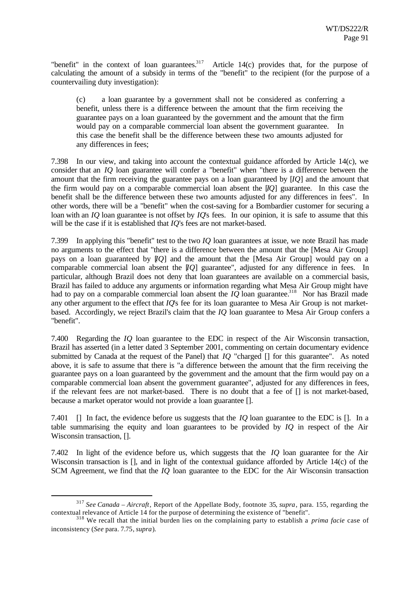"benefit" in the context of loan guarantees.<sup>317</sup> Article 14 $(c)$  provides that, for the purpose of calculating the amount of a subsidy in terms of the "benefit" to the recipient (for the purpose of a countervailing duty investigation):

(c) a loan guarantee by a government shall not be considered as conferring a benefit, unless there is a difference between the amount that the firm receiving the guarantee pays on a loan guaranteed by the government and the amount that the firm would pay on a comparable commercial loan absent the government guarantee. In this case the benefit shall be the difference between these two amounts adjusted for any differences in fees;

7.398 In our view, and taking into account the contextual guidance afforded by Article 14(c), we consider that an *IQ* loan guarantee will confer a "benefit" when "there is a difference between the amount that the firm receiving the guarantee pays on a loan guaranteed by [*IQ*] and the amount that the firm would pay on a comparable commercial loan absent the [*IQ*] guarantee. In this case the benefit shall be the difference between these two amounts adjusted for any differences in fees". In other words, there will be a "benefit" when the cost-saving for a Bombardier customer for securing a loan with an *IQ* loan guarantee is not offset by *IQ*'s fees. In our opinion, it is safe to assume that this will be the case if it is established that *IQ*'s fees are not market-based.

7.399 In applying this "benefit" test to the two *IQ* loan guarantees at issue, we note Brazil has made no arguments to the effect that "there is a difference between the amount that the [Mesa Air Group] pays on a loan guaranteed by [*IQ*] and the amount that the [Mesa Air Group] would pay on a comparable commercial loan absent the [*IQ*] guarantee", adjusted for any difference in fees. In particular, although Brazil does not deny that loan guarantees are available on a commercial basis, Brazil has failed to adduce any arguments or information regarding what Mesa Air Group might have had to pay on a comparable commercial loan absent the  $I\overline{Q}$  loan guarantee.<sup>318</sup> Nor has Brazil made any other argument to the effect that *IQ*'s fee for its loan guarantee to Mesa Air Group is not marketbased. Accordingly, we reject Brazil's claim that the *IQ* loan guarantee to Mesa Air Group confers a "benefit".

7.400 Regarding the *IQ* loan guarantee to the EDC in respect of the Air Wisconsin transaction, Brazil has asserted (in a letter dated 3 September 2001, commenting on certain documentary evidence submitted by Canada at the request of the Panel) that *IQ* "charged [] for this guarantee". As noted above, it is safe to assume that there is "a difference between the amount that the firm receiving the guarantee pays on a loan guaranteed by the government and the amount that the firm would pay on a comparable commercial loan absent the government guarantee", adjusted for any differences in fees, if the relevant fees are not market-based. There is no doubt that a fee of [] is not market-based, because a market operator would not provide a loan guarantee [].

7.401 [] In fact, the evidence before us suggests that the *IQ* loan guarantee to the EDC is []. In a table summarising the equity and loan guarantees to be provided by *IQ* in respect of the Air Wisconsin transaction, [].

7.402 In light of the evidence before us, which suggests that the *IQ* loan guarantee for the Air Wisconsin transaction is  $\Box$ , and in light of the contextual guidance afforded by Article 14(c) of the SCM Agreement, we find that the *IQ* loan guarantee to the EDC for the Air Wisconsin transaction

<sup>317</sup> *See Canada – Aircraft*, Report of the Appellate Body, footnote 35, *supra*, para. 155, regarding the contextual relevance of Article 14 for the purpose of determining the existence of "benefit".

<sup>318</sup> We recall that the initial burden lies on the complaining party to establish a *prima facie* case of inconsistency (*See* para. 7.75, *supra*).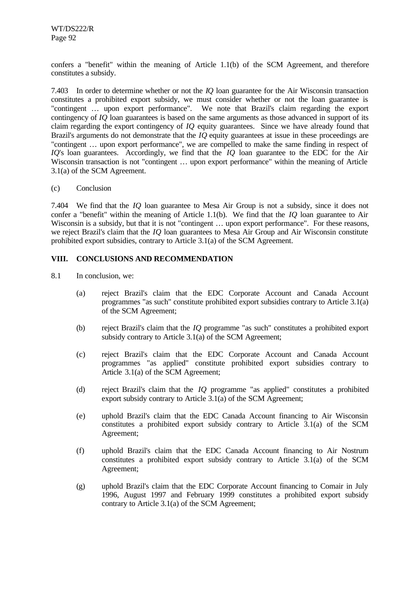confers a "benefit" within the meaning of Article 1.1(b) of the SCM Agreement, and therefore constitutes a subsidy.

7.403 In order to determine whether or not the *IQ* loan guarantee for the Air Wisconsin transaction constitutes a prohibited export subsidy, we must consider whether or not the loan guarantee is "contingent … upon export performance". We note that Brazil's claim regarding the export contingency of *IQ* loan guarantees is based on the same arguments as those advanced in support of its claim regarding the export contingency of *IQ* equity guarantees. Since we have already found that Brazil's arguments do not demonstrate that the *IQ* equity guarantees at issue in these proceedings are "contingent … upon export performance", we are compelled to make the same finding in respect of *IQ*'s loan guarantees. Accordingly, we find that the *IQ* loan guarantee to the EDC for the Air Wisconsin transaction is not "contingent … upon export performance" within the meaning of Article 3.1(a) of the SCM Agreement.

(c) Conclusion

7.404 We find that the *IQ* loan guarantee to Mesa Air Group is not a subsidy, since it does not confer a "benefit" within the meaning of Article 1.1(b). We find that the *IQ* loan guarantee to Air Wisconsin is a subsidy, but that it is not "contingent ... upon export performance". For these reasons, we reject Brazil's claim that the *IQ* loan guarantees to Mesa Air Group and Air Wisconsin constitute prohibited export subsidies, contrary to Article 3.1(a) of the SCM Agreement.

## **VIII. CONCLUSIONS AND RECOMMENDATION**

- 8.1 In conclusion, we:
	- (a) reject Brazil's claim that the EDC Corporate Account and Canada Account programmes "as such" constitute prohibited export subsidies contrary to Article 3.1(a) of the SCM Agreement;
	- (b) reject Brazil's claim that the *IQ* programme "as such" constitutes a prohibited export subsidy contrary to Article 3.1(a) of the SCM Agreement;
	- (c) reject Brazil's claim that the EDC Corporate Account and Canada Account programmes "as applied" constitute prohibited export subsidies contrary to Article 3.1(a) of the SCM Agreement;
	- (d) reject Brazil's claim that the *IQ* programme "as applied" constitutes a prohibited export subsidy contrary to Article 3.1(a) of the SCM Agreement;
	- (e) uphold Brazil's claim that the EDC Canada Account financing to Air Wisconsin constitutes a prohibited export subsidy contrary to Article 3.1(a) of the SCM Agreement;
	- (f) uphold Brazil's claim that the EDC Canada Account financing to Air Nostrum constitutes a prohibited export subsidy contrary to Article 3.1(a) of the SCM Agreement;
	- (g) uphold Brazil's claim that the EDC Corporate Account financing to Comair in July 1996, August 1997 and February 1999 constitutes a prohibited export subsidy contrary to Article 3.1(a) of the SCM Agreement;